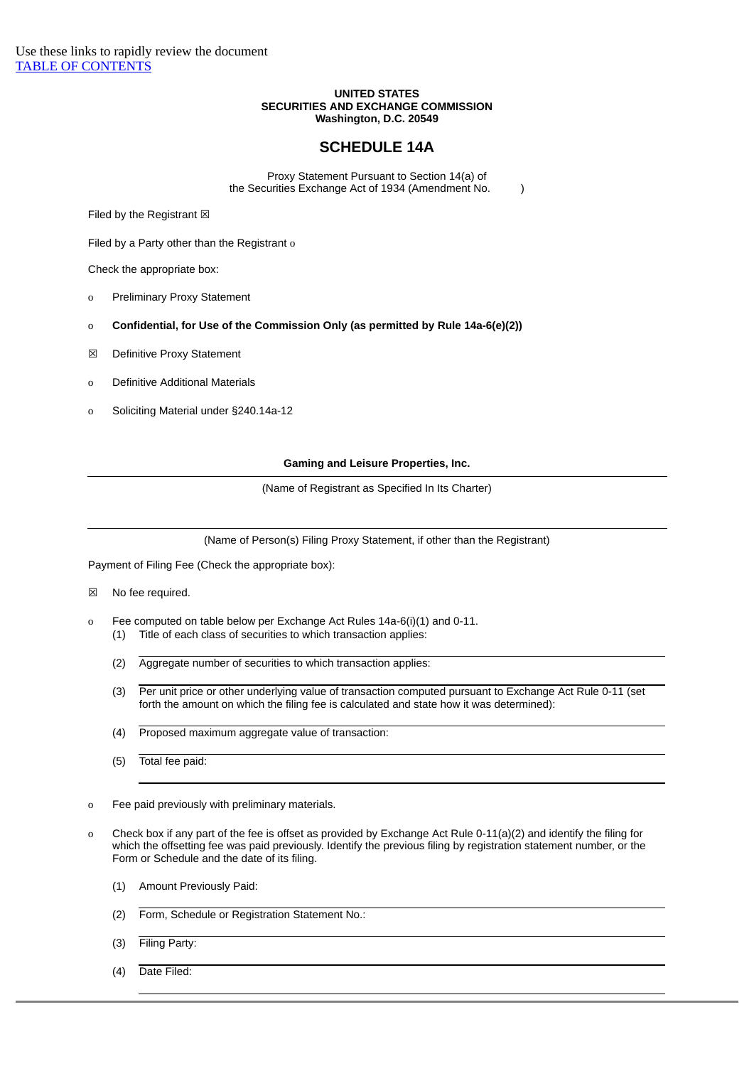#### **UNITED STATES SECURITIES AND EXCHANGE COMMISSION Washington, D.C. 20549**

# **SCHEDULE 14A**

Proxy Statement Pursuant to Section 14(a) of the Securities Exchange Act of 1934 (Amendment No. )

Filed by the Registrant  $\boxtimes$ 

Filed by a Party other than the Registrant o

Check the appropriate box:

- o Preliminary Proxy Statement
- o **Confidential, for Use of the Commission Only (as permitted by Rule 14a-6(e)(2))**
- ☒ Definitive Proxy Statement
- o Definitive Additional Materials
- o Soliciting Material under §240.14a-12

**Gaming and Leisure Properties, Inc.**

(Name of Registrant as Specified In Its Charter)

(Name of Person(s) Filing Proxy Statement, if other than the Registrant)

Payment of Filing Fee (Check the appropriate box):

☒ No fee required.

- o Fee computed on table below per Exchange Act Rules 14a-6(i)(1) and 0-11. (1) Title of each class of securities to which transaction applies:
	- (2) Aggregate number of securities to which transaction applies:
	- (3) Per unit price or other underlying value of transaction computed pursuant to Exchange Act Rule 0-11 (set forth the amount on which the filing fee is calculated and state how it was determined):
	- (4) Proposed maximum aggregate value of transaction:
	- (5) Total fee paid:

o Fee paid previously with preliminary materials.

- o Check box if any part of the fee is offset as provided by Exchange Act Rule 0-11(a)(2) and identify the filing for which the offsetting fee was paid previously. Identify the previous filing by registration statement number, or the Form or Schedule and the date of its filing.
	- (1) Amount Previously Paid:
	- (2) Form, Schedule or Registration Statement No.:
	- (3) Filing Party:
	- (4) Date Filed: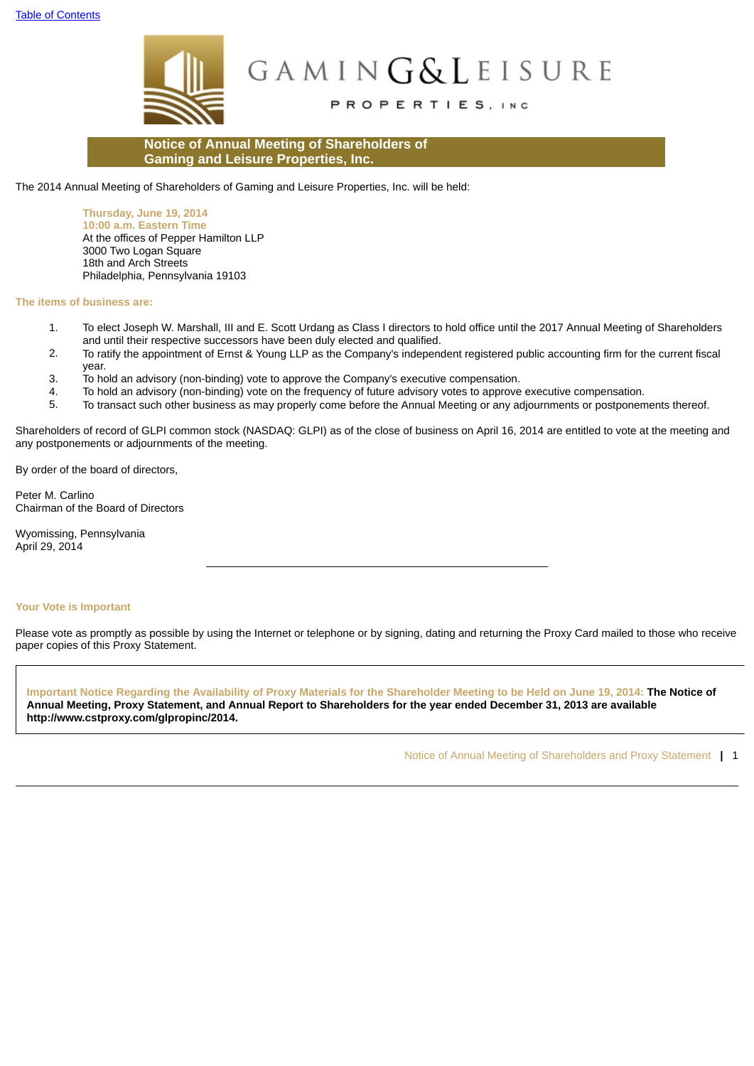

# GAMING&LEISURE

PROPERTIES, INC

# **Notice of Annual Meeting of Shareholders of Gaming and Leisure Properties, Inc.**

The 2014 Annual Meeting of Shareholders of Gaming and Leisure Properties, Inc. will be held:

**Thursday, June 19, 2014 10:00 a.m. Eastern Time** At the offices of Pepper Hamilton LLP 3000 Two Logan Square 18th and Arch Streets Philadelphia, Pennsylvania 19103

# **The items of business are:**

- 1. To elect Joseph W. Marshall, III and E. Scott Urdang as Class I directors to hold office until the 2017 Annual Meeting of Shareholders and until their respective successors have been duly elected and qualified.
- 2. To ratify the appointment of Ernst & Young LLP as the Company's independent registered public accounting firm for the current fiscal year.
- 3. To hold an advisory (non-binding) vote to approve the Company's executive compensation.
- 4. To hold an advisory (non-binding) vote on the frequency of future advisory votes to approve executive compensation.
- 5. To transact such other business as may properly come before the Annual Meeting or any adjournments or postponements thereof.

Shareholders of record of GLPI common stock (NASDAQ: GLPI) as of the close of business on April 16, 2014 are entitled to vote at the meeting and any postponements or adjournments of the meeting.

By order of the board of directors,

Peter M. Carlino Chairman of the Board of Directors

Wyomissing, Pennsylvania April 29, 2014

# **Your Vote is Important**

Please vote as promptly as possible by using the Internet or telephone or by signing, dating and returning the Proxy Card mailed to those who receive paper copies of this Proxy Statement.

**Important Notice Regarding the Availability of Proxy Materials for the Shareholder Meeting to be Held on June 19, 2014: The Notice of Annual Meeting, Proxy Statement, and Annual Report to Shareholders for the year ended December 31, 2013 are available http://www.cstproxy.com/glpropinc/2014.**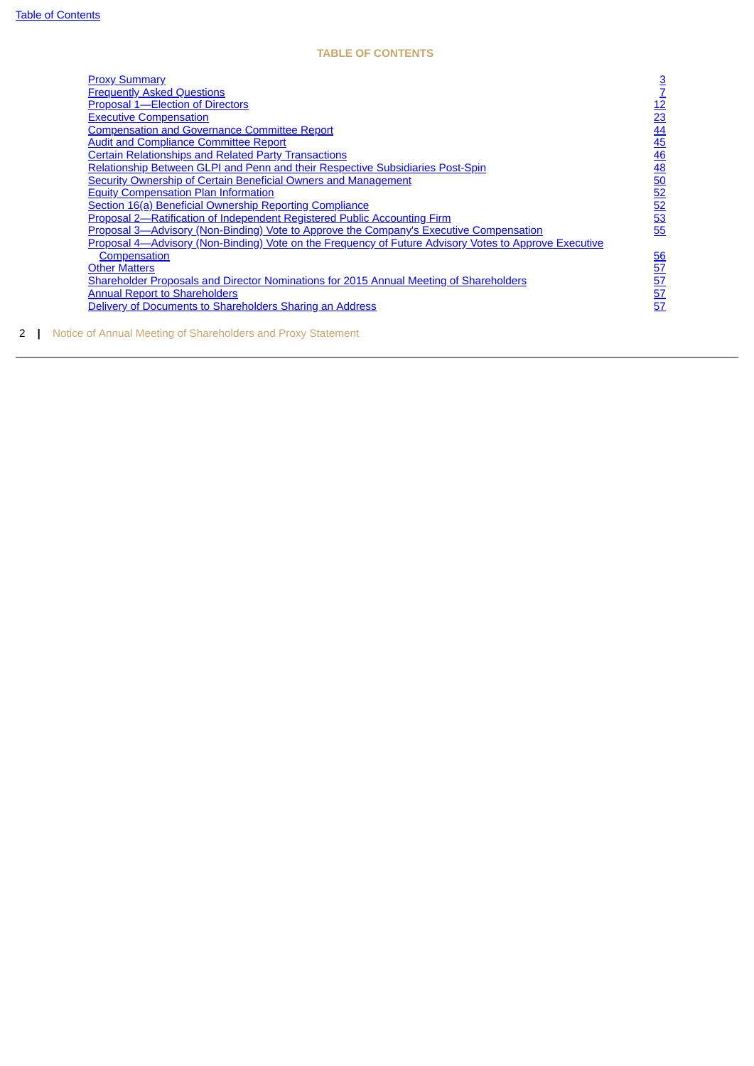# **TABLE OF CONTENTS**

<span id="page-2-0"></span>

| <b>Proxy Summary</b>                                                                                  |                                                 |
|-------------------------------------------------------------------------------------------------------|-------------------------------------------------|
| <b>Frequently Asked Questions</b>                                                                     | <u>3 7 12 23 44 45 46 48 50 52 52 53 55</u>     |
| <b>Proposal 1-Election of Directors</b>                                                               |                                                 |
| <b>Executive Compensation</b>                                                                         |                                                 |
| <b>Compensation and Governance Committee Report</b>                                                   |                                                 |
| <b>Audit and Compliance Committee Report</b>                                                          |                                                 |
| <b>Certain Relationships and Related Party Transactions</b>                                           |                                                 |
| Relationship Between GLPI and Penn and their Respective Subsidiaries Post-Spin                        |                                                 |
| Security Ownership of Certain Beneficial Owners and Management                                        |                                                 |
| <b>Equity Compensation Plan Information</b>                                                           |                                                 |
| Section 16(a) Beneficial Ownership Reporting Compliance                                               |                                                 |
| Proposal 2-Ratification of Independent Registered Public Accounting Firm                              |                                                 |
| Proposal 3—Advisory (Non-Binding) Vote to Approve the Company's Executive Compensation                |                                                 |
| Proposal 4—Advisory (Non-Binding) Vote on the Frequency of Future Advisory Votes to Approve Executive |                                                 |
| Compensation                                                                                          |                                                 |
| <b>Other Matters</b>                                                                                  |                                                 |
| Shareholder Proposals and Director Nominations for 2015 Annual Meeting of Shareholders                | $\frac{56}{57}$ $\frac{57}{57}$ $\frac{57}{57}$ |
| <b>Annual Report to Shareholders</b>                                                                  |                                                 |
| Delivery of Documents to Shareholders Sharing an Address                                              |                                                 |
|                                                                                                       |                                                 |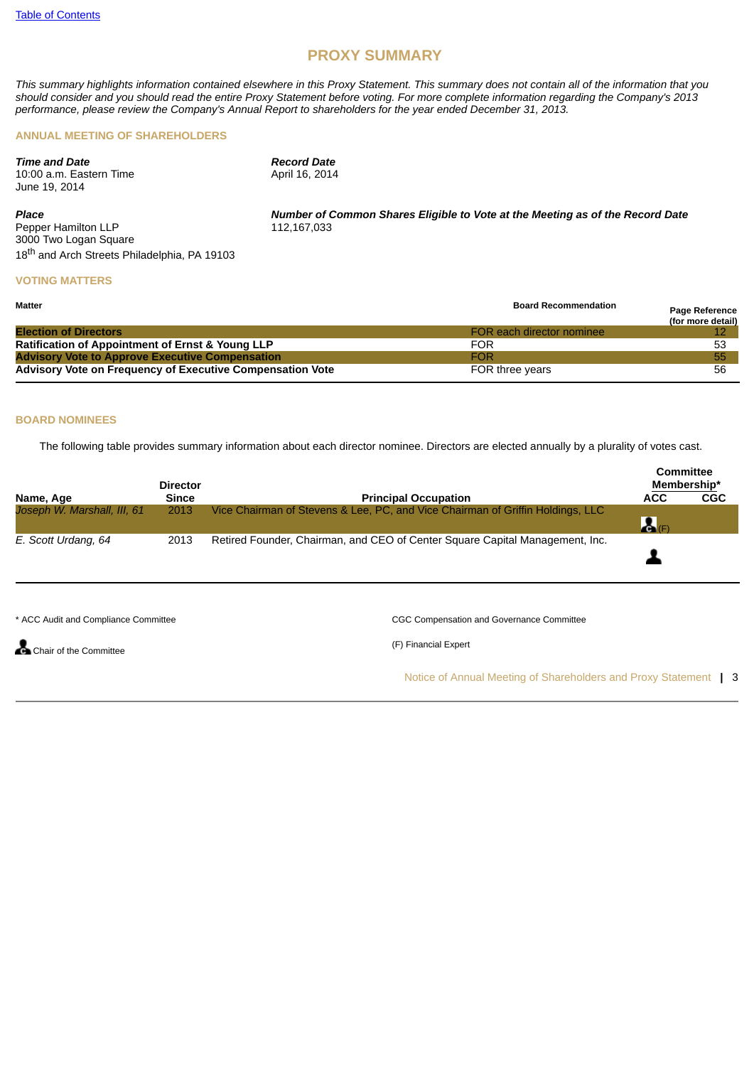# **PROXY SUMMARY**

<span id="page-3-0"></span>*This summary highlights information contained elsewhere in this Proxy Statement. This summary does not contain all of the information that you should consider and you should read the entire Proxy Statement before voting. For more complete information regarding the Company's 2013 performance, please review the Company's Annual Report to shareholders for the year ended December 31, 2013.*

# **ANNUAL MEETING OF SHAREHOLDERS**

| <b>Time and Date</b><br>10:00 a.m. Eastern Time<br>June 19, 2014 | <b>Record Date</b><br>April 16, 2014                                          |
|------------------------------------------------------------------|-------------------------------------------------------------------------------|
| Place                                                            | Number of Common Shares Eligible to Vote at the Meeting as of the Record Date |
| Pepper Hamilton LLP                                              | 112.167.033                                                                   |

Pepper Hamilton LLP 3000 Two Logan Square 18<sup>th</sup> and Arch Streets Philadelphia, PA 19103

#### **VOTING MATTERS**

| Matter<br><b>Board Recommendation</b>                     |                           | <b>Page Reference</b> |
|-----------------------------------------------------------|---------------------------|-----------------------|
|                                                           |                           | (for more detail)     |
| <b>Election of Directors</b>                              | FOR each director nominee |                       |
| Ratification of Appointment of Ernst & Young LLP          | FOR                       | 53                    |
| <b>Advisory Vote to Approve Executive Compensation</b>    | FOR                       | 55                    |
| Advisory Vote on Frequency of Executive Compensation Vote | FOR three years           | 56                    |

#### **BOARD NOMINEES**

The following table provides summary information about each director nominee. Directors are elected annually by a plurality of votes cast.

|                             | <b>Director</b> |                                                                                |              | <b>Committee</b><br>Membership* |
|-----------------------------|-----------------|--------------------------------------------------------------------------------|--------------|---------------------------------|
| Name, Age                   | <b>Since</b>    | <b>Principal Occupation</b>                                                    | <b>ACC</b>   | <b>CGC</b>                      |
| Joseph W. Marshall, III, 61 | 2013            | Vice Chairman of Stevens & Lee, PC, and Vice Chairman of Griffin Holdings, LLC | $\mathbf{A}$ |                                 |
| E. Scott Urdang, 64         | 2013            | Retired Founder, Chairman, and CEO of Center Square Capital Management, Inc.   |              |                                 |

Chair of the Committee

\* ACC Audit and Compliance Committee CGCC Compensation and Governance Committee CGCC Compensation and Governance Committee

(F) Financial Expert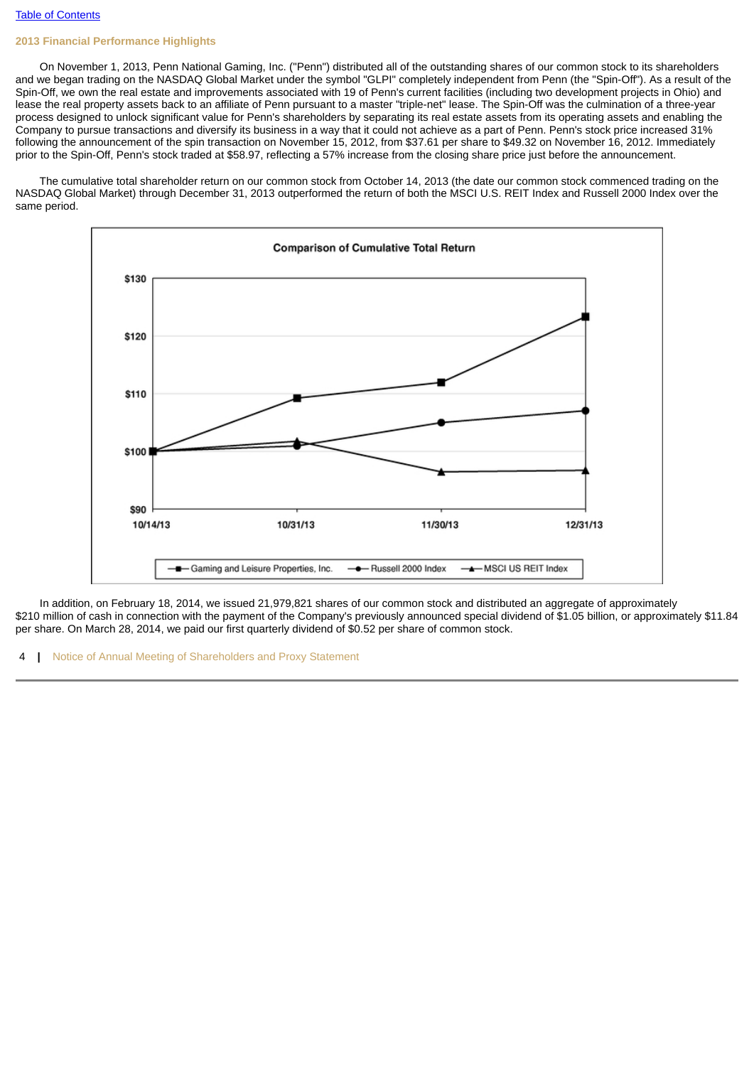# **2013 Financial Performance Highlights**

 On November 1, 2013, Penn National Gaming, Inc. ("Penn") distributed all of the outstanding shares of our common stock to its shareholders and we began trading on the NASDAQ Global Market under the symbol "GLPI" completely independent from Penn (the "Spin-Off"). As a result of the Spin-Off, we own the real estate and improvements associated with 19 of Penn's current facilities (including two development projects in Ohio) and lease the real property assets back to an affiliate of Penn pursuant to a master "triple-net" lease. The Spin-Off was the culmination of a three-year process designed to unlock significant value for Penn's shareholders by separating its real estate assets from its operating assets and enabling the Company to pursue transactions and diversify its business in a way that it could not achieve as a part of Penn. Penn's stock price increased 31% following the announcement of the spin transaction on November 15, 2012, from \$37.61 per share to \$49.32 on November 16, 2012. Immediately prior to the Spin-Off, Penn's stock traded at \$58.97, reflecting a 57% increase from the closing share price just before the announcement.

 The cumulative total shareholder return on our common stock from October 14, 2013 (the date our common stock commenced trading on the NASDAQ Global Market) through December 31, 2013 outperformed the return of both the MSCI U.S. REIT Index and Russell 2000 Index over the same period.



 In addition, on February 18, 2014, we issued 21,979,821 shares of our common stock and distributed an aggregate of approximately \$210 million of cash in connection with the payment of the Company's previously announced special dividend of \$1.05 billion, or approximately \$11.84 per share. On March 28, 2014, we paid our first quarterly dividend of \$0.52 per share of common stock.

<sup>4</sup> **|** Notice of Annual Meeting of Shareholders and Proxy Statement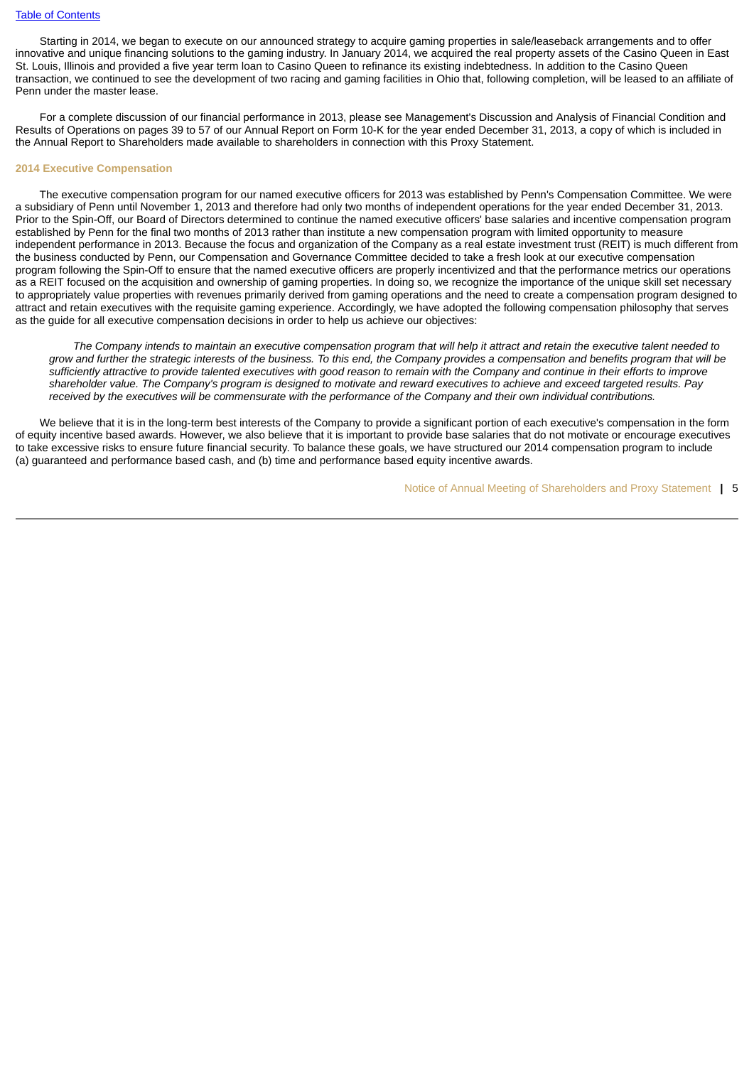Starting in 2014, we began to execute on our announced strategy to acquire gaming properties in sale/leaseback arrangements and to offer innovative and unique financing solutions to the gaming industry. In January 2014, we acquired the real property assets of the Casino Queen in East St. Louis, Illinois and provided a five year term loan to Casino Queen to refinance its existing indebtedness. In addition to the Casino Queen transaction, we continued to see the development of two racing and gaming facilities in Ohio that, following completion, will be leased to an affiliate of Penn under the master lease.

 For a complete discussion of our financial performance in 2013, please see Management's Discussion and Analysis of Financial Condition and Results of Operations on pages 39 to 57 of our Annual Report on Form 10-K for the year ended December 31, 2013, a copy of which is included in the Annual Report to Shareholders made available to shareholders in connection with this Proxy Statement.

#### **2014 Executive Compensation**

 The executive compensation program for our named executive officers for 2013 was established by Penn's Compensation Committee. We were a subsidiary of Penn until November 1, 2013 and therefore had only two months of independent operations for the year ended December 31, 2013. Prior to the Spin-Off, our Board of Directors determined to continue the named executive officers' base salaries and incentive compensation program established by Penn for the final two months of 2013 rather than institute a new compensation program with limited opportunity to measure independent performance in 2013. Because the focus and organization of the Company as a real estate investment trust (REIT) is much different from the business conducted by Penn, our Compensation and Governance Committee decided to take a fresh look at our executive compensation program following the Spin-Off to ensure that the named executive officers are properly incentivized and that the performance metrics our operations as a REIT focused on the acquisition and ownership of gaming properties. In doing so, we recognize the importance of the unique skill set necessary to appropriately value properties with revenues primarily derived from gaming operations and the need to create a compensation program designed to attract and retain executives with the requisite gaming experience. Accordingly, we have adopted the following compensation philosophy that serves as the guide for all executive compensation decisions in order to help us achieve our objectives:

 *The Company intends to maintain an executive compensation program that will help it attract and retain the executive talent needed to grow and further the strategic interests of the business. To this end, the Company provides a compensation and benefits program that will be sufficiently attractive to provide talented executives with good reason to remain with the Company and continue in their efforts to improve shareholder value. The Company's program is designed to motivate and reward executives to achieve and exceed targeted results. Pay received by the executives will be commensurate with the performance of the Company and their own individual contributions.*

 We believe that it is in the long-term best interests of the Company to provide a significant portion of each executive's compensation in the form of equity incentive based awards. However, we also believe that it is important to provide base salaries that do not motivate or encourage executives to take excessive risks to ensure future financial security. To balance these goals, we have structured our 2014 compensation program to include (a) guaranteed and performance based cash, and (b) time and performance based equity incentive awards.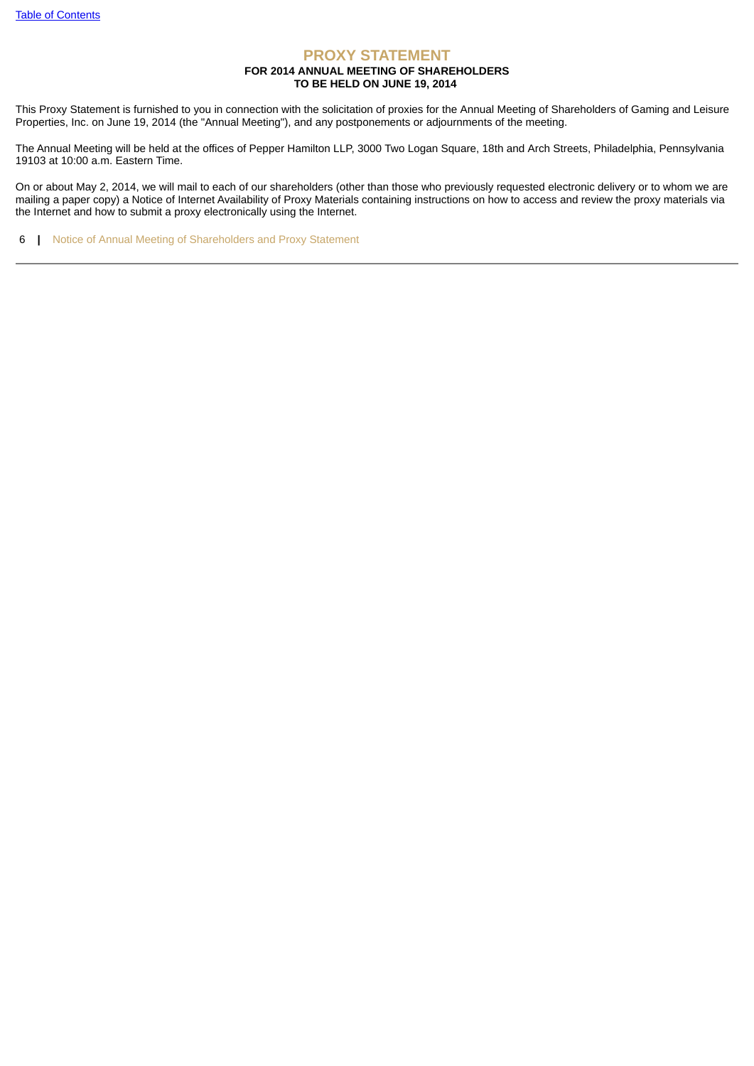# **PROXY STATEMENT**

# **FOR 2014 ANNUAL MEETING OF SHAREHOLDERS TO BE HELD ON JUNE 19, 2014**

This Proxy Statement is furnished to you in connection with the solicitation of proxies for the Annual Meeting of Shareholders of Gaming and Leisure Properties, Inc. on June 19, 2014 (the "Annual Meeting"), and any postponements or adjournments of the meeting.

The Annual Meeting will be held at the offices of Pepper Hamilton LLP, 3000 Two Logan Square, 18th and Arch Streets, Philadelphia, Pennsylvania 19103 at 10:00 a.m. Eastern Time.

On or about May 2, 2014, we will mail to each of our shareholders (other than those who previously requested electronic delivery or to whom we are mailing a paper copy) a Notice of Internet Availability of Proxy Materials containing instructions on how to access and review the proxy materials via the Internet and how to submit a proxy electronically using the Internet.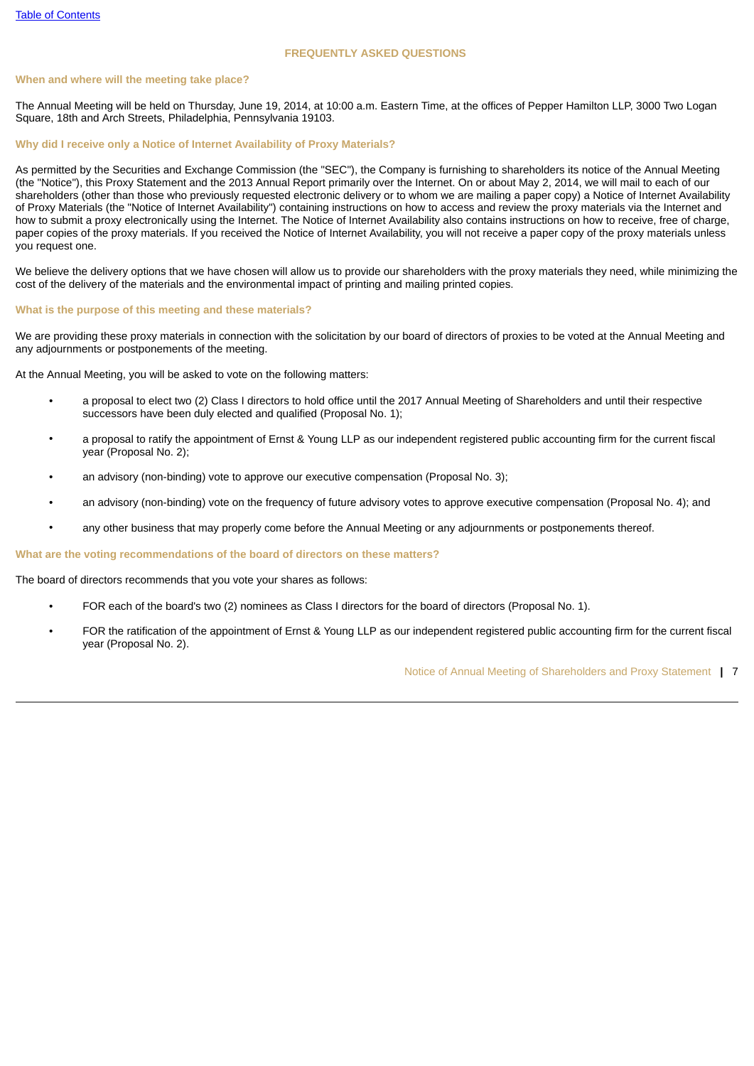## <span id="page-7-0"></span>**When and where will the meeting take place?**

The Annual Meeting will be held on Thursday, June 19, 2014, at 10:00 a.m. Eastern Time, at the offices of Pepper Hamilton LLP, 3000 Two Logan Square, 18th and Arch Streets, Philadelphia, Pennsylvania 19103.

#### **Why did I receive only a Notice of Internet Availability of Proxy Materials?**

As permitted by the Securities and Exchange Commission (the "SEC"), the Company is furnishing to shareholders its notice of the Annual Meeting (the "Notice"), this Proxy Statement and the 2013 Annual Report primarily over the Internet. On or about May 2, 2014, we will mail to each of our shareholders (other than those who previously requested electronic delivery or to whom we are mailing a paper copy) a Notice of Internet Availability of Proxy Materials (the "Notice of Internet Availability") containing instructions on how to access and review the proxy materials via the Internet and how to submit a proxy electronically using the Internet. The Notice of Internet Availability also contains instructions on how to receive, free of charge, paper copies of the proxy materials. If you received the Notice of Internet Availability, you will not receive a paper copy of the proxy materials unless you request one.

We believe the delivery options that we have chosen will allow us to provide our shareholders with the proxy materials they need, while minimizing the cost of the delivery of the materials and the environmental impact of printing and mailing printed copies.

# **What is the purpose of this meeting and these materials?**

We are providing these proxy materials in connection with the solicitation by our board of directors of proxies to be voted at the Annual Meeting and any adjournments or postponements of the meeting.

At the Annual Meeting, you will be asked to vote on the following matters:

- a proposal to elect two (2) Class I directors to hold office until the 2017 Annual Meeting of Shareholders and until their respective successors have been duly elected and qualified (Proposal No. 1);
- a proposal to ratify the appointment of Ernst & Young LLP as our independent registered public accounting firm for the current fiscal year (Proposal No. 2);
- an advisory (non-binding) vote to approve our executive compensation (Proposal No. 3);
- an advisory (non-binding) vote on the frequency of future advisory votes to approve executive compensation (Proposal No. 4); and
- any other business that may properly come before the Annual Meeting or any adjournments or postponements thereof.

**What are the voting recommendations of the board of directors on these matters?**

The board of directors recommends that you vote your shares as follows:

- FOR each of the board's two (2) nominees as Class I directors for the board of directors (Proposal No. 1).
- FOR the ratification of the appointment of Ernst & Young LLP as our independent registered public accounting firm for the current fiscal year (Proposal No. 2).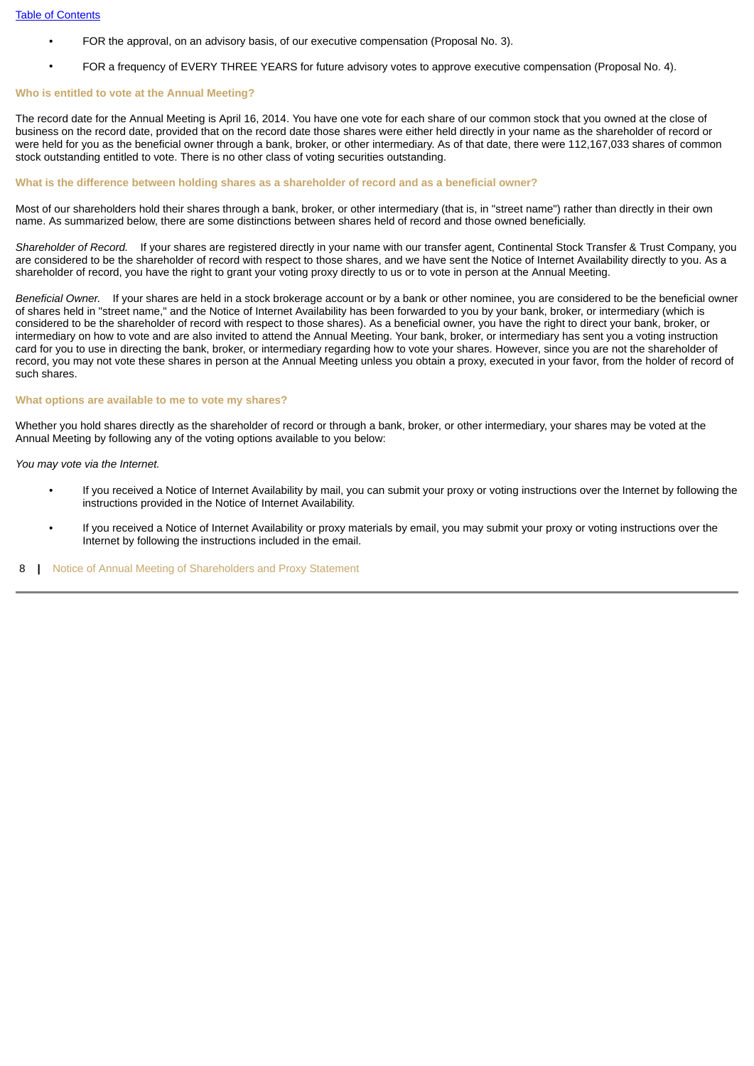- FOR the approval, on an advisory basis, of our executive compensation (Proposal No. 3).
- FOR a frequency of EVERY THREE YEARS for future advisory votes to approve executive compensation (Proposal No. 4).

# **Who is entitled to vote at the Annual Meeting?**

The record date for the Annual Meeting is April 16, 2014. You have one vote for each share of our common stock that you owned at the close of business on the record date, provided that on the record date those shares were either held directly in your name as the shareholder of record or were held for you as the beneficial owner through a bank, broker, or other intermediary. As of that date, there were 112,167,033 shares of common stock outstanding entitled to vote. There is no other class of voting securities outstanding.

# **What is the difference between holding shares as a shareholder of record and as a beneficial owner?**

Most of our shareholders hold their shares through a bank, broker, or other intermediary (that is, in "street name") rather than directly in their own name. As summarized below, there are some distinctions between shares held of record and those owned beneficially.

*Shareholder of Record.* If your shares are registered directly in your name with our transfer agent, Continental Stock Transfer & Trust Company, you are considered to be the shareholder of record with respect to those shares, and we have sent the Notice of Internet Availability directly to you. As a shareholder of record, you have the right to grant your voting proxy directly to us or to vote in person at the Annual Meeting.

*Beneficial Owner.* If your shares are held in a stock brokerage account or by a bank or other nominee, you are considered to be the beneficial owner of shares held in "street name," and the Notice of Internet Availability has been forwarded to you by your bank, broker, or intermediary (which is considered to be the shareholder of record with respect to those shares). As a beneficial owner, you have the right to direct your bank, broker, or intermediary on how to vote and are also invited to attend the Annual Meeting. Your bank, broker, or intermediary has sent you a voting instruction card for you to use in directing the bank, broker, or intermediary regarding how to vote your shares. However, since you are not the shareholder of record, you may not vote these shares in person at the Annual Meeting unless you obtain a proxy, executed in your favor, from the holder of record of such shares.

# **What options are available to me to vote my shares?**

Whether you hold shares directly as the shareholder of record or through a bank, broker, or other intermediary, your shares may be voted at the Annual Meeting by following any of the voting options available to you below:

*You may vote via the Internet.*

- If you received a Notice of Internet Availability by mail, you can submit your proxy or voting instructions over the Internet by following the instructions provided in the Notice of Internet Availability.
- If you received a Notice of Internet Availability or proxy materials by email, you may submit your proxy or voting instructions over the Internet by following the instructions included in the email.

**<sup>1</sup>** Notice of Annual Meeting of Shareholders and Proxy Statement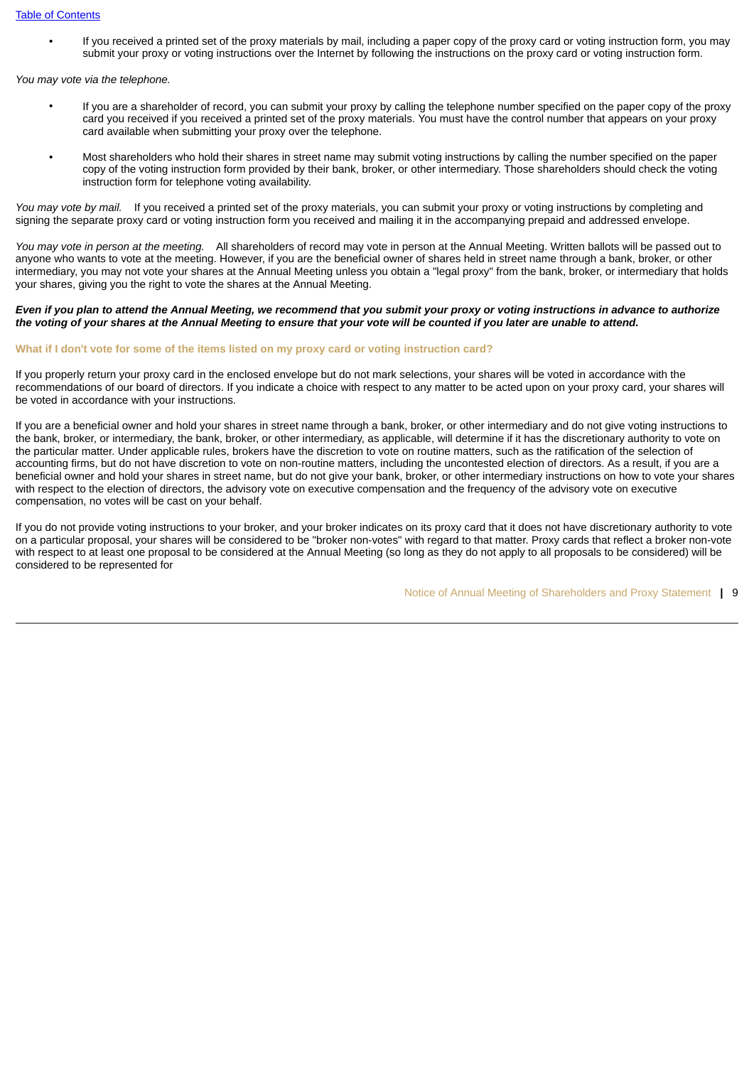If you received a printed set of the proxy materials by mail, including a paper copy of the proxy card or voting instruction form, you may submit your proxy or voting instructions over the Internet by following the instructions on the proxy card or voting instruction form.

*You may vote via the telephone.*

- If you are a shareholder of record, you can submit your proxy by calling the telephone number specified on the paper copy of the proxy card you received if you received a printed set of the proxy materials. You must have the control number that appears on your proxy card available when submitting your proxy over the telephone.
- Most shareholders who hold their shares in street name may submit voting instructions by calling the number specified on the paper copy of the voting instruction form provided by their bank, broker, or other intermediary. Those shareholders should check the voting instruction form for telephone voting availability.

*You may vote by mail.* If you received a printed set of the proxy materials, you can submit your proxy or voting instructions by completing and signing the separate proxy card or voting instruction form you received and mailing it in the accompanying prepaid and addressed envelope.

*You may vote in person at the meeting.* All shareholders of record may vote in person at the Annual Meeting. Written ballots will be passed out to anyone who wants to vote at the meeting. However, if you are the beneficial owner of shares held in street name through a bank, broker, or other intermediary, you may not vote your shares at the Annual Meeting unless you obtain a "legal proxy" from the bank, broker, or intermediary that holds your shares, giving you the right to vote the shares at the Annual Meeting.

#### *Even if you plan to attend the Annual Meeting, we recommend that you submit your proxy or voting instructions in advance to authorize the voting of your shares at the Annual Meeting to ensure that your vote will be counted if you later are unable to attend.*

# **What if I don't vote for some of the items listed on my proxy card or voting instruction card?**

If you properly return your proxy card in the enclosed envelope but do not mark selections, your shares will be voted in accordance with the recommendations of our board of directors. If you indicate a choice with respect to any matter to be acted upon on your proxy card, your shares will be voted in accordance with your instructions.

If you are a beneficial owner and hold your shares in street name through a bank, broker, or other intermediary and do not give voting instructions to the bank, broker, or intermediary, the bank, broker, or other intermediary, as applicable, will determine if it has the discretionary authority to vote on the particular matter. Under applicable rules, brokers have the discretion to vote on routine matters, such as the ratification of the selection of accounting firms, but do not have discretion to vote on non-routine matters, including the uncontested election of directors. As a result, if you are a beneficial owner and hold your shares in street name, but do not give your bank, broker, or other intermediary instructions on how to vote your shares with respect to the election of directors, the advisory vote on executive compensation and the frequency of the advisory vote on executive compensation, no votes will be cast on your behalf.

If you do not provide voting instructions to your broker, and your broker indicates on its proxy card that it does not have discretionary authority to vote on a particular proposal, your shares will be considered to be "broker non-votes" with regard to that matter. Proxy cards that reflect a broker non-vote with respect to at least one proposal to be considered at the Annual Meeting (so long as they do not apply to all proposals to be considered) will be considered to be represented for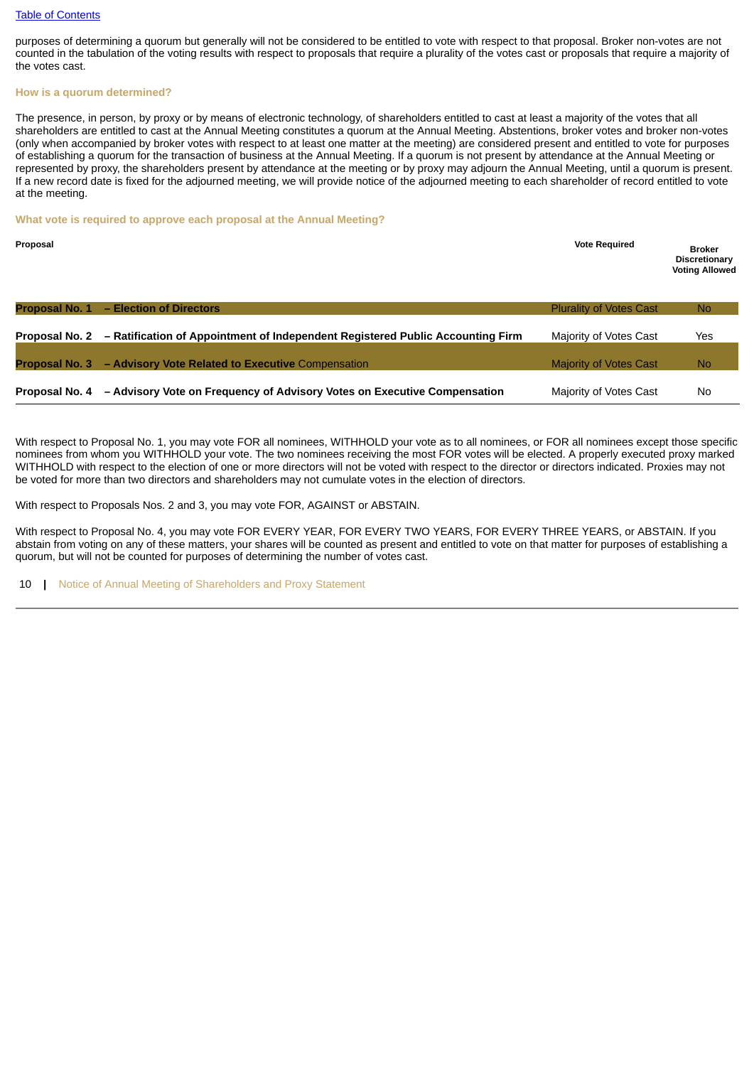purposes of determining a quorum but generally will not be considered to be entitled to vote with respect to that proposal. Broker non-votes are not counted in the tabulation of the voting results with respect to proposals that require a plurality of the votes cast or proposals that require a majority of the votes cast.

# **How is a quorum determined?**

The presence, in person, by proxy or by means of electronic technology, of shareholders entitled to cast at least a majority of the votes that all shareholders are entitled to cast at the Annual Meeting constitutes a quorum at the Annual Meeting. Abstentions, broker votes and broker non-votes (only when accompanied by broker votes with respect to at least one matter at the meeting) are considered present and entitled to vote for purposes of establishing a quorum for the transaction of business at the Annual Meeting. If a quorum is not present by attendance at the Annual Meeting or represented by proxy, the shareholders present by attendance at the meeting or by proxy may adjourn the Annual Meeting, until a quorum is present. If a new record date is fixed for the adjourned meeting, we will provide notice of the adjourned meeting to each shareholder of record entitled to vote at the meeting.

# **What vote is required to approve each proposal at the Annual Meeting?**

| Proposal              |                                                                                | <b>Vote Required</b>           | <b>Broker</b><br>Discretionary<br><b>Voting Allowed</b> |
|-----------------------|--------------------------------------------------------------------------------|--------------------------------|---------------------------------------------------------|
| <b>Proposal No. 1</b> | - Election of Directors                                                        | <b>Plurality of Votes Cast</b> | No.                                                     |
| Proposal No. 2        | - Ratification of Appointment of Independent Registered Public Accounting Firm | Majority of Votes Cast         | Yes                                                     |
| <b>Proposal No. 3</b> | - Advisory Vote Related to Executive Compensation                              | <b>Majority of Votes Cast</b>  | No                                                      |
| Proposal No. 4        | - Advisory Vote on Frequency of Advisory Votes on Executive Compensation       | Majority of Votes Cast         | No                                                      |

With respect to Proposal No. 1, you may vote FOR all nominees, WITHHOLD your vote as to all nominees, or FOR all nominees except those specific nominees from whom you WITHHOLD your vote. The two nominees receiving the most FOR votes will be elected. A properly executed proxy marked WITHHOLD with respect to the election of one or more directors will not be voted with respect to the director or directors indicated. Proxies may not be voted for more than two directors and shareholders may not cumulate votes in the election of directors.

With respect to Proposals Nos. 2 and 3, you may vote FOR, AGAINST or ABSTAIN.

With respect to Proposal No. 4, you may vote FOR EVERY YEAR, FOR EVERY TWO YEARS, FOR EVERY THREE YEARS, or ABSTAIN. If you abstain from voting on any of these matters, your shares will be counted as present and entitled to vote on that matter for purposes of establishing a quorum, but will not be counted for purposes of determining the number of votes cast.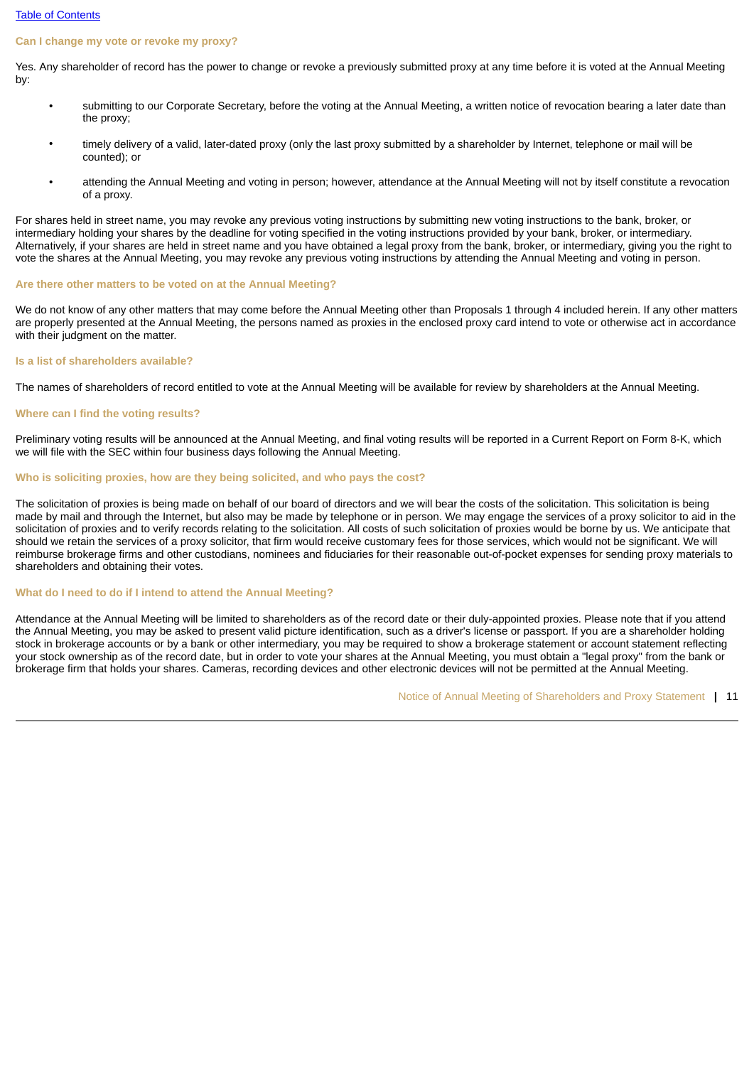#### **Can I change my vote or revoke my proxy?**

Yes. Any shareholder of record has the power to change or revoke a previously submitted proxy at any time before it is voted at the Annual Meeting by:

- submitting to our Corporate Secretary, before the voting at the Annual Meeting, a written notice of revocation bearing a later date than the proxy;
- timely delivery of a valid, later-dated proxy (only the last proxy submitted by a shareholder by Internet, telephone or mail will be counted); or
- attending the Annual Meeting and voting in person; however, attendance at the Annual Meeting will not by itself constitute a revocation of a proxy.

For shares held in street name, you may revoke any previous voting instructions by submitting new voting instructions to the bank, broker, or intermediary holding your shares by the deadline for voting specified in the voting instructions provided by your bank, broker, or intermediary. Alternatively, if your shares are held in street name and you have obtained a legal proxy from the bank, broker, or intermediary, giving you the right to vote the shares at the Annual Meeting, you may revoke any previous voting instructions by attending the Annual Meeting and voting in person.

#### **Are there other matters to be voted on at the Annual Meeting?**

We do not know of any other matters that may come before the Annual Meeting other than Proposals 1 through 4 included herein. If any other matters are properly presented at the Annual Meeting, the persons named as proxies in the enclosed proxy card intend to vote or otherwise act in accordance with their judgment on the matter.

#### **Is a list of shareholders available?**

The names of shareholders of record entitled to vote at the Annual Meeting will be available for review by shareholders at the Annual Meeting.

## **Where can I find the voting results?**

Preliminary voting results will be announced at the Annual Meeting, and final voting results will be reported in a Current Report on Form 8-K, which we will file with the SEC within four business days following the Annual Meeting.

# **Who is soliciting proxies, how are they being solicited, and who pays the cost?**

The solicitation of proxies is being made on behalf of our board of directors and we will bear the costs of the solicitation. This solicitation is being made by mail and through the Internet, but also may be made by telephone or in person. We may engage the services of a proxy solicitor to aid in the solicitation of proxies and to verify records relating to the solicitation. All costs of such solicitation of proxies would be borne by us. We anticipate that should we retain the services of a proxy solicitor, that firm would receive customary fees for those services, which would not be significant. We will reimburse brokerage firms and other custodians, nominees and fiduciaries for their reasonable out-of-pocket expenses for sending proxy materials to shareholders and obtaining their votes.

# **What do I need to do if I intend to attend the Annual Meeting?**

Attendance at the Annual Meeting will be limited to shareholders as of the record date or their duly-appointed proxies. Please note that if you attend the Annual Meeting, you may be asked to present valid picture identification, such as a driver's license or passport. If you are a shareholder holding stock in brokerage accounts or by a bank or other intermediary, you may be required to show a brokerage statement or account statement reflecting your stock ownership as of the record date, but in order to vote your shares at the Annual Meeting, you must obtain a "legal proxy" from the bank or brokerage firm that holds your shares. Cameras, recording devices and other electronic devices will not be permitted at the Annual Meeting.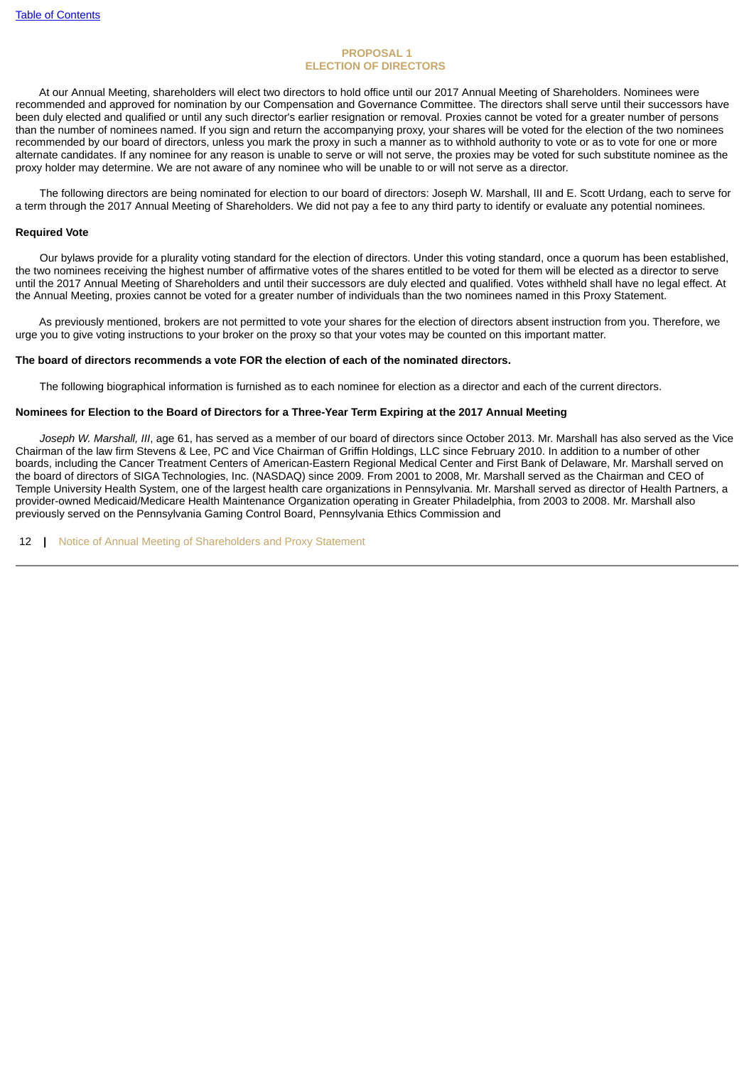# **PROPOSAL 1 ELECTION OF DIRECTORS**

<span id="page-12-0"></span> At our Annual Meeting, shareholders will elect two directors to hold office until our 2017 Annual Meeting of Shareholders. Nominees were recommended and approved for nomination by our Compensation and Governance Committee. The directors shall serve until their successors have been duly elected and qualified or until any such director's earlier resignation or removal. Proxies cannot be voted for a greater number of persons than the number of nominees named. If you sign and return the accompanying proxy, your shares will be voted for the election of the two nominees recommended by our board of directors, unless you mark the proxy in such a manner as to withhold authority to vote or as to vote for one or more alternate candidates. If any nominee for any reason is unable to serve or will not serve, the proxies may be voted for such substitute nominee as the proxy holder may determine. We are not aware of any nominee who will be unable to or will not serve as a director.

 The following directors are being nominated for election to our board of directors: Joseph W. Marshall, III and E. Scott Urdang, each to serve for a term through the 2017 Annual Meeting of Shareholders. We did not pay a fee to any third party to identify or evaluate any potential nominees.

#### **Required Vote**

 Our bylaws provide for a plurality voting standard for the election of directors. Under this voting standard, once a quorum has been established, the two nominees receiving the highest number of affirmative votes of the shares entitled to be voted for them will be elected as a director to serve until the 2017 Annual Meeting of Shareholders and until their successors are duly elected and qualified. Votes withheld shall have no legal effect. At the Annual Meeting, proxies cannot be voted for a greater number of individuals than the two nominees named in this Proxy Statement.

 As previously mentioned, brokers are not permitted to vote your shares for the election of directors absent instruction from you. Therefore, we urge you to give voting instructions to your broker on the proxy so that your votes may be counted on this important matter.

#### **The board of directors recommends a vote FOR the election of each of the nominated directors.**

The following biographical information is furnished as to each nominee for election as a director and each of the current directors.

## **Nominees for Election to the Board of Directors for a Three-Year Term Expiring at the 2017 Annual Meeting**

 *Joseph W. Marshall, III*, age 61, has served as a member of our board of directors since October 2013. Mr. Marshall has also served as the Vice Chairman of the law firm Stevens & Lee, PC and Vice Chairman of Griffin Holdings, LLC since February 2010. In addition to a number of other boards, including the Cancer Treatment Centers of American-Eastern Regional Medical Center and First Bank of Delaware, Mr. Marshall served on the board of directors of SIGA Technologies, Inc. (NASDAQ) since 2009. From 2001 to 2008, Mr. Marshall served as the Chairman and CEO of Temple University Health System, one of the largest health care organizations in Pennsylvania. Mr. Marshall served as director of Health Partners, a provider-owned Medicaid/Medicare Health Maintenance Organization operating in Greater Philadelphia, from 2003 to 2008. Mr. Marshall also previously served on the Pennsylvania Gaming Control Board, Pennsylvania Ethics Commission and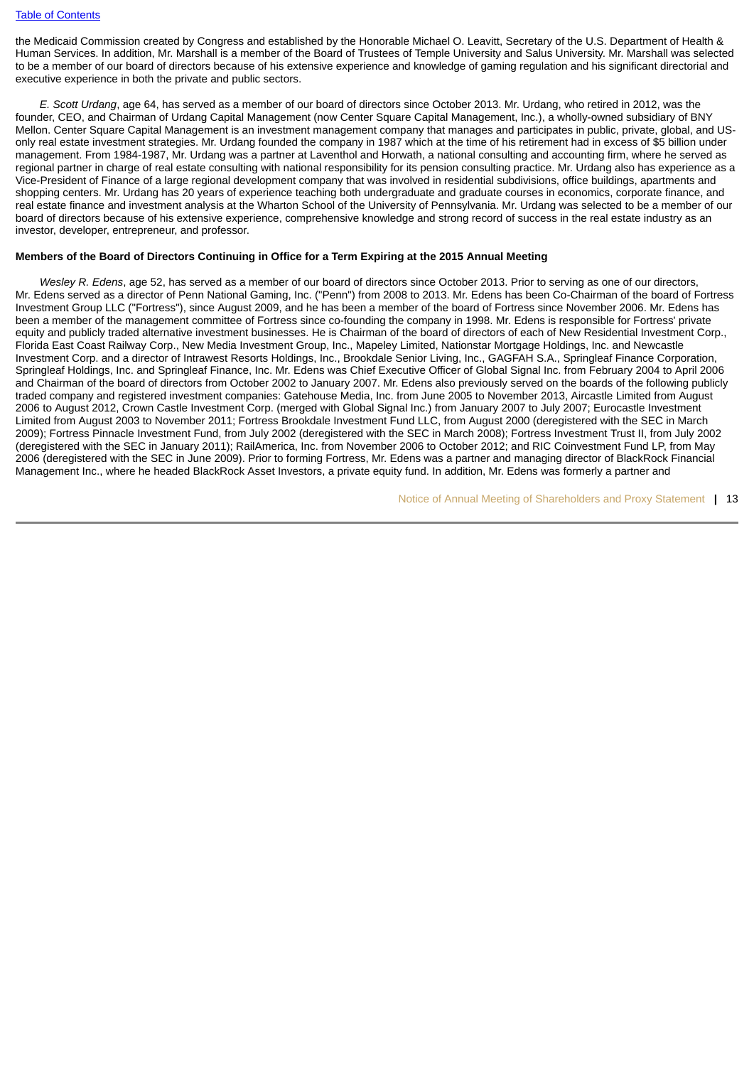the Medicaid Commission created by Congress and established by the Honorable Michael O. Leavitt, Secretary of the U.S. Department of Health & Human Services. In addition, Mr. Marshall is a member of the Board of Trustees of Temple University and Salus University. Mr. Marshall was selected to be a member of our board of directors because of his extensive experience and knowledge of gaming regulation and his significant directorial and executive experience in both the private and public sectors.

 *E. Scott Urdang*, age 64, has served as a member of our board of directors since October 2013. Mr. Urdang, who retired in 2012, was the founder, CEO, and Chairman of Urdang Capital Management (now Center Square Capital Management, Inc.), a wholly-owned subsidiary of BNY Mellon. Center Square Capital Management is an investment management company that manages and participates in public, private, global, and USonly real estate investment strategies. Mr. Urdang founded the company in 1987 which at the time of his retirement had in excess of \$5 billion under management. From 1984-1987, Mr. Urdang was a partner at Laventhol and Horwath, a national consulting and accounting firm, where he served as regional partner in charge of real estate consulting with national responsibility for its pension consulting practice. Mr. Urdang also has experience as a Vice-President of Finance of a large regional development company that was involved in residential subdivisions, office buildings, apartments and shopping centers. Mr. Urdang has 20 years of experience teaching both undergraduate and graduate courses in economics, corporate finance, and real estate finance and investment analysis at the Wharton School of the University of Pennsylvania. Mr. Urdang was selected to be a member of our board of directors because of his extensive experience, comprehensive knowledge and strong record of success in the real estate industry as an investor, developer, entrepreneur, and professor.

# **Members of the Board of Directors Continuing in Office for a Term Expiring at the 2015 Annual Meeting**

 *Wesley R. Edens*, age 52, has served as a member of our board of directors since October 2013. Prior to serving as one of our directors, Mr. Edens served as a director of Penn National Gaming, Inc. ("Penn") from 2008 to 2013. Mr. Edens has been Co-Chairman of the board of Fortress Investment Group LLC ("Fortress"), since August 2009, and he has been a member of the board of Fortress since November 2006. Mr. Edens has been a member of the management committee of Fortress since co-founding the company in 1998. Mr. Edens is responsible for Fortress' private equity and publicly traded alternative investment businesses. He is Chairman of the board of directors of each of New Residential Investment Corp., Florida East Coast Railway Corp., New Media Investment Group, Inc., Mapeley Limited, Nationstar Mortgage Holdings, Inc. and Newcastle Investment Corp. and a director of Intrawest Resorts Holdings, Inc., Brookdale Senior Living, Inc., GAGFAH S.A., Springleaf Finance Corporation, Springleaf Holdings, Inc. and Springleaf Finance, Inc. Mr. Edens was Chief Executive Officer of Global Signal Inc. from February 2004 to April 2006 and Chairman of the board of directors from October 2002 to January 2007. Mr. Edens also previously served on the boards of the following publicly traded company and registered investment companies: Gatehouse Media, Inc. from June 2005 to November 2013, Aircastle Limited from August 2006 to August 2012, Crown Castle Investment Corp. (merged with Global Signal Inc.) from January 2007 to July 2007; Eurocastle Investment Limited from August 2003 to November 2011; Fortress Brookdale Investment Fund LLC, from August 2000 (deregistered with the SEC in March 2009); Fortress Pinnacle Investment Fund, from July 2002 (deregistered with the SEC in March 2008); Fortress Investment Trust II, from July 2002 (deregistered with the SEC in January 2011); RailAmerica, Inc. from November 2006 to October 2012; and RIC Coinvestment Fund LP, from May 2006 (deregistered with the SEC in June 2009). Prior to forming Fortress, Mr. Edens was a partner and managing director of BlackRock Financial Management Inc., where he headed BlackRock Asset Investors, a private equity fund. In addition, Mr. Edens was formerly a partner and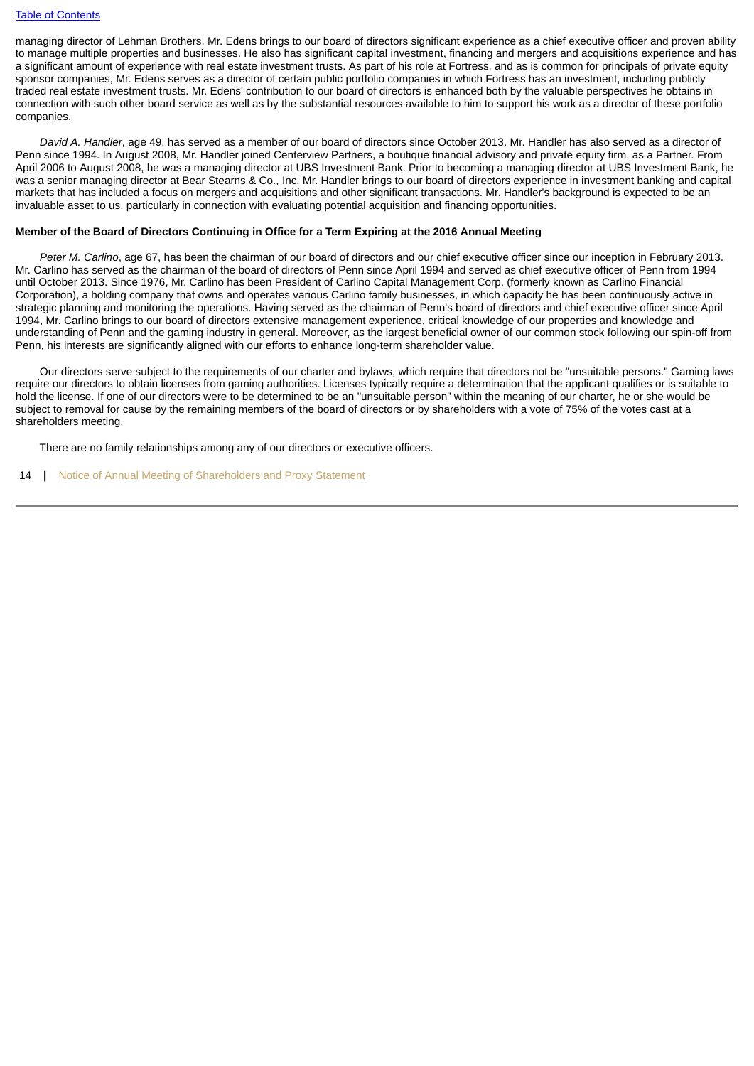managing director of Lehman Brothers. Mr. Edens brings to our board of directors significant experience as a chief executive officer and proven ability to manage multiple properties and businesses. He also has significant capital investment, financing and mergers and acquisitions experience and has a significant amount of experience with real estate investment trusts. As part of his role at Fortress, and as is common for principals of private equity sponsor companies, Mr. Edens serves as a director of certain public portfolio companies in which Fortress has an investment, including publicly traded real estate investment trusts. Mr. Edens' contribution to our board of directors is enhanced both by the valuable perspectives he obtains in connection with such other board service as well as by the substantial resources available to him to support his work as a director of these portfolio companies.

 *David A. Handler*, age 49, has served as a member of our board of directors since October 2013. Mr. Handler has also served as a director of Penn since 1994. In August 2008, Mr. Handler joined Centerview Partners, a boutique financial advisory and private equity firm, as a Partner. From April 2006 to August 2008, he was a managing director at UBS Investment Bank. Prior to becoming a managing director at UBS Investment Bank, he was a senior managing director at Bear Stearns & Co., Inc. Mr. Handler brings to our board of directors experience in investment banking and capital markets that has included a focus on mergers and acquisitions and other significant transactions. Mr. Handler's background is expected to be an invaluable asset to us, particularly in connection with evaluating potential acquisition and financing opportunities.

# **Member of the Board of Directors Continuing in Office for a Term Expiring at the 2016 Annual Meeting**

 *Peter M. Carlino*, age 67, has been the chairman of our board of directors and our chief executive officer since our inception in February 2013. Mr. Carlino has served as the chairman of the board of directors of Penn since April 1994 and served as chief executive officer of Penn from 1994 until October 2013. Since 1976, Mr. Carlino has been President of Carlino Capital Management Corp. (formerly known as Carlino Financial Corporation), a holding company that owns and operates various Carlino family businesses, in which capacity he has been continuously active in strategic planning and monitoring the operations. Having served as the chairman of Penn's board of directors and chief executive officer since April 1994, Mr. Carlino brings to our board of directors extensive management experience, critical knowledge of our properties and knowledge and understanding of Penn and the gaming industry in general. Moreover, as the largest beneficial owner of our common stock following our spin-off from Penn, his interests are significantly aligned with our efforts to enhance long-term shareholder value.

 Our directors serve subject to the requirements of our charter and bylaws, which require that directors not be "unsuitable persons." Gaming laws require our directors to obtain licenses from gaming authorities. Licenses typically require a determination that the applicant qualifies or is suitable to hold the license. If one of our directors were to be determined to be an "unsuitable person" within the meaning of our charter, he or she would be subject to removal for cause by the remaining members of the board of directors or by shareholders with a vote of 75% of the votes cast at a shareholders meeting.

There are no family relationships among any of our directors or executive officers.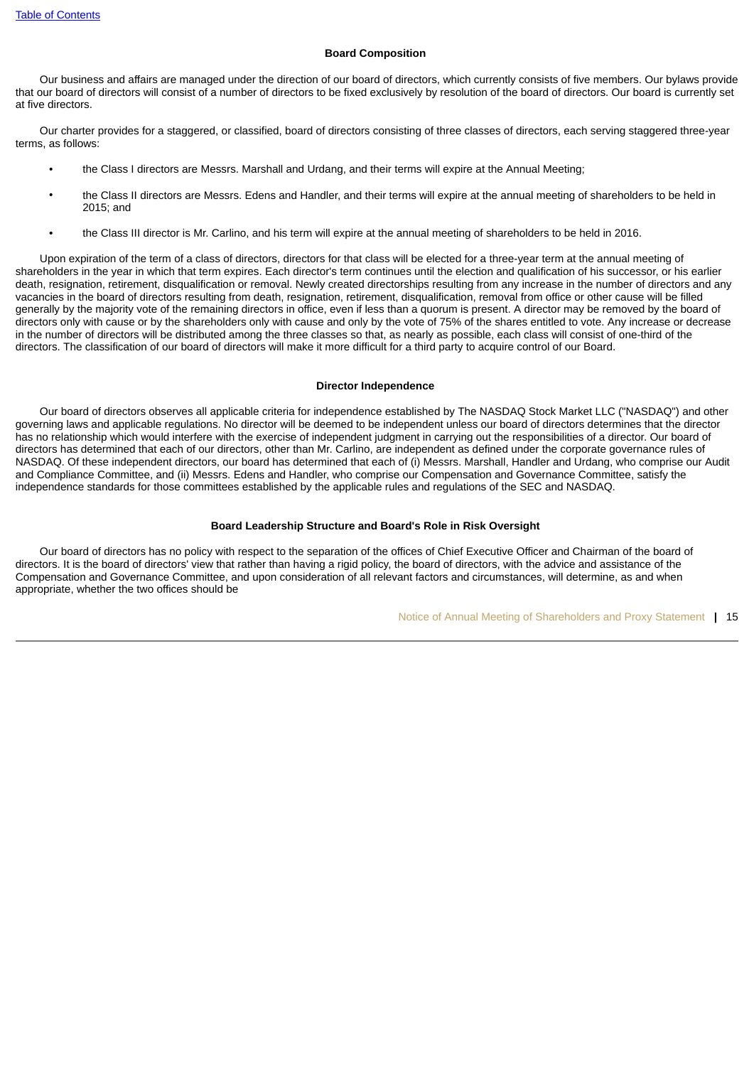# **Board Composition**

 Our business and affairs are managed under the direction of our board of directors, which currently consists of five members. Our bylaws provide that our board of directors will consist of a number of directors to be fixed exclusively by resolution of the board of directors. Our board is currently set at five directors.

 Our charter provides for a staggered, or classified, board of directors consisting of three classes of directors, each serving staggered three-year terms, as follows:

- the Class I directors are Messrs. Marshall and Urdang, and their terms will expire at the Annual Meeting;
- the Class II directors are Messrs. Edens and Handler, and their terms will expire at the annual meeting of shareholders to be held in 2015; and
- the Class III director is Mr. Carlino, and his term will expire at the annual meeting of shareholders to be held in 2016.

 Upon expiration of the term of a class of directors, directors for that class will be elected for a three-year term at the annual meeting of shareholders in the year in which that term expires. Each director's term continues until the election and qualification of his successor, or his earlier death, resignation, retirement, disqualification or removal. Newly created directorships resulting from any increase in the number of directors and any vacancies in the board of directors resulting from death, resignation, retirement, disqualification, removal from office or other cause will be filled generally by the majority vote of the remaining directors in office, even if less than a quorum is present. A director may be removed by the board of directors only with cause or by the shareholders only with cause and only by the vote of 75% of the shares entitled to vote. Any increase or decrease in the number of directors will be distributed among the three classes so that, as nearly as possible, each class will consist of one-third of the directors. The classification of our board of directors will make it more difficult for a third party to acquire control of our Board.

# **Director Independence**

 Our board of directors observes all applicable criteria for independence established by The NASDAQ Stock Market LLC ("NASDAQ") and other governing laws and applicable regulations. No director will be deemed to be independent unless our board of directors determines that the director has no relationship which would interfere with the exercise of independent judgment in carrying out the responsibilities of a director. Our board of directors has determined that each of our directors, other than Mr. Carlino, are independent as defined under the corporate governance rules of NASDAQ. Of these independent directors, our board has determined that each of (i) Messrs. Marshall, Handler and Urdang, who comprise our Audit and Compliance Committee, and (ii) Messrs. Edens and Handler, who comprise our Compensation and Governance Committee, satisfy the independence standards for those committees established by the applicable rules and regulations of the SEC and NASDAQ.

# **Board Leadership Structure and Board's Role in Risk Oversight**

 Our board of directors has no policy with respect to the separation of the offices of Chief Executive Officer and Chairman of the board of directors. It is the board of directors' view that rather than having a rigid policy, the board of directors, with the advice and assistance of the Compensation and Governance Committee, and upon consideration of all relevant factors and circumstances, will determine, as and when appropriate, whether the two offices should be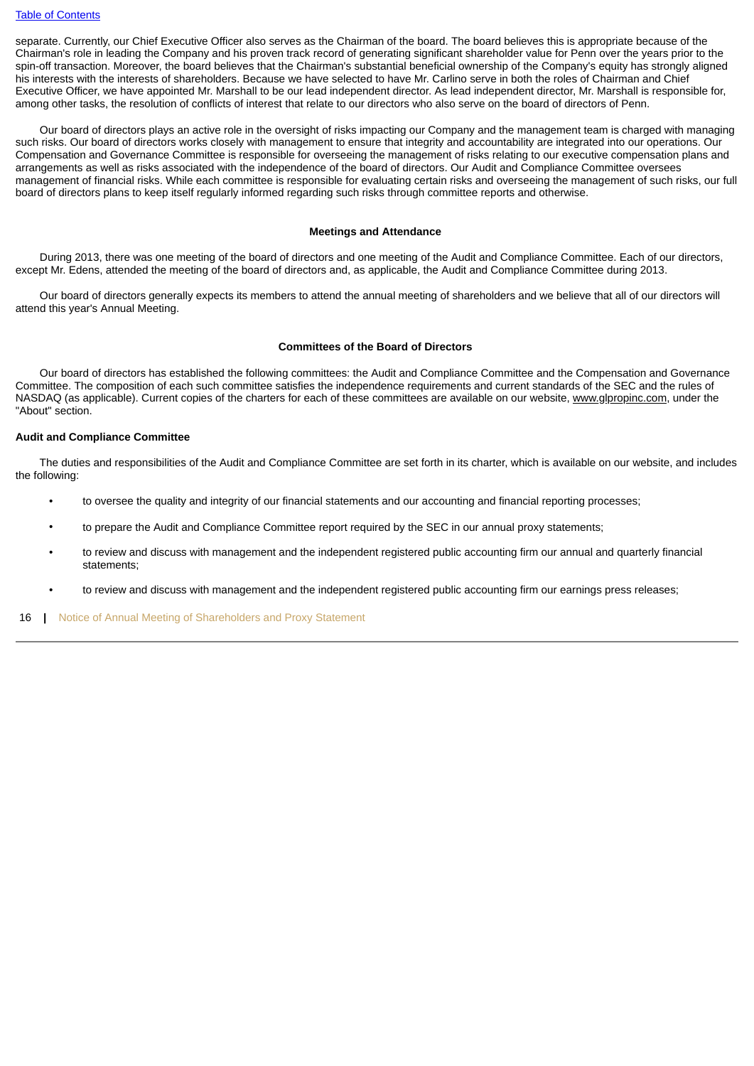separate. Currently, our Chief Executive Officer also serves as the Chairman of the board. The board believes this is appropriate because of the Chairman's role in leading the Company and his proven track record of generating significant shareholder value for Penn over the years prior to the spin-off transaction. Moreover, the board believes that the Chairman's substantial beneficial ownership of the Company's equity has strongly aligned his interests with the interests of shareholders. Because we have selected to have Mr. Carlino serve in both the roles of Chairman and Chief Executive Officer, we have appointed Mr. Marshall to be our lead independent director. As lead independent director, Mr. Marshall is responsible for, among other tasks, the resolution of conflicts of interest that relate to our directors who also serve on the board of directors of Penn.

 Our board of directors plays an active role in the oversight of risks impacting our Company and the management team is charged with managing such risks. Our board of directors works closely with management to ensure that integrity and accountability are integrated into our operations. Our Compensation and Governance Committee is responsible for overseeing the management of risks relating to our executive compensation plans and arrangements as well as risks associated with the independence of the board of directors. Our Audit and Compliance Committee oversees management of financial risks. While each committee is responsible for evaluating certain risks and overseeing the management of such risks, our full board of directors plans to keep itself regularly informed regarding such risks through committee reports and otherwise.

#### **Meetings and Attendance**

 During 2013, there was one meeting of the board of directors and one meeting of the Audit and Compliance Committee. Each of our directors, except Mr. Edens, attended the meeting of the board of directors and, as applicable, the Audit and Compliance Committee during 2013.

 Our board of directors generally expects its members to attend the annual meeting of shareholders and we believe that all of our directors will attend this year's Annual Meeting.

#### **Committees of the Board of Directors**

 Our board of directors has established the following committees: the Audit and Compliance Committee and the Compensation and Governance Committee. The composition of each such committee satisfies the independence requirements and current standards of the SEC and the rules of NASDAQ (as applicable). Current copies of the charters for each of these committees are available on our website, www.glpropinc.com, under the "About" section.

## **Audit and Compliance Committee**

 The duties and responsibilities of the Audit and Compliance Committee are set forth in its charter, which is available on our website, and includes the following:

- to oversee the quality and integrity of our financial statements and our accounting and financial reporting processes;
- to prepare the Audit and Compliance Committee report required by the SEC in our annual proxy statements;
- to review and discuss with management and the independent registered public accounting firm our annual and quarterly financial statements;
- to review and discuss with management and the independent registered public accounting firm our earnings press releases;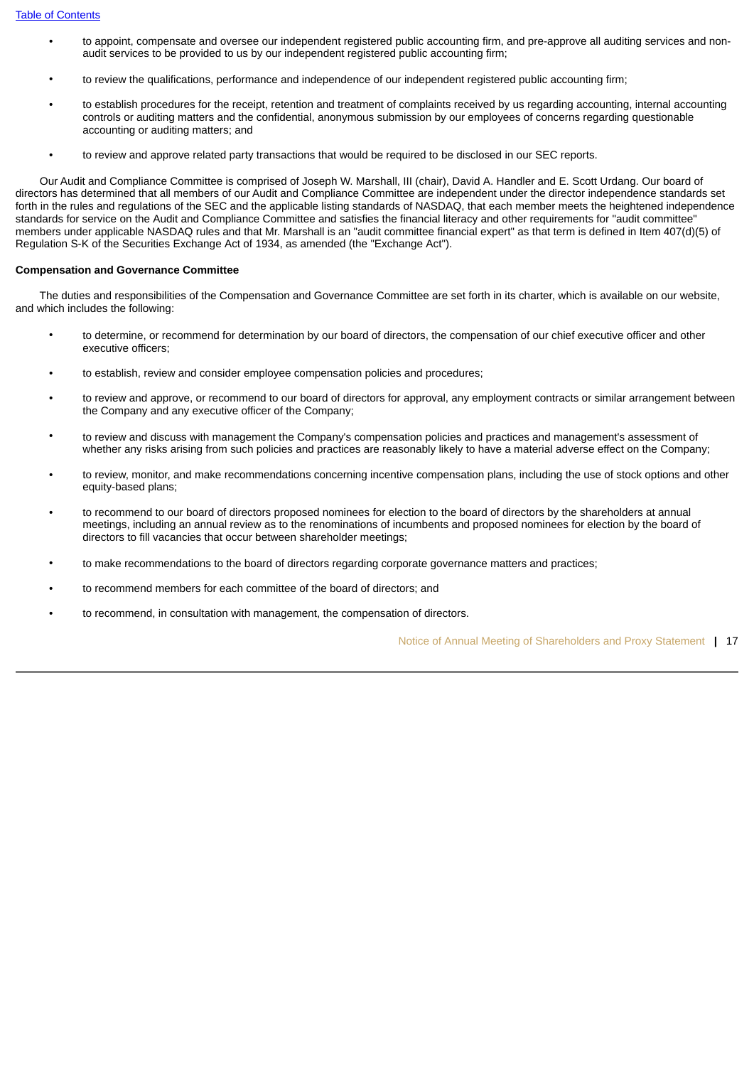- to appoint, compensate and oversee our independent registered public accounting firm, and pre-approve all auditing services and nonaudit services to be provided to us by our independent registered public accounting firm;
- to review the qualifications, performance and independence of our independent registered public accounting firm;
- to establish procedures for the receipt, retention and treatment of complaints received by us regarding accounting, internal accounting controls or auditing matters and the confidential, anonymous submission by our employees of concerns regarding questionable accounting or auditing matters; and
- to review and approve related party transactions that would be required to be disclosed in our SEC reports.

 Our Audit and Compliance Committee is comprised of Joseph W. Marshall, III (chair), David A. Handler and E. Scott Urdang. Our board of directors has determined that all members of our Audit and Compliance Committee are independent under the director independence standards set forth in the rules and regulations of the SEC and the applicable listing standards of NASDAO, that each member meets the heightened independence standards for service on the Audit and Compliance Committee and satisfies the financial literacy and other requirements for "audit committee" members under applicable NASDAQ rules and that Mr. Marshall is an "audit committee financial expert" as that term is defined in Item 407(d)(5) of Regulation S-K of the Securities Exchange Act of 1934, as amended (the "Exchange Act").

# **Compensation and Governance Committee**

 The duties and responsibilities of the Compensation and Governance Committee are set forth in its charter, which is available on our website, and which includes the following:

- to determine, or recommend for determination by our board of directors, the compensation of our chief executive officer and other executive officers;
- to establish, review and consider employee compensation policies and procedures;
- to review and approve, or recommend to our board of directors for approval, any employment contracts or similar arrangement between the Company and any executive officer of the Company;
- to review and discuss with management the Company's compensation policies and practices and management's assessment of whether any risks arising from such policies and practices are reasonably likely to have a material adverse effect on the Company;
- to review, monitor, and make recommendations concerning incentive compensation plans, including the use of stock options and other equity-based plans;
- to recommend to our board of directors proposed nominees for election to the board of directors by the shareholders at annual meetings, including an annual review as to the renominations of incumbents and proposed nominees for election by the board of directors to fill vacancies that occur between shareholder meetings;
- to make recommendations to the board of directors regarding corporate governance matters and practices;
- to recommend members for each committee of the board of directors; and
- to recommend, in consultation with management, the compensation of directors.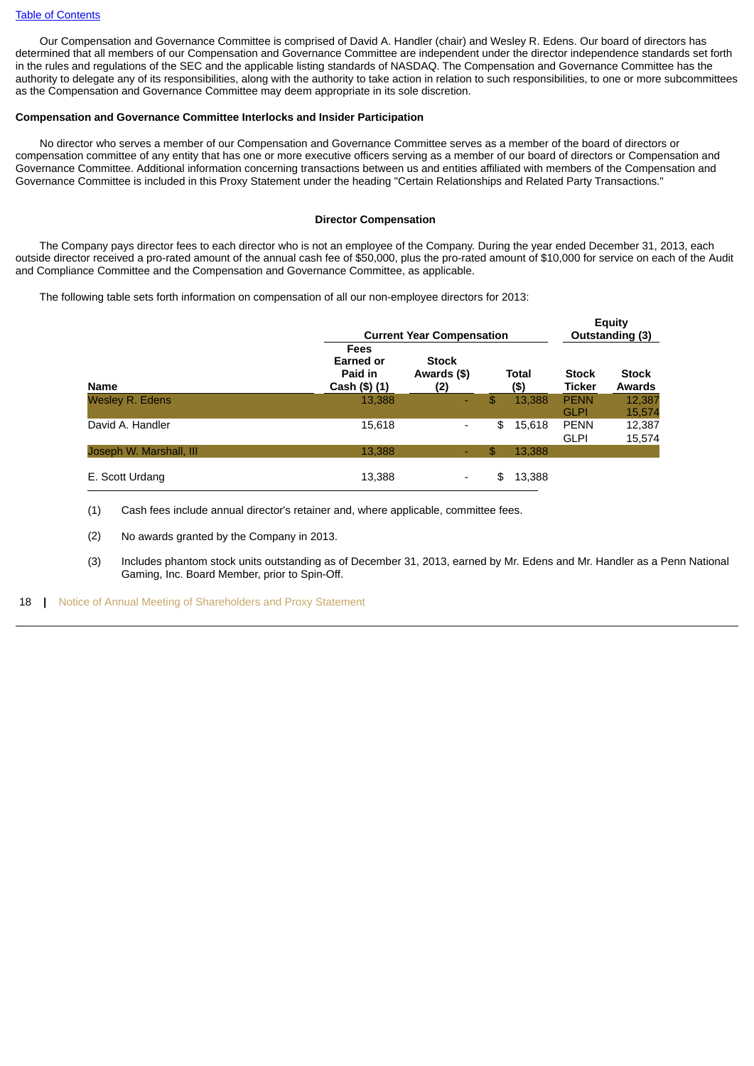Our Compensation and Governance Committee is comprised of David A. Handler (chair) and Wesley R. Edens. Our board of directors has determined that all members of our Compensation and Governance Committee are independent under the director independence standards set forth in the rules and regulations of the SEC and the applicable listing standards of NASDAQ. The Compensation and Governance Committee has the authority to delegate any of its responsibilities, along with the authority to take action in relation to such responsibilities, to one or more subcommittees as the Compensation and Governance Committee may deem appropriate in its sole discretion.

# **Compensation and Governance Committee Interlocks and Insider Participation**

 No director who serves a member of our Compensation and Governance Committee serves as a member of the board of directors or compensation committee of any entity that has one or more executive officers serving as a member of our board of directors or Compensation and Governance Committee. Additional information concerning transactions between us and entities affiliated with members of the Compensation and Governance Committee is included in this Proxy Statement under the heading "Certain Relationships and Related Party Transactions."

# **Director Compensation**

 The Company pays director fees to each director who is not an employee of the Company. During the year ended December 31, 2013, each outside director received a pro-rated amount of the annual cash fee of \$50,000, plus the pro-rated amount of \$10,000 for service on each of the Audit and Compliance Committee and the Compensation and Governance Committee, as applicable.

The following table sets forth information on compensation of all our non-employee directors for 2013:

|                         |                                                      | <b>Current Year Compensation</b>   |                      |                               | <b>Equity</b><br>Outstanding (3) |
|-------------------------|------------------------------------------------------|------------------------------------|----------------------|-------------------------------|----------------------------------|
| <b>Name</b>             | Fees<br><b>Earned or</b><br>Paid in<br>Cash (\$) (1) | <b>Stock</b><br>Awards (\$)<br>(2) | <b>Total</b><br>(\$) | <b>Stock</b><br><b>Ticker</b> | <b>Stock</b><br>Awards           |
| <b>Wesley R. Edens</b>  | 13,388                                               | ٠                                  | \$<br>13,388         | <b>PENN</b><br><b>GLPI</b>    | 12,387<br>15,574                 |
| David A. Handler        | 15,618                                               | $\overline{\phantom{a}}$           | \$<br>15,618         | <b>PENN</b><br><b>GLPI</b>    | 12,387<br>15,574                 |
| Joseph W. Marshall, III | 13,388                                               | ٠                                  | \$<br>13,388         |                               |                                  |
| E. Scott Urdang         | 13.388                                               | $\overline{a}$                     | \$<br>13.388         |                               |                                  |

(1) Cash fees include annual director's retainer and, where applicable, committee fees.

(2) No awards granted by the Company in 2013.

(3) Includes phantom stock units outstanding as of December 31, 2013, earned by Mr. Edens and Mr. Handler as a Penn National Gaming, Inc. Board Member, prior to Spin-Off.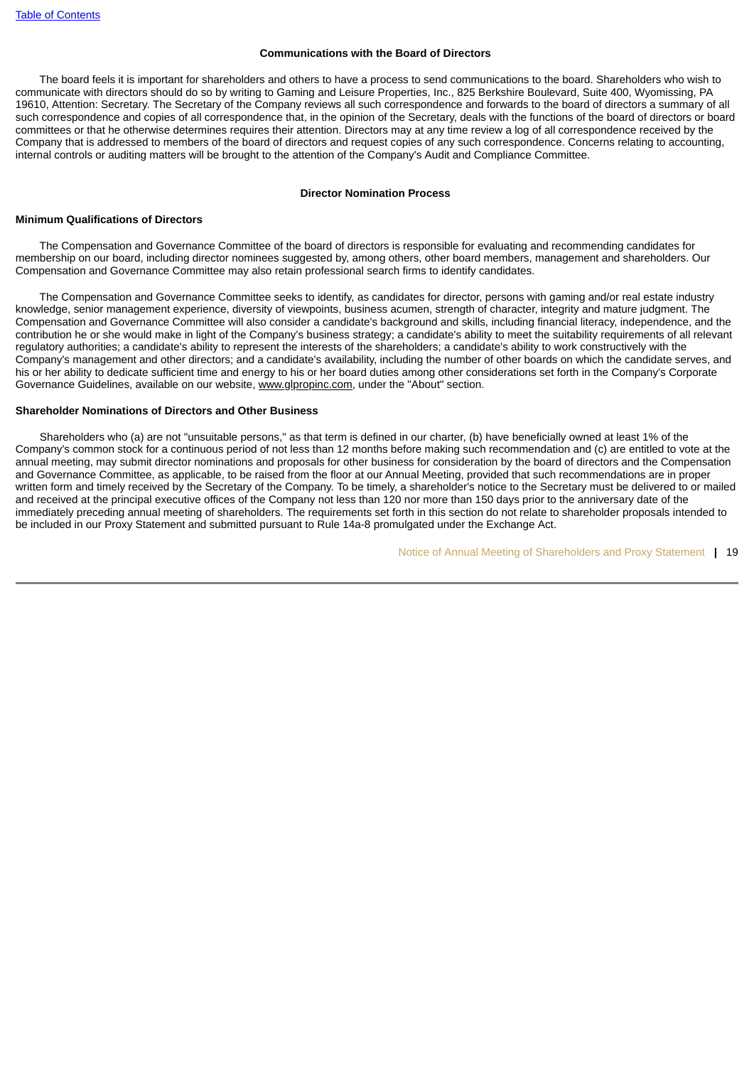#### **Communications with the Board of Directors**

 The board feels it is important for shareholders and others to have a process to send communications to the board. Shareholders who wish to communicate with directors should do so by writing to Gaming and Leisure Properties, Inc., 825 Berkshire Boulevard, Suite 400, Wyomissing, PA 19610, Attention: Secretary. The Secretary of the Company reviews all such correspondence and forwards to the board of directors a summary of all such correspondence and copies of all correspondence that, in the opinion of the Secretary, deals with the functions of the board of directors or board committees or that he otherwise determines requires their attention. Directors may at any time review a log of all correspondence received by the Company that is addressed to members of the board of directors and request copies of any such correspondence. Concerns relating to accounting, internal controls or auditing matters will be brought to the attention of the Company's Audit and Compliance Committee.

#### **Director Nomination Process**

## **Minimum Qualifications of Directors**

 The Compensation and Governance Committee of the board of directors is responsible for evaluating and recommending candidates for membership on our board, including director nominees suggested by, among others, other board members, management and shareholders. Our Compensation and Governance Committee may also retain professional search firms to identify candidates.

 The Compensation and Governance Committee seeks to identify, as candidates for director, persons with gaming and/or real estate industry knowledge, senior management experience, diversity of viewpoints, business acumen, strength of character, integrity and mature judgment. The Compensation and Governance Committee will also consider a candidate's background and skills, including financial literacy, independence, and the contribution he or she would make in light of the Company's business strategy; a candidate's ability to meet the suitability requirements of all relevant regulatory authorities; a candidate's ability to represent the interests of the shareholders; a candidate's ability to work constructively with the Company's management and other directors; and a candidate's availability, including the number of other boards on which the candidate serves, and his or her ability to dedicate sufficient time and energy to his or her board duties among other considerations set forth in the Company's Corporate Governance Guidelines, available on our website, www.glpropinc.com, under the "About" section.

## **Shareholder Nominations of Directors and Other Business**

 Shareholders who (a) are not "unsuitable persons," as that term is defined in our charter, (b) have beneficially owned at least 1% of the Company's common stock for a continuous period of not less than 12 months before making such recommendation and (c) are entitled to vote at the annual meeting, may submit director nominations and proposals for other business for consideration by the board of directors and the Compensation and Governance Committee, as applicable, to be raised from the floor at our Annual Meeting, provided that such recommendations are in proper written form and timely received by the Secretary of the Company. To be timely, a shareholder's notice to the Secretary must be delivered to or mailed and received at the principal executive offices of the Company not less than 120 nor more than 150 days prior to the anniversary date of the immediately preceding annual meeting of shareholders. The requirements set forth in this section do not relate to shareholder proposals intended to be included in our Proxy Statement and submitted pursuant to Rule 14a-8 promulgated under the Exchange Act.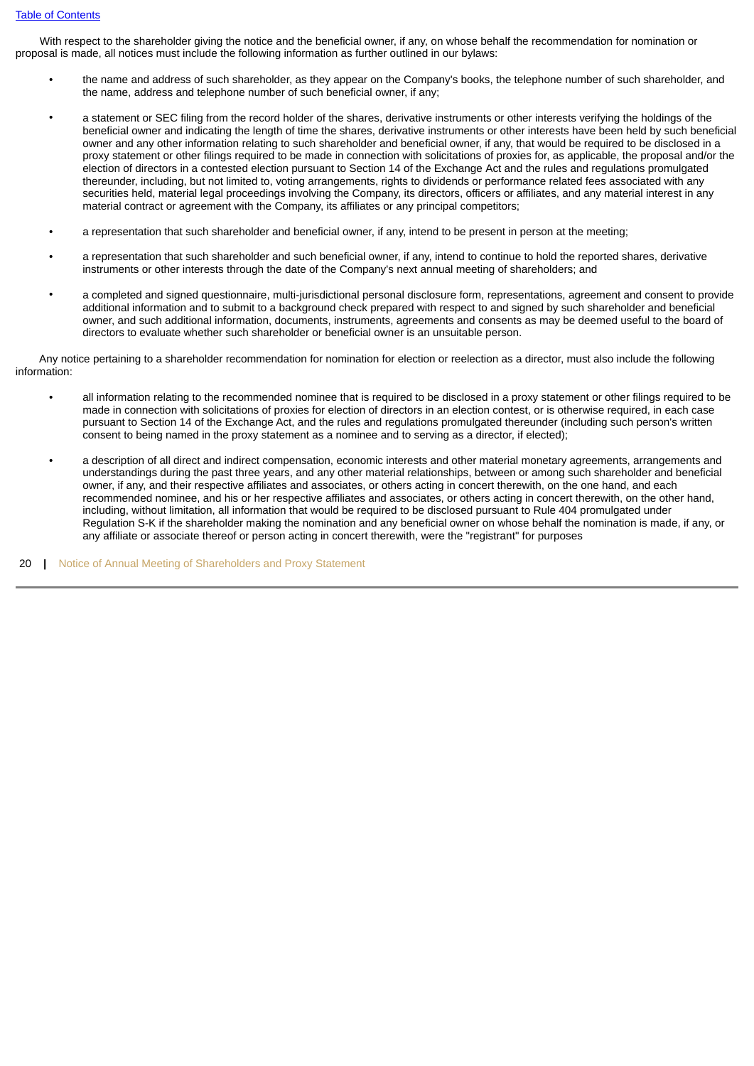With respect to the shareholder giving the notice and the beneficial owner, if any, on whose behalf the recommendation for nomination or proposal is made, all notices must include the following information as further outlined in our bylaws:

- the name and address of such shareholder, as they appear on the Company's books, the telephone number of such shareholder, and the name, address and telephone number of such beneficial owner, if any;
- a statement or SEC filing from the record holder of the shares, derivative instruments or other interests verifying the holdings of the beneficial owner and indicating the length of time the shares, derivative instruments or other interests have been held by such beneficial owner and any other information relating to such shareholder and beneficial owner, if any, that would be required to be disclosed in a proxy statement or other filings required to be made in connection with solicitations of proxies for, as applicable, the proposal and/or the election of directors in a contested election pursuant to Section 14 of the Exchange Act and the rules and regulations promulgated thereunder, including, but not limited to, voting arrangements, rights to dividends or performance related fees associated with any securities held, material legal proceedings involving the Company, its directors, officers or affiliates, and any material interest in any material contract or agreement with the Company, its affiliates or any principal competitors;
- a representation that such shareholder and beneficial owner, if any, intend to be present in person at the meeting;
- a representation that such shareholder and such beneficial owner, if any, intend to continue to hold the reported shares, derivative instruments or other interests through the date of the Company's next annual meeting of shareholders; and
- a completed and signed questionnaire, multi-jurisdictional personal disclosure form, representations, agreement and consent to provide additional information and to submit to a background check prepared with respect to and signed by such shareholder and beneficial owner, and such additional information, documents, instruments, agreements and consents as may be deemed useful to the board of directors to evaluate whether such shareholder or beneficial owner is an unsuitable person.

 Any notice pertaining to a shareholder recommendation for nomination for election or reelection as a director, must also include the following information:

- all information relating to the recommended nominee that is required to be disclosed in a proxy statement or other filings required to be made in connection with solicitations of proxies for election of directors in an election contest, or is otherwise required, in each case pursuant to Section 14 of the Exchange Act, and the rules and regulations promulgated thereunder (including such person's written consent to being named in the proxy statement as a nominee and to serving as a director, if elected);
- a description of all direct and indirect compensation, economic interests and other material monetary agreements, arrangements and understandings during the past three years, and any other material relationships, between or among such shareholder and beneficial owner, if any, and their respective affiliates and associates, or others acting in concert therewith, on the one hand, and each recommended nominee, and his or her respective affiliates and associates, or others acting in concert therewith, on the other hand, including, without limitation, all information that would be required to be disclosed pursuant to Rule 404 promulgated under Regulation S-K if the shareholder making the nomination and any beneficial owner on whose behalf the nomination is made, if any, or any affiliate or associate thereof or person acting in concert therewith, were the "registrant" for purposes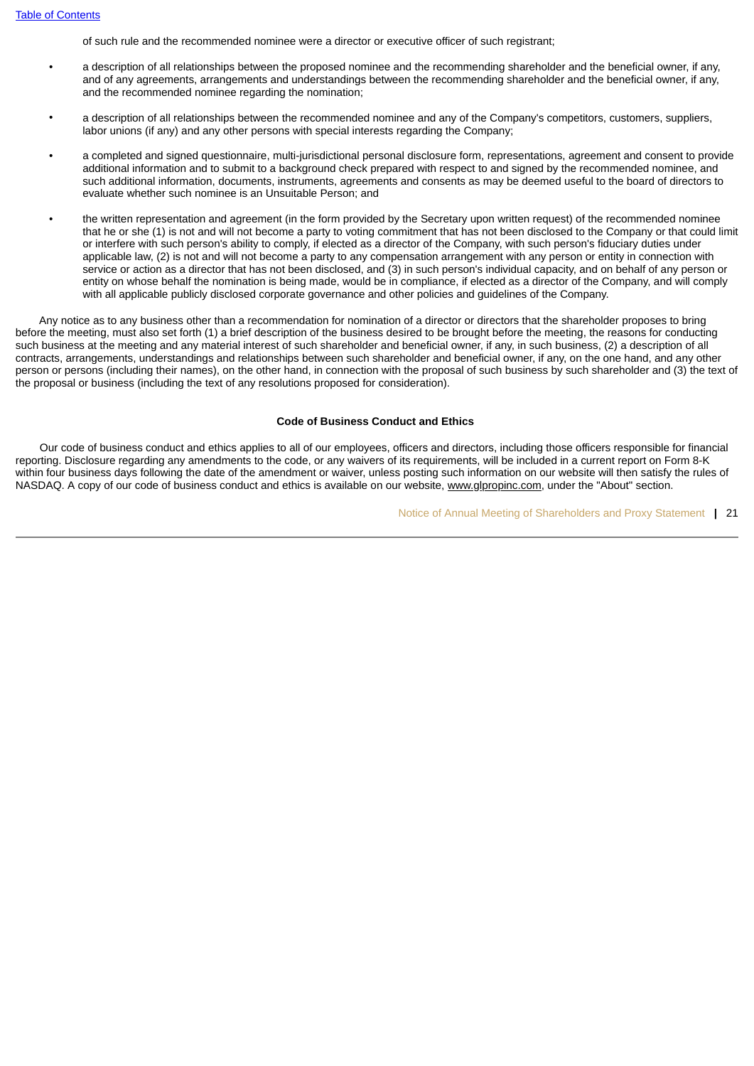of such rule and the recommended nominee were a director or executive officer of such registrant;

- a description of all relationships between the proposed nominee and the recommending shareholder and the beneficial owner, if any, and of any agreements, arrangements and understandings between the recommending shareholder and the beneficial owner, if any, and the recommended nominee regarding the nomination;
- a description of all relationships between the recommended nominee and any of the Company's competitors, customers, suppliers, labor unions (if any) and any other persons with special interests regarding the Company;
- a completed and signed questionnaire, multi-jurisdictional personal disclosure form, representations, agreement and consent to provide additional information and to submit to a background check prepared with respect to and signed by the recommended nominee, and such additional information, documents, instruments, agreements and consents as may be deemed useful to the board of directors to evaluate whether such nominee is an Unsuitable Person; and
- the written representation and agreement (in the form provided by the Secretary upon written request) of the recommended nominee that he or she (1) is not and will not become a party to voting commitment that has not been disclosed to the Company or that could limit or interfere with such person's ability to comply, if elected as a director of the Company, with such person's fiduciary duties under applicable law, (2) is not and will not become a party to any compensation arrangement with any person or entity in connection with service or action as a director that has not been disclosed, and (3) in such person's individual capacity, and on behalf of any person or entity on whose behalf the nomination is being made, would be in compliance, if elected as a director of the Company, and will comply with all applicable publicly disclosed corporate governance and other policies and guidelines of the Company.

Any notice as to any business other than a recommendation for nomination of a director or directors that the shareholder proposes to bring before the meeting, must also set forth (1) a brief description of the business desired to be brought before the meeting, the reasons for conducting such business at the meeting and any material interest of such shareholder and beneficial owner, if any, in such business, (2) a description of all contracts, arrangements, understandings and relationships between such shareholder and beneficial owner, if any, on the one hand, and any other person or persons (including their names), on the other hand, in connection with the proposal of such business by such shareholder and (3) the text of the proposal or business (including the text of any resolutions proposed for consideration).

## **Code of Business Conduct and Ethics**

 Our code of business conduct and ethics applies to all of our employees, officers and directors, including those officers responsible for financial reporting. Disclosure regarding any amendments to the code, or any waivers of its requirements, will be included in a current report on Form 8-K within four business days following the date of the amendment or waiver, unless posting such information on our website will then satisfy the rules of NASDAO. A copy of our code of business conduct and ethics is available on our website, www.glpropinc.com, under the "About" section.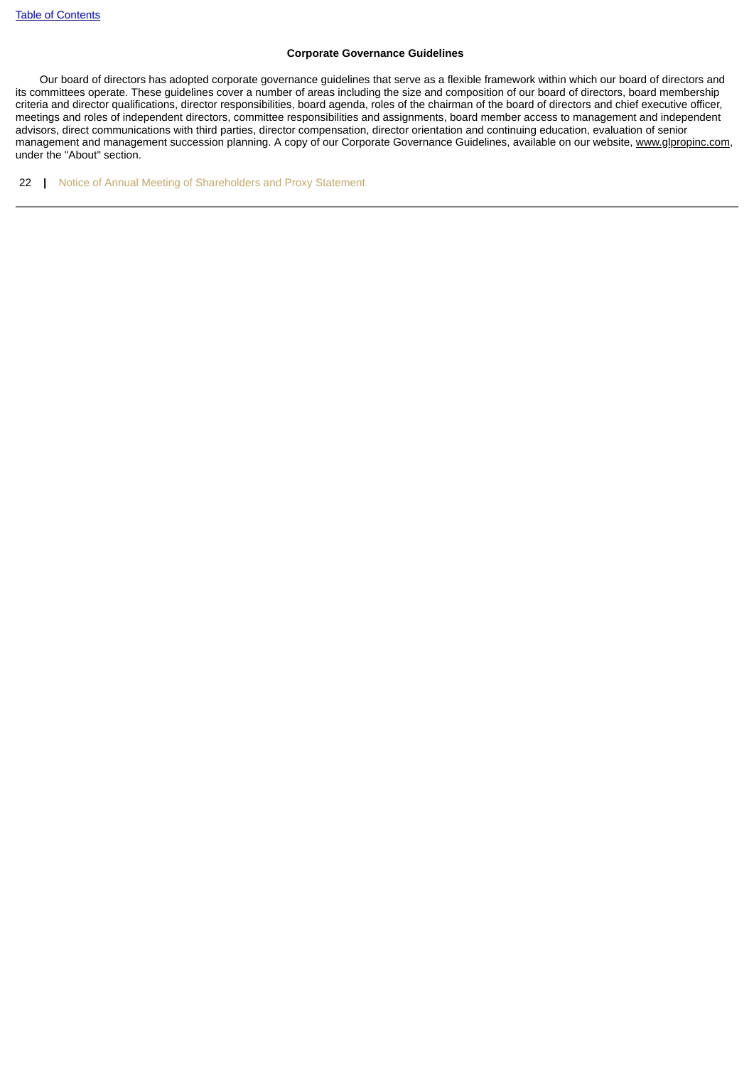# **Corporate Governance Guidelines**

 Our board of directors has adopted corporate governance guidelines that serve as a flexible framework within which our board of directors and its committees operate. These guidelines cover a number of areas including the size and composition of our board of directors, board membership criteria and director qualifications, director responsibilities, board agenda, roles of the chairman of the board of directors and chief executive officer, meetings and roles of independent directors, committee responsibilities and assignments, board member access to management and independent advisors, direct communications with third parties, director compensation, director orientation and continuing education, evaluation of senior management and management succession planning. A copy of our Corporate Governance Guidelines, available on our website, www.glpropinc.com, under the "About" section.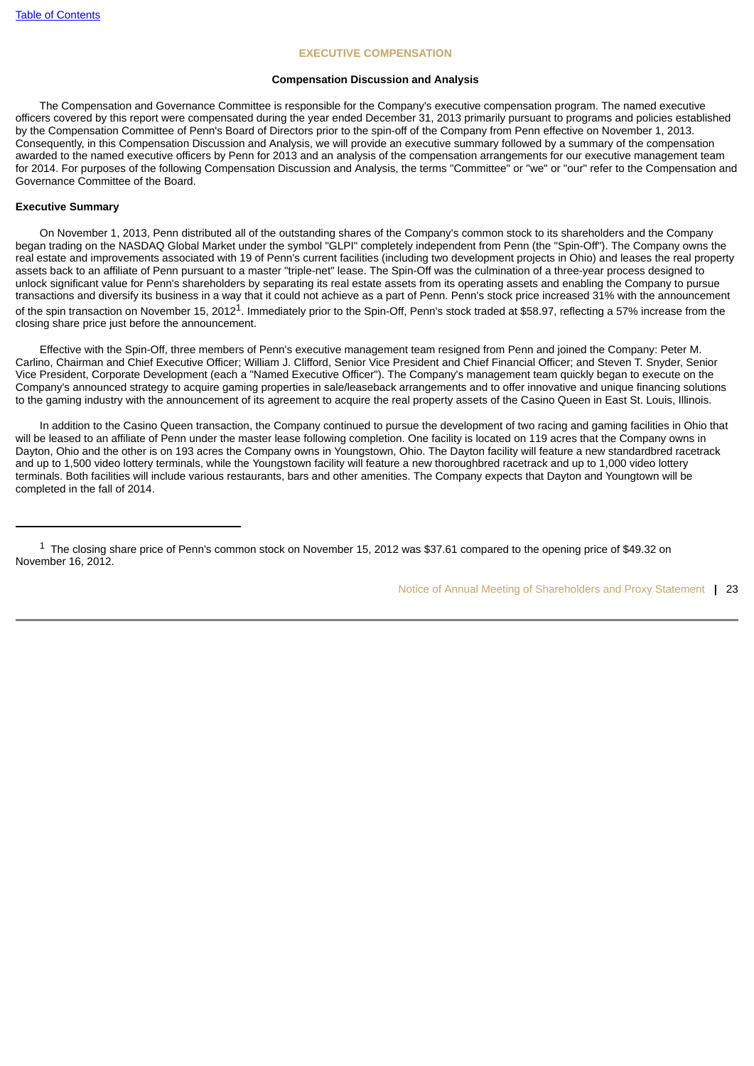# **EXECUTIVE COMPENSATION**

#### **Compensation Discussion and Analysis**

<span id="page-23-0"></span> The Compensation and Governance Committee is responsible for the Company's executive compensation program. The named executive officers covered by this report were compensated during the year ended December 31, 2013 primarily pursuant to programs and policies established by the Compensation Committee of Penn's Board of Directors prior to the spin-off of the Company from Penn effective on November 1, 2013. Consequently, in this Compensation Discussion and Analysis, we will provide an executive summary followed by a summary of the compensation awarded to the named executive officers by Penn for 2013 and an analysis of the compensation arrangements for our executive management team for 2014. For purposes of the following Compensation Discussion and Analysis, the terms "Committee" or "we" or "our" refer to the Compensation and Governance Committee of the Board.

# **Executive Summary**

 On November 1, 2013, Penn distributed all of the outstanding shares of the Company's common stock to its shareholders and the Company began trading on the NASDAQ Global Market under the symbol "GLPI" completely independent from Penn (the "Spin-Off"). The Company owns the real estate and improvements associated with 19 of Penn's current facilities (including two development projects in Ohio) and leases the real property assets back to an affiliate of Penn pursuant to a master "triple-net" lease. The Spin-Off was the culmination of a three-year process designed to unlock significant value for Penn's shareholders by separating its real estate assets from its operating assets and enabling the Company to pursue transactions and diversify its business in a way that it could not achieve as a part of Penn. Penn's stock price increased 31% with the announcement of the spin transaction on November 15, 2012<sup>1</sup>. Immediately prior to the Spin-Off, Penn's stock traded at \$58.97, reflecting a 57% increase from the closing share price just before the announcement.

 Effective with the Spin-Off, three members of Penn's executive management team resigned from Penn and joined the Company: Peter M. Carlino, Chairman and Chief Executive Officer; William J. Clifford, Senior Vice President and Chief Financial Officer; and Steven T. Snyder, Senior Vice President, Corporate Development (each a "Named Executive Officer"). The Company's management team quickly began to execute on the Company's announced strategy to acquire gaming properties in sale/leaseback arrangements and to offer innovative and unique financing solutions to the gaming industry with the announcement of its agreement to acquire the real property assets of the Casino Queen in East St. Louis, Illinois.

 In addition to the Casino Queen transaction, the Company continued to pursue the development of two racing and gaming facilities in Ohio that will be leased to an affiliate of Penn under the master lease following completion. One facility is located on 119 acres that the Company owns in Dayton, Ohio and the other is on 193 acres the Company owns in Youngstown, Ohio. The Dayton facility will feature a new standardbred racetrack and up to 1,500 video lottery terminals, while the Youngstown facility will feature a new thoroughbred racetrack and up to 1,000 video lottery terminals. Both facilities will include various restaurants, bars and other amenities. The Company expects that Dayton and Youngtown will be completed in the fall of 2014.

 $^1$  The closing share price of Penn's common stock on November 15, 2012 was \$37.61 compared to the opening price of \$49.32 on November 16, 2012.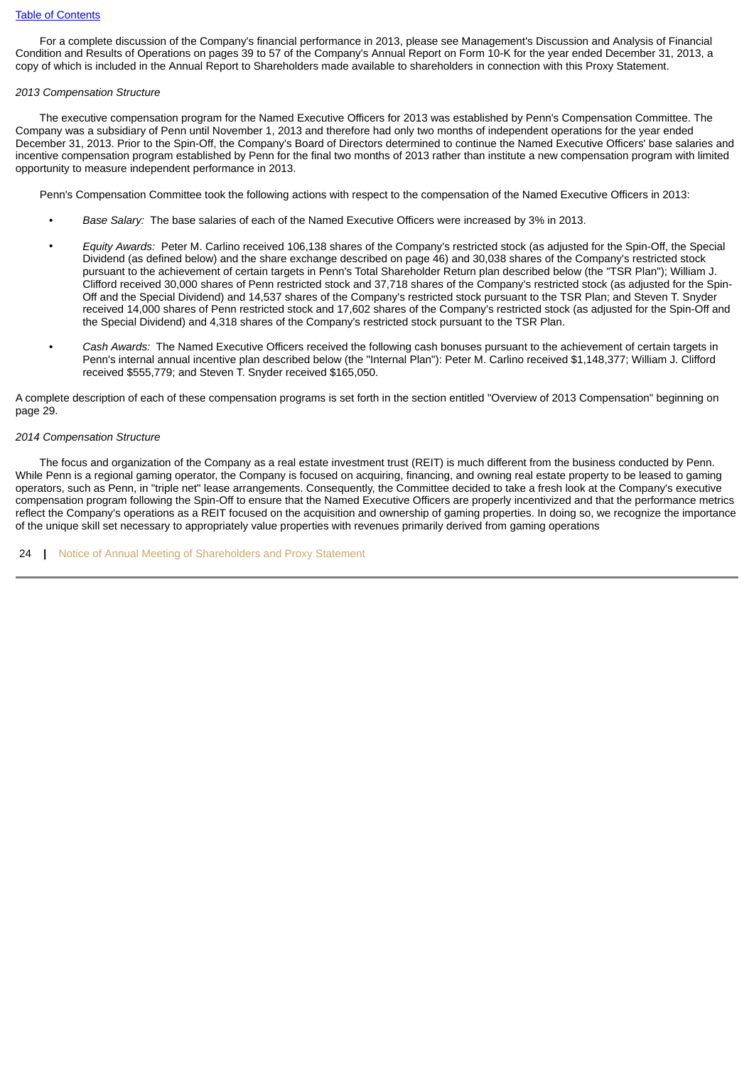For a complete discussion of the Company's financial performance in 2013, please see Management's Discussion and Analysis of Financial Condition and Results of Operations on pages 39 to 57 of the Company's Annual Report on Form 10-K for the year ended December 31, 2013, a copy of which is included in the Annual Report to Shareholders made available to shareholders in connection with this Proxy Statement.

# *2013 Compensation Structure*

 The executive compensation program for the Named Executive Officers for 2013 was established by Penn's Compensation Committee. The Company was a subsidiary of Penn until November 1, 2013 and therefore had only two months of independent operations for the year ended December 31, 2013. Prior to the Spin-Off, the Company's Board of Directors determined to continue the Named Executive Officers' base salaries and incentive compensation program established by Penn for the final two months of 2013 rather than institute a new compensation program with limited opportunity to measure independent performance in 2013.

Penn's Compensation Committee took the following actions with respect to the compensation of the Named Executive Officers in 2013:

- *Base Salary:* The base salaries of each of the Named Executive Officers were increased by 3% in 2013.
- *Equity Awards:* Peter M. Carlino received 106,138 shares of the Company's restricted stock (as adjusted for the Spin-Off, the Special Dividend (as defined below) and the share exchange described on page 46) and 30,038 shares of the Company's restricted stock pursuant to the achievement of certain targets in Penn's Total Shareholder Return plan described below (the "TSR Plan"); William J. Clifford received 30,000 shares of Penn restricted stock and 37,718 shares of the Company's restricted stock (as adjusted for the Spin-Off and the Special Dividend) and 14,537 shares of the Company's restricted stock pursuant to the TSR Plan; and Steven T. Snyder received 14,000 shares of Penn restricted stock and 17,602 shares of the Company's restricted stock (as adjusted for the Spin-Off and the Special Dividend) and 4,318 shares of the Company's restricted stock pursuant to the TSR Plan.
- *Cash Awards:* The Named Executive Officers received the following cash bonuses pursuant to the achievement of certain targets in Penn's internal annual incentive plan described below (the "Internal Plan"): Peter M. Carlino received \$1,148,377; William J. Clifford received \$555,779; and Steven T. Snyder received \$165,050.

A complete description of each of these compensation programs is set forth in the section entitled "Overview of 2013 Compensation" beginning on page 29.

# *2014 Compensation Structure*

The focus and organization of the Company as a real estate investment trust (REIT) is much different from the business conducted by Penn. While Penn is a regional gaming operator, the Company is focused on acquiring, financing, and owning real estate property to be leased to gaming operators, such as Penn, in "triple net" lease arrangements. Consequently, the Committee decided to take a fresh look at the Company's executive compensation program following the Spin-Off to ensure that the Named Executive Officers are properly incentivized and that the performance metrics reflect the Company's operations as a REIT focused on the acquisition and ownership of gaming properties. In doing so, we recognize the importance of the unique skill set necessary to appropriately value properties with revenues primarily derived from gaming operations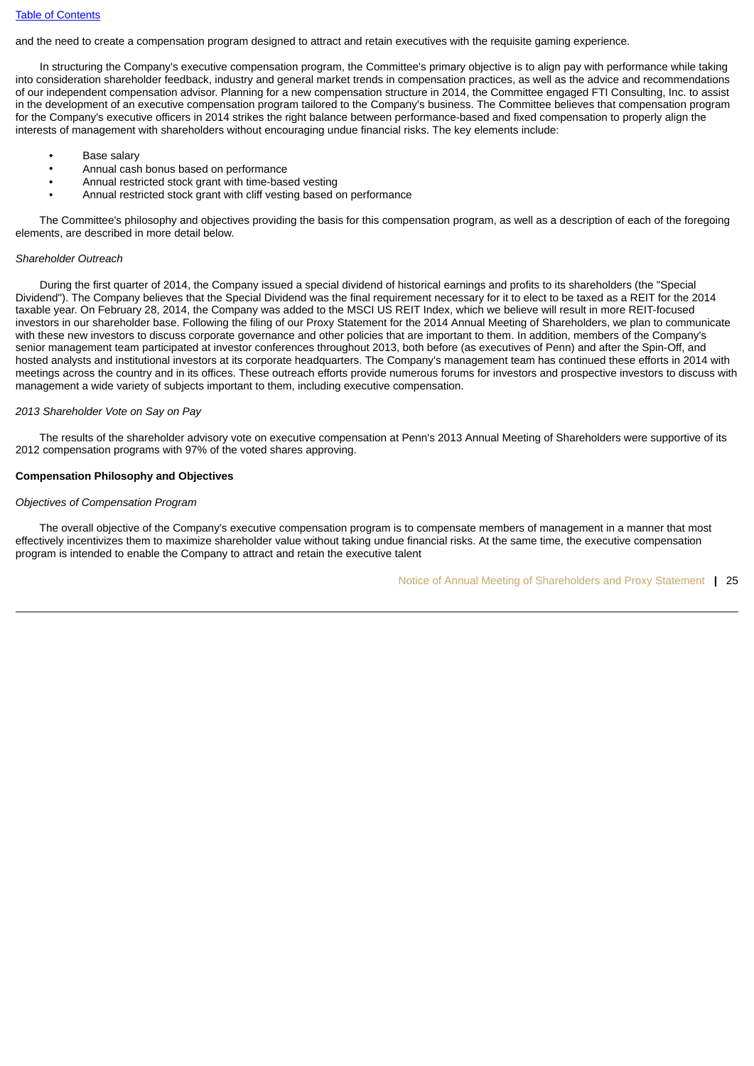and the need to create a compensation program designed to attract and retain executives with the requisite gaming experience.

 In structuring the Company's executive compensation program, the Committee's primary objective is to align pay with performance while taking into consideration shareholder feedback, industry and general market trends in compensation practices, as well as the advice and recommendations of our independent compensation advisor. Planning for a new compensation structure in 2014, the Committee engaged FTI Consulting, Inc. to assist in the development of an executive compensation program tailored to the Company's business. The Committee believes that compensation program for the Company's executive officers in 2014 strikes the right balance between performance-based and fixed compensation to properly align the interests of management with shareholders without encouraging undue financial risks. The key elements include:

- **Base salary**
- Annual cash bonus based on performance
- Annual restricted stock grant with time-based vesting
- Annual restricted stock grant with cliff vesting based on performance

 The Committee's philosophy and objectives providing the basis for this compensation program, as well as a description of each of the foregoing elements, are described in more detail below.

#### *Shareholder Outreach*

 During the first quarter of 2014, the Company issued a special dividend of historical earnings and profits to its shareholders (the "Special Dividend"). The Company believes that the Special Dividend was the final requirement necessary for it to elect to be taxed as a REIT for the 2014 taxable year. On February 28, 2014, the Company was added to the MSCI US REIT Index, which we believe will result in more REIT-focused investors in our shareholder base. Following the filing of our Proxy Statement for the 2014 Annual Meeting of Shareholders, we plan to communicate with these new investors to discuss corporate governance and other policies that are important to them. In addition, members of the Company's senior management team participated at investor conferences throughout 2013, both before (as executives of Penn) and after the Spin-Off, and hosted analysts and institutional investors at its corporate headquarters. The Company's management team has continued these efforts in 2014 with meetings across the country and in its offices. These outreach efforts provide numerous forums for investors and prospective investors to discuss with management a wide variety of subjects important to them, including executive compensation.

#### *2013 Shareholder Vote on Say on Pay*

 The results of the shareholder advisory vote on executive compensation at Penn's 2013 Annual Meeting of Shareholders were supportive of its 2012 compensation programs with 97% of the voted shares approving.

#### **Compensation Philosophy and Objectives**

#### *Objectives of Compensation Program*

 The overall objective of the Company's executive compensation program is to compensate members of management in a manner that most effectively incentivizes them to maximize shareholder value without taking undue financial risks. At the same time, the executive compensation program is intended to enable the Company to attract and retain the executive talent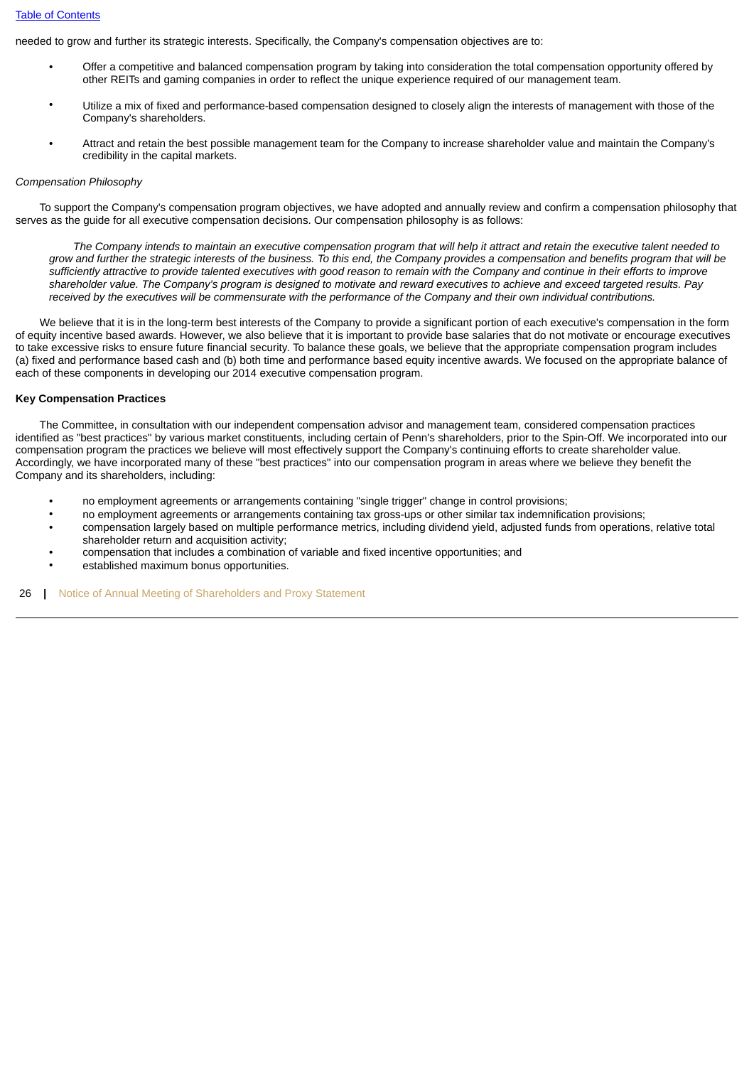needed to grow and further its strategic interests. Specifically, the Company's compensation objectives are to:

- Offer a competitive and balanced compensation program by taking into consideration the total compensation opportunity offered by other REITs and gaming companies in order to reflect the unique experience required of our management team.
- Utilize a mix of fixed and performance-based compensation designed to closely align the interests of management with those of the Company's shareholders.
- Attract and retain the best possible management team for the Company to increase shareholder value and maintain the Company's credibility in the capital markets.

#### *Compensation Philosophy*

 To support the Company's compensation program objectives, we have adopted and annually review and confirm a compensation philosophy that serves as the guide for all executive compensation decisions. Our compensation philosophy is as follows:

 *The Company intends to maintain an executive compensation program that will help it attract and retain the executive talent needed to grow and further the strategic interests of the business. To this end, the Company provides a compensation and benefits program that will be sufficiently attractive to provide talented executives with good reason to remain with the Company and continue in their efforts to improve shareholder value. The Company's program is designed to motivate and reward executives to achieve and exceed targeted results. Pay received by the executives will be commensurate with the performance of the Company and their own individual contributions.*

 We believe that it is in the long-term best interests of the Company to provide a significant portion of each executive's compensation in the form of equity incentive based awards. However, we also believe that it is important to provide base salaries that do not motivate or encourage executives to take excessive risks to ensure future financial security. To balance these goals, we believe that the appropriate compensation program includes (a) fixed and performance based cash and (b) both time and performance based equity incentive awards. We focused on the appropriate balance of each of these components in developing our 2014 executive compensation program.

#### **Key Compensation Practices**

 The Committee, in consultation with our independent compensation advisor and management team, considered compensation practices identified as "best practices" by various market constituents, including certain of Penn's shareholders, prior to the Spin-Off. We incorporated into our compensation program the practices we believe will most effectively support the Company's continuing efforts to create shareholder value. Accordingly, we have incorporated many of these "best practices" into our compensation program in areas where we believe they benefit the Company and its shareholders, including:

- no employment agreements or arrangements containing "single trigger" change in control provisions;
- no employment agreements or arrangements containing tax gross-ups or other similar tax indemnification provisions;
- compensation largely based on multiple performance metrics, including dividend yield, adjusted funds from operations, relative total shareholder return and acquisition activity;
- compensation that includes a combination of variable and fixed incentive opportunities; and
- established maximum bonus opportunities.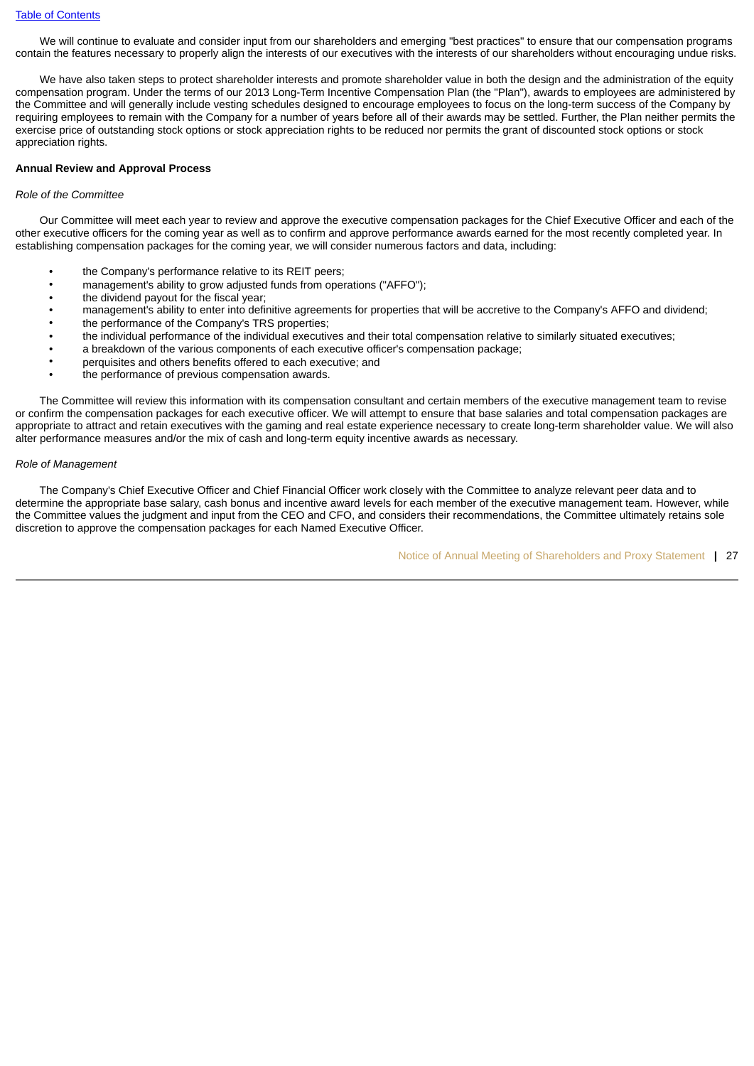We will continue to evaluate and consider input from our shareholders and emerging "best practices" to ensure that our compensation programs contain the features necessary to properly align the interests of our executives with the interests of our shareholders without encouraging undue risks.

 We have also taken steps to protect shareholder interests and promote shareholder value in both the design and the administration of the equity compensation program. Under the terms of our 2013 Long-Term Incentive Compensation Plan (the "Plan"), awards to employees are administered by the Committee and will generally include vesting schedules designed to encourage employees to focus on the long-term success of the Company by requiring employees to remain with the Company for a number of years before all of their awards may be settled. Further, the Plan neither permits the exercise price of outstanding stock options or stock appreciation rights to be reduced nor permits the grant of discounted stock options or stock appreciation rights.

# **Annual Review and Approval Process**

# *Role of the Committee*

 Our Committee will meet each year to review and approve the executive compensation packages for the Chief Executive Officer and each of the other executive officers for the coming year as well as to confirm and approve performance awards earned for the most recently completed year. In establishing compensation packages for the coming year, we will consider numerous factors and data, including:

- the Company's performance relative to its REIT peers;
- management's ability to grow adjusted funds from operations ("AFFO");
- the dividend payout for the fiscal year;
- management's ability to enter into definitive agreements for properties that will be accretive to the Company's AFFO and dividend;
- the performance of the Company's TRS properties;
- the individual performance of the individual executives and their total compensation relative to similarly situated executives;
- a breakdown of the various components of each executive officer's compensation package;
- perquisites and others benefits offered to each executive; and
- the performance of previous compensation awards.

 The Committee will review this information with its compensation consultant and certain members of the executive management team to revise or confirm the compensation packages for each executive officer. We will attempt to ensure that base salaries and total compensation packages are appropriate to attract and retain executives with the gaming and real estate experience necessary to create long-term shareholder value. We will also alter performance measures and/or the mix of cash and long-term equity incentive awards as necessary.

#### *Role of Management*

 The Company's Chief Executive Officer and Chief Financial Officer work closely with the Committee to analyze relevant peer data and to determine the appropriate base salary, cash bonus and incentive award levels for each member of the executive management team. However, while the Committee values the judgment and input from the CEO and CFO, and considers their recommendations, the Committee ultimately retains sole discretion to approve the compensation packages for each Named Executive Officer.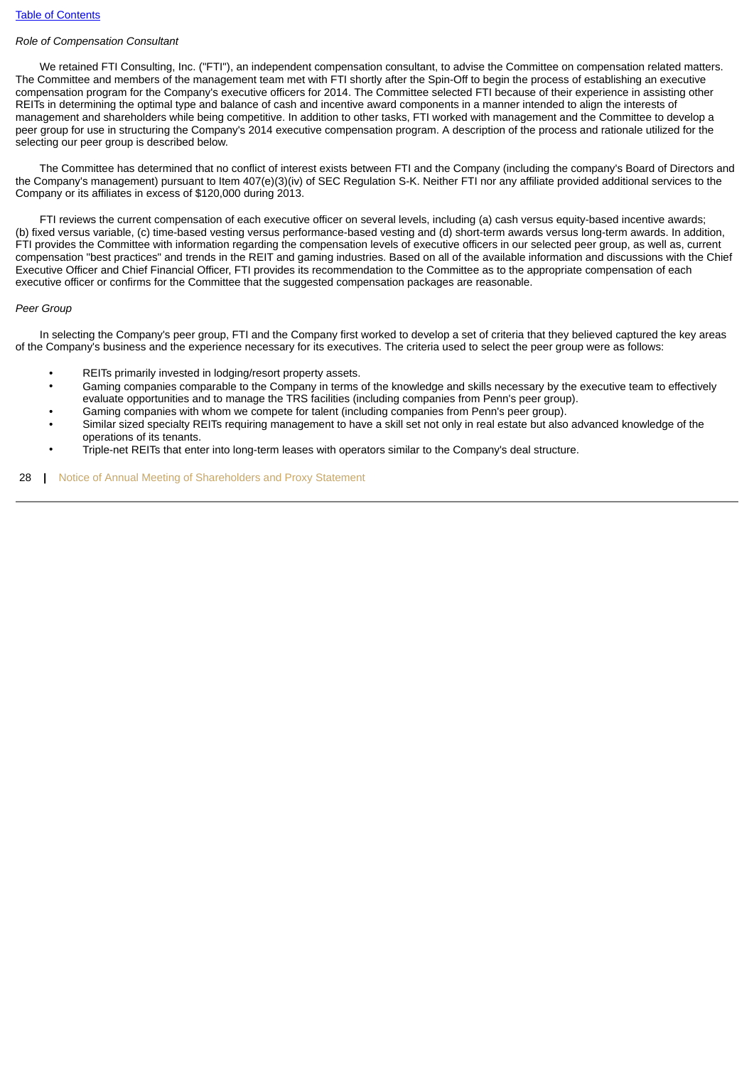#### *Role of Compensation Consultant*

We retained FTI Consulting, Inc. ("FTI"), an independent compensation consultant, to advise the Committee on compensation related matters. The Committee and members of the management team met with FTI shortly after the Spin-Off to begin the process of establishing an executive compensation program for the Company's executive officers for 2014. The Committee selected FTI because of their experience in assisting other REITs in determining the optimal type and balance of cash and incentive award components in a manner intended to align the interests of management and shareholders while being competitive. In addition to other tasks, FTI worked with management and the Committee to develop a peer group for use in structuring the Company's 2014 executive compensation program. A description of the process and rationale utilized for the selecting our peer group is described below.

 The Committee has determined that no conflict of interest exists between FTI and the Company (including the company's Board of Directors and the Company's management) pursuant to Item 407(e)(3)(iv) of SEC Regulation S-K. Neither FTI nor any affiliate provided additional services to the Company or its affiliates in excess of \$120,000 during 2013.

 FTI reviews the current compensation of each executive officer on several levels, including (a) cash versus equity-based incentive awards; (b) fixed versus variable, (c) time-based vesting versus performance-based vesting and (d) short-term awards versus long-term awards. In addition, FTI provides the Committee with information regarding the compensation levels of executive officers in our selected peer group, as well as, current compensation "best practices" and trends in the REIT and gaming industries. Based on all of the available information and discussions with the Chief Executive Officer and Chief Financial Officer, FTI provides its recommendation to the Committee as to the appropriate compensation of each executive officer or confirms for the Committee that the suggested compensation packages are reasonable.

# *Peer Group*

 In selecting the Company's peer group, FTI and the Company first worked to develop a set of criteria that they believed captured the key areas of the Company's business and the experience necessary for its executives. The criteria used to select the peer group were as follows:

- REITs primarily invested in lodging/resort property assets.
- Gaming companies comparable to the Company in terms of the knowledge and skills necessary by the executive team to effectively evaluate opportunities and to manage the TRS facilities (including companies from Penn's peer group).
- Gaming companies with whom we compete for talent (including companies from Penn's peer group).
- Similar sized specialty REITs requiring management to have a skill set not only in real estate but also advanced knowledge of the operations of its tenants.
- Triple-net REITs that enter into long-term leases with operators similar to the Company's deal structure.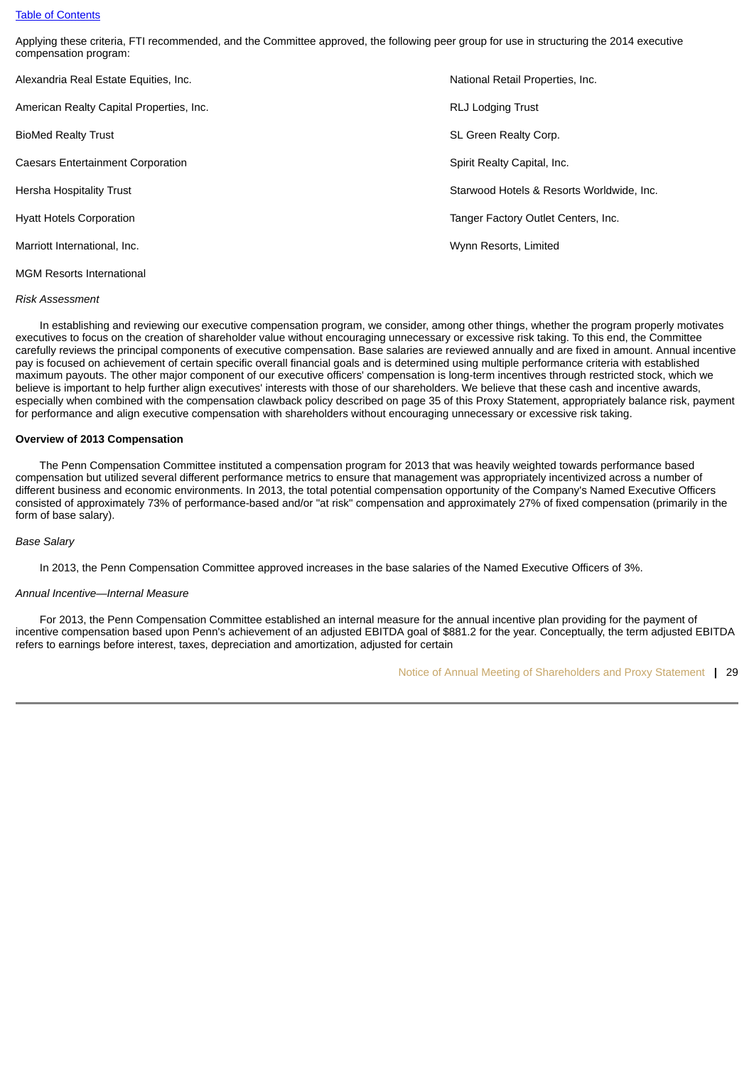Applying these criteria, FTI recommended, and the Committee approved, the following peer group for use in structuring the 2014 executive compensation program:

| Alexandria Real Estate Equities, Inc.    | National Retail Properties, Inc.          |
|------------------------------------------|-------------------------------------------|
| American Realty Capital Properties, Inc. | <b>RLJ Lodging Trust</b>                  |
| <b>BioMed Realty Trust</b>               | SL Green Realty Corp.                     |
| <b>Caesars Entertainment Corporation</b> | Spirit Realty Capital, Inc.               |
| Hersha Hospitality Trust                 | Starwood Hotels & Resorts Worldwide, Inc. |
| <b>Hyatt Hotels Corporation</b>          | Tanger Factory Outlet Centers, Inc.       |
| Marriott International, Inc.             | Wynn Resorts, Limited                     |
| <b>MGM Resorts International</b>         |                                           |

#### *Risk Assessment*

 In establishing and reviewing our executive compensation program, we consider, among other things, whether the program properly motivates executives to focus on the creation of shareholder value without encouraging unnecessary or excessive risk taking. To this end, the Committee carefully reviews the principal components of executive compensation. Base salaries are reviewed annually and are fixed in amount. Annual incentive pay is focused on achievement of certain specific overall financial goals and is determined using multiple performance criteria with established maximum payouts. The other major component of our executive officers' compensation is long-term incentives through restricted stock, which we believe is important to help further align executives' interests with those of our shareholders. We believe that these cash and incentive awards, especially when combined with the compensation clawback policy described on page 35 of this Proxy Statement, appropriately balance risk, payment for performance and align executive compensation with shareholders without encouraging unnecessary or excessive risk taking.

#### **Overview of 2013 Compensation**

 The Penn Compensation Committee instituted a compensation program for 2013 that was heavily weighted towards performance based compensation but utilized several different performance metrics to ensure that management was appropriately incentivized across a number of different business and economic environments. In 2013, the total potential compensation opportunity of the Company's Named Executive Officers consisted of approximately 73% of performance-based and/or "at risk" compensation and approximately 27% of fixed compensation (primarily in the form of base salary).

#### *Base Salary*

In 2013, the Penn Compensation Committee approved increases in the base salaries of the Named Executive Officers of 3%.

#### *Annual Incentive—Internal Measure*

 For 2013, the Penn Compensation Committee established an internal measure for the annual incentive plan providing for the payment of incentive compensation based upon Penn's achievement of an adjusted EBITDA goal of \$881.2 for the year. Conceptually, the term adjusted EBITDA refers to earnings before interest, taxes, depreciation and amortization, adjusted for certain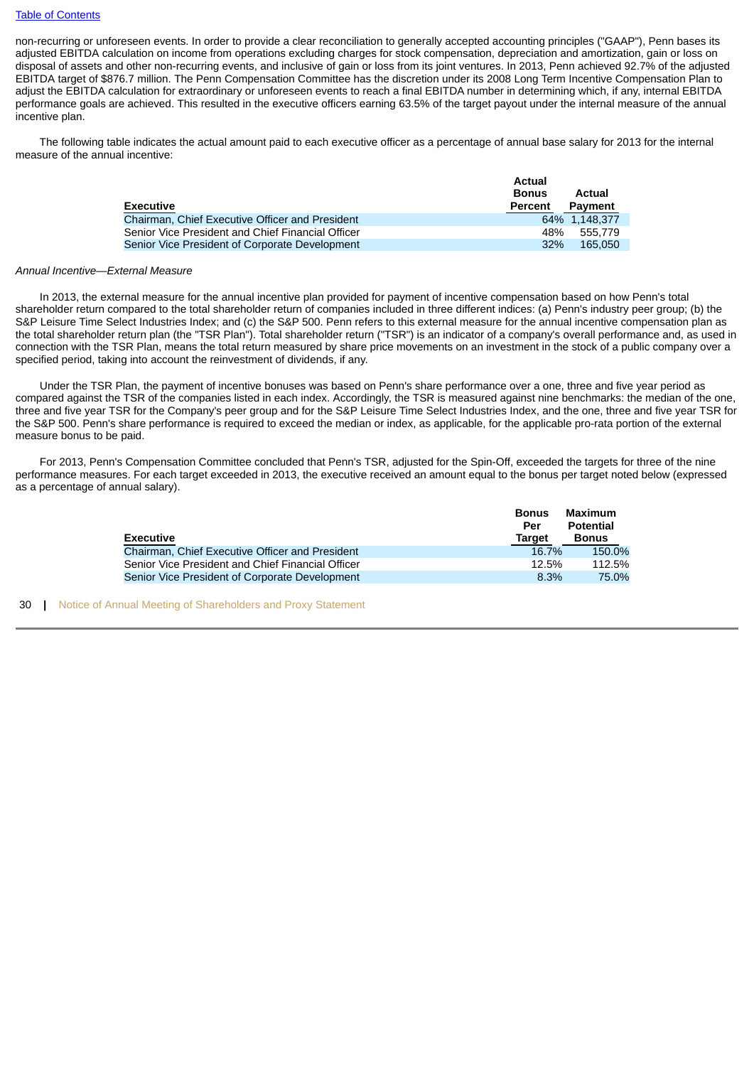non-recurring or unforeseen events. In order to provide a clear reconciliation to generally accepted accounting principles ("GAAP"), Penn bases its adjusted EBITDA calculation on income from operations excluding charges for stock compensation, depreciation and amortization, gain or loss on disposal of assets and other non-recurring events, and inclusive of gain or loss from its joint ventures. In 2013, Penn achieved 92.7% of the adjusted EBITDA target of \$876.7 million. The Penn Compensation Committee has the discretion under its 2008 Long Term Incentive Compensation Plan to adjust the EBITDA calculation for extraordinary or unforeseen events to reach a final EBITDA number in determining which, if any, internal EBITDA performance goals are achieved. This resulted in the executive officers earning 63.5% of the target payout under the internal measure of the annual incentive plan.

 The following table indicates the actual amount paid to each executive officer as a percentage of annual base salary for 2013 for the internal measure of the annual incentive:

| <b>Executive</b>                                  | <b>Actual</b><br><b>Bonus</b><br>Percent | Actual<br><b>Payment</b> |
|---------------------------------------------------|------------------------------------------|--------------------------|
| Chairman, Chief Executive Officer and President   |                                          | 64% 1.148.377            |
| Senior Vice President and Chief Financial Officer | 48%                                      | 555.779                  |
| Senior Vice President of Corporate Development    | 32%                                      | 165,050                  |

#### *Annual Incentive—External Measure*

 In 2013, the external measure for the annual incentive plan provided for payment of incentive compensation based on how Penn's total shareholder return compared to the total shareholder return of companies included in three different indices: (a) Penn's industry peer group; (b) the S&P Leisure Time Select Industries Index; and (c) the S&P 500. Penn refers to this external measure for the annual incentive compensation plan as the total shareholder return plan (the "TSR Plan"). Total shareholder return ("TSR") is an indicator of a company's overall performance and, as used in connection with the TSR Plan, means the total return measured by share price movements on an investment in the stock of a public company over a specified period, taking into account the reinvestment of dividends, if any.

 Under the TSR Plan, the payment of incentive bonuses was based on Penn's share performance over a one, three and five year period as compared against the TSR of the companies listed in each index. Accordingly, the TSR is measured against nine benchmarks: the median of the one, three and five year TSR for the Company's peer group and for the S&P Leisure Time Select Industries Index, and the one, three and five year TSR for the S&P 500. Penn's share performance is required to exceed the median or index, as applicable, for the applicable pro-rata portion of the external measure bonus to be paid.

 For 2013, Penn's Compensation Committee concluded that Penn's TSR, adjusted for the Spin-Off, exceeded the targets for three of the nine performance measures. For each target exceeded in 2013, the executive received an amount equal to the bonus per target noted below (expressed as a percentage of annual salary).

| <b>Executive</b>                                  | <b>Bonus</b><br>Per<br><b>Target</b> | Maximum<br><b>Potential</b><br><b>Bonus</b> |
|---------------------------------------------------|--------------------------------------|---------------------------------------------|
| Chairman, Chief Executive Officer and President   | 16.7%                                | 150.0%                                      |
| Senior Vice President and Chief Financial Officer | 12.5%                                | 112.5%                                      |
| Senior Vice President of Corporate Development    | 8.3%                                 | 75.0%                                       |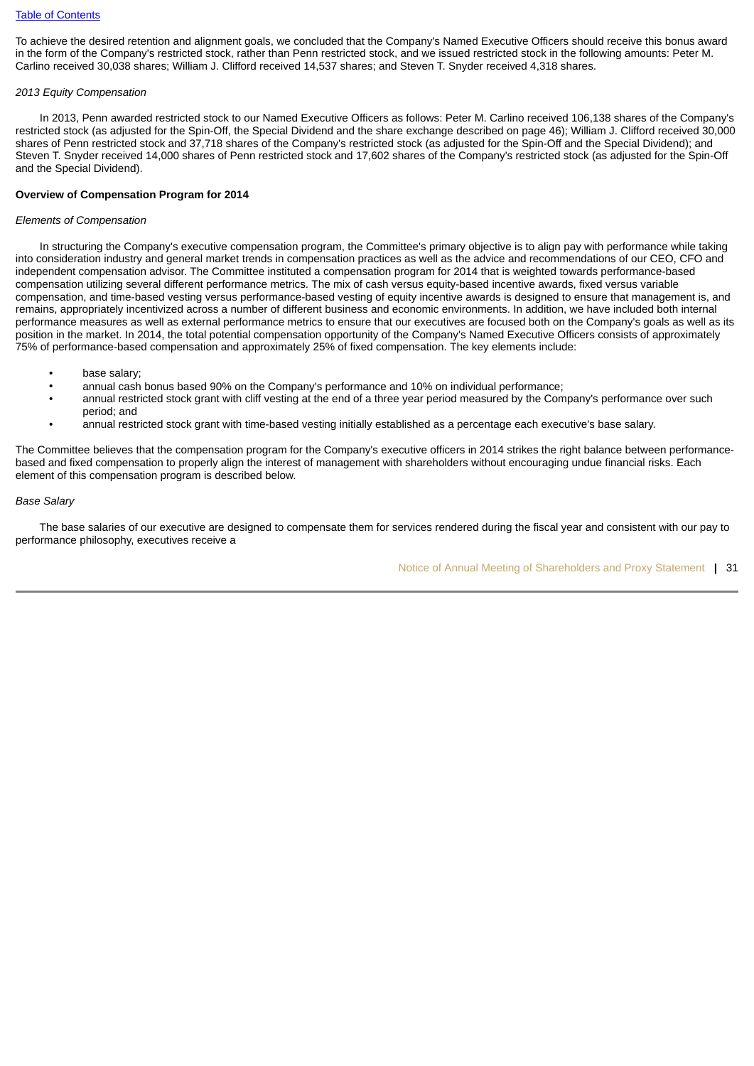To achieve the desired retention and alignment goals, we concluded that the Company's Named Executive Officers should receive this bonus award in the form of the Company's restricted stock, rather than Penn restricted stock, and we issued restricted stock in the following amounts: Peter M. Carlino received 30,038 shares; William J. Clifford received 14,537 shares; and Steven T. Snyder received 4,318 shares.

# *2013 Equity Compensation*

 In 2013, Penn awarded restricted stock to our Named Executive Officers as follows: Peter M. Carlino received 106,138 shares of the Company's restricted stock (as adjusted for the Spin-Off, the Special Dividend and the share exchange described on page 46); William J. Clifford received 30,000 shares of Penn restricted stock and 37,718 shares of the Company's restricted stock (as adjusted for the Spin-Off and the Special Dividend); and Steven T. Snyder received 14,000 shares of Penn restricted stock and 17,602 shares of the Company's restricted stock (as adjusted for the Spin-Off and the Special Dividend).

# **Overview of Compensation Program for 2014**

## *Elements of Compensation*

 In structuring the Company's executive compensation program, the Committee's primary objective is to align pay with performance while taking into consideration industry and general market trends in compensation practices as well as the advice and recommendations of our CEO, CFO and independent compensation advisor. The Committee instituted a compensation program for 2014 that is weighted towards performance-based compensation utilizing several different performance metrics. The mix of cash versus equity-based incentive awards, fixed versus variable compensation, and time-based vesting versus performance-based vesting of equity incentive awards is designed to ensure that management is, and remains, appropriately incentivized across a number of different business and economic environments. In addition, we have included both internal performance measures as well as external performance metrics to ensure that our executives are focused both on the Company's goals as well as its position in the market. In 2014, the total potential compensation opportunity of the Company's Named Executive Officers consists of approximately 75% of performance-based compensation and approximately 25% of fixed compensation. The key elements include:

- base salary;
- annual cash bonus based 90% on the Company's performance and 10% on individual performance;
- annual restricted stock grant with cliff vesting at the end of a three year period measured by the Company's performance over such period; and
- annual restricted stock grant with time-based vesting initially established as a percentage each executive's base salary.

The Committee believes that the compensation program for the Company's executive officers in 2014 strikes the right balance between performancebased and fixed compensation to properly align the interest of management with shareholders without encouraging undue financial risks. Each element of this compensation program is described below.

#### *Base Salary*

 The base salaries of our executive are designed to compensate them for services rendered during the fiscal year and consistent with our pay to performance philosophy, executives receive a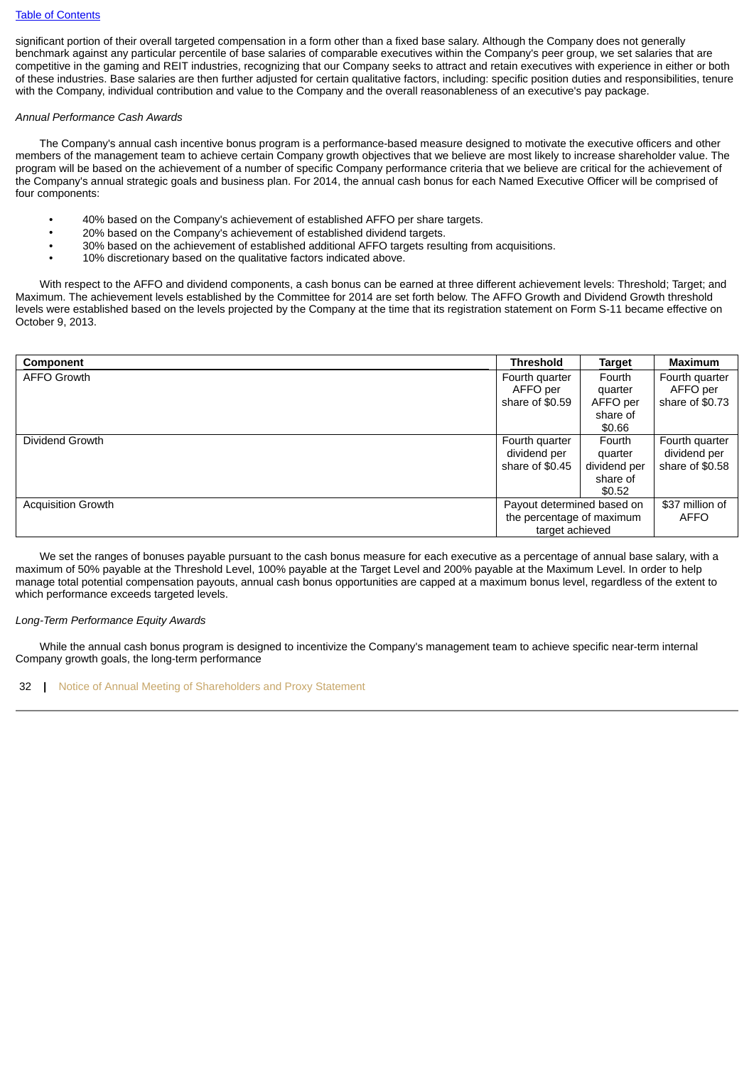significant portion of their overall targeted compensation in a form other than a fixed base salary. Although the Company does not generally benchmark against any particular percentile of base salaries of comparable executives within the Company's peer group, we set salaries that are competitive in the gaming and REIT industries, recognizing that our Company seeks to attract and retain executives with experience in either or both of these industries. Base salaries are then further adjusted for certain qualitative factors, including: specific position duties and responsibilities, tenure with the Company, individual contribution and value to the Company and the overall reasonableness of an executive's pay package.

# *Annual Performance Cash Awards*

 The Company's annual cash incentive bonus program is a performance-based measure designed to motivate the executive officers and other members of the management team to achieve certain Company growth objectives that we believe are most likely to increase shareholder value. The program will be based on the achievement of a number of specific Company performance criteria that we believe are critical for the achievement of the Company's annual strategic goals and business plan. For 2014, the annual cash bonus for each Named Executive Officer will be comprised of four components:

- 40% based on the Company's achievement of established AFFO per share targets.
- 20% based on the Company's achievement of established dividend targets.
- 30% based on the achievement of established additional AFFO targets resulting from acquisitions.
- 10% discretionary based on the qualitative factors indicated above.

 With respect to the AFFO and dividend components, a cash bonus can be earned at three different achievement levels: Threshold; Target; and Maximum. The achievement levels established by the Committee for 2014 are set forth below. The AFFO Growth and Dividend Growth threshold levels were established based on the levels projected by the Company at the time that its registration statement on Form S-11 became effective on October 9, 2013.

| Component                 | <b>Threshold</b>           | Target       | Maximum         |
|---------------------------|----------------------------|--------------|-----------------|
| AFFO Growth               | Fourth quarter             | Fourth       | Fourth quarter  |
|                           | AFFO per                   | quarter      | AFFO per        |
|                           | share of \$0.59            | AFFO per     | share of \$0.73 |
|                           |                            | share of     |                 |
|                           |                            | \$0.66       |                 |
| Dividend Growth           | Fourth quarter             | Fourth       | Fourth quarter  |
|                           | dividend per               | quarter      | dividend per    |
|                           | share of \$0.45            | dividend per | share of \$0.58 |
|                           |                            | share of     |                 |
|                           |                            | \$0.52       |                 |
| <b>Acquisition Growth</b> | Payout determined based on |              | \$37 million of |
|                           | the percentage of maximum  |              | AFFO            |
|                           | target achieved            |              |                 |

 We set the ranges of bonuses payable pursuant to the cash bonus measure for each executive as a percentage of annual base salary, with a maximum of 50% payable at the Threshold Level, 100% payable at the Target Level and 200% payable at the Maximum Level. In order to help manage total potential compensation payouts, annual cash bonus opportunities are capped at a maximum bonus level, regardless of the extent to which performance exceeds targeted levels.

*Long-Term Performance Equity Awards*

 While the annual cash bonus program is designed to incentivize the Company's management team to achieve specific near-term internal Company growth goals, the long-term performance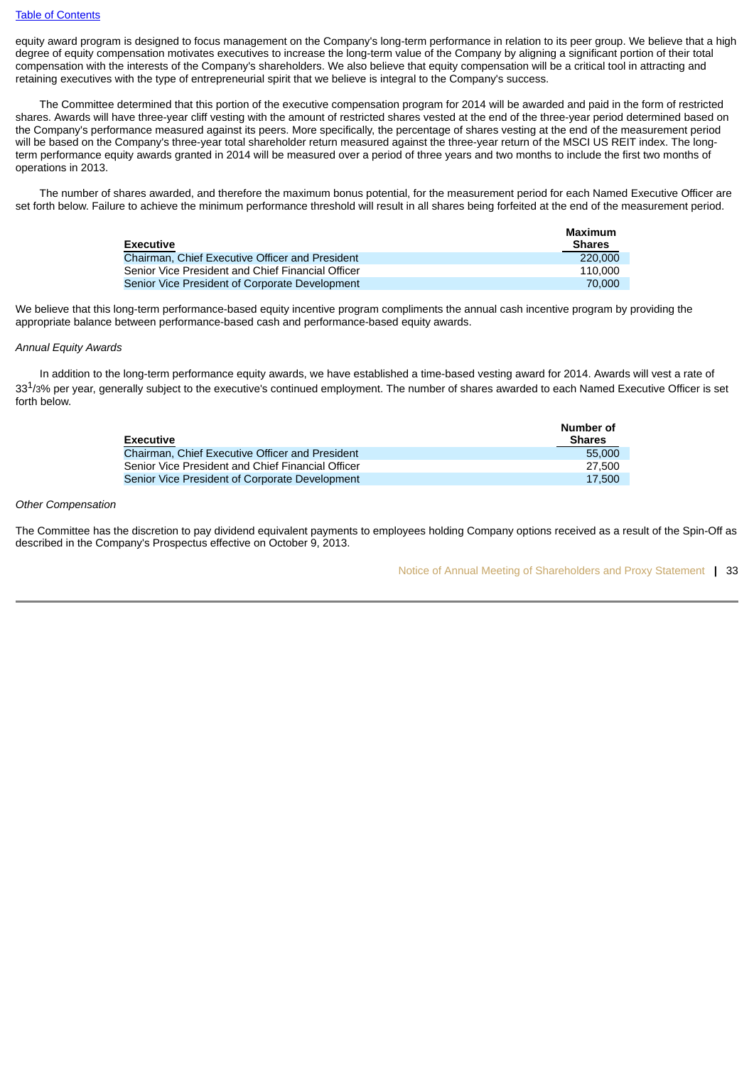equity award program is designed to focus management on the Company's long-term performance in relation to its peer group. We believe that a high degree of equity compensation motivates executives to increase the long-term value of the Company by aligning a significant portion of their total compensation with the interests of the Company's shareholders. We also believe that equity compensation will be a critical tool in attracting and retaining executives with the type of entrepreneurial spirit that we believe is integral to the Company's success.

 The Committee determined that this portion of the executive compensation program for 2014 will be awarded and paid in the form of restricted shares. Awards will have three-year cliff vesting with the amount of restricted shares vested at the end of the three-year period determined based on the Company's performance measured against its peers. More specifically, the percentage of shares vesting at the end of the measurement period will be based on the Company's three-year total shareholder return measured against the three-year return of the MSCI US REIT index. The longterm performance equity awards granted in 2014 will be measured over a period of three years and two months to include the first two months of operations in 2013.

 The number of shares awarded, and therefore the maximum bonus potential, for the measurement period for each Named Executive Officer are set forth below. Failure to achieve the minimum performance threshold will result in all shares being forfeited at the end of the measurement period.

|                                                   | Maximum       |
|---------------------------------------------------|---------------|
| <b>Executive</b>                                  | <b>Shares</b> |
| Chairman, Chief Executive Officer and President   | 220,000       |
| Senior Vice President and Chief Financial Officer | 110.000       |
| Senior Vice President of Corporate Development    | 70,000        |

We believe that this long-term performance-based equity incentive program compliments the annual cash incentive program by providing the appropriate balance between performance-based cash and performance-based equity awards.

# *Annual Equity Awards*

 In addition to the long-term performance equity awards, we have established a time-based vesting award for 2014. Awards will vest a rate of 33<sup>1</sup>/3% per year, generally subject to the executive's continued employment. The number of shares awarded to each Named Executive Officer is set forth below.

| Executive                                         | Number of<br><b>Shares</b> |
|---------------------------------------------------|----------------------------|
| Chairman, Chief Executive Officer and President   | 55.000                     |
| Senior Vice President and Chief Financial Officer | 27.500                     |
| Senior Vice President of Corporate Development    | 17.500                     |

# *Other Compensation*

The Committee has the discretion to pay dividend equivalent payments to employees holding Company options received as a result of the Spin-Off as described in the Company's Prospectus effective on October 9, 2013.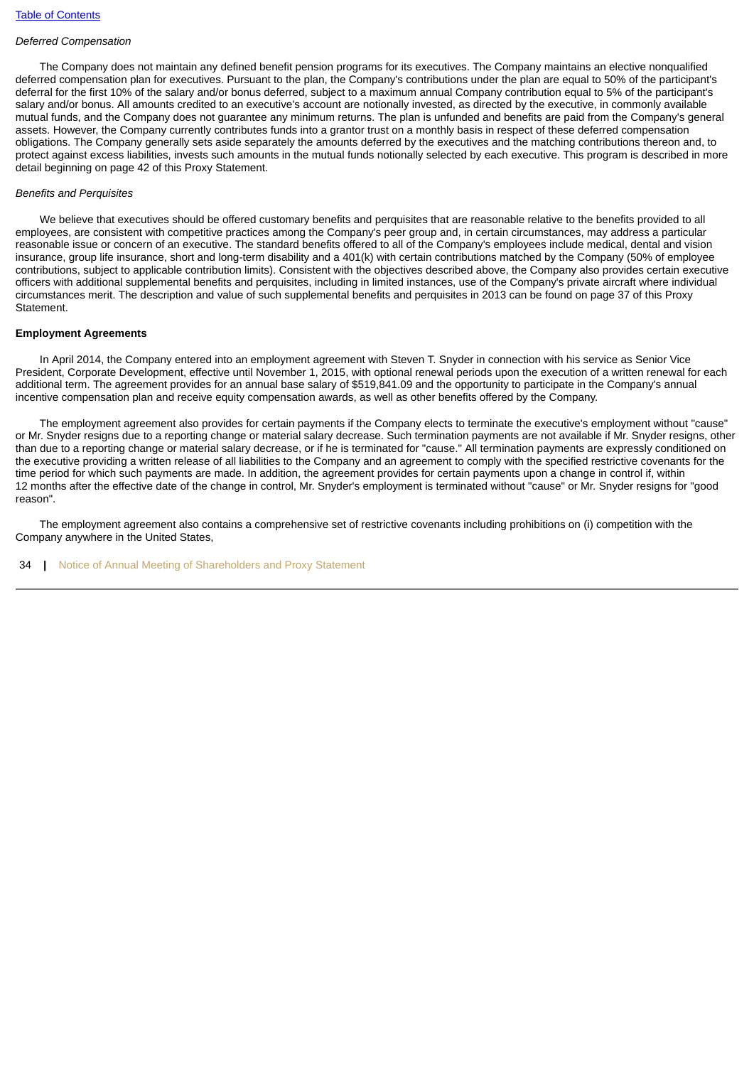#### *Deferred Compensation*

 The Company does not maintain any defined benefit pension programs for its executives. The Company maintains an elective nonqualified deferred compensation plan for executives. Pursuant to the plan, the Company's contributions under the plan are equal to 50% of the participant's deferral for the first 10% of the salary and/or bonus deferred, subject to a maximum annual Company contribution equal to 5% of the participant's salary and/or bonus. All amounts credited to an executive's account are notionally invested, as directed by the executive, in commonly available mutual funds, and the Company does not guarantee any minimum returns. The plan is unfunded and benefits are paid from the Company's general assets. However, the Company currently contributes funds into a grantor trust on a monthly basis in respect of these deferred compensation obligations. The Company generally sets aside separately the amounts deferred by the executives and the matching contributions thereon and, to protect against excess liabilities, invests such amounts in the mutual funds notionally selected by each executive. This program is described in more detail beginning on page 42 of this Proxy Statement.

#### *Benefits and Perquisites*

We believe that executives should be offered customary benefits and perquisites that are reasonable relative to the benefits provided to all employees, are consistent with competitive practices among the Company's peer group and, in certain circumstances, may address a particular reasonable issue or concern of an executive. The standard benefits offered to all of the Company's employees include medical, dental and vision insurance, group life insurance, short and long-term disability and a 401(k) with certain contributions matched by the Company (50% of employee contributions, subject to applicable contribution limits). Consistent with the objectives described above, the Company also provides certain executive officers with additional supplemental benefits and perquisites, including in limited instances, use of the Company's private aircraft where individual circumstances merit. The description and value of such supplemental benefits and perquisites in 2013 can be found on page 37 of this Proxy **Statement** 

#### **Employment Agreements**

 In April 2014, the Company entered into an employment agreement with Steven T. Snyder in connection with his service as Senior Vice President, Corporate Development, effective until November 1, 2015, with optional renewal periods upon the execution of a written renewal for each additional term. The agreement provides for an annual base salary of \$519,841.09 and the opportunity to participate in the Company's annual incentive compensation plan and receive equity compensation awards, as well as other benefits offered by the Company.

 The employment agreement also provides for certain payments if the Company elects to terminate the executive's employment without "cause" or Mr. Snyder resigns due to a reporting change or material salary decrease. Such termination payments are not available if Mr. Snyder resigns, other than due to a reporting change or material salary decrease, or if he is terminated for "cause." All termination payments are expressly conditioned on the executive providing a written release of all liabilities to the Company and an agreement to comply with the specified restrictive covenants for the time period for which such payments are made. In addition, the agreement provides for certain payments upon a change in control if, within 12 months after the effective date of the change in control, Mr. Snyder's employment is terminated without "cause" or Mr. Snyder resigns for "good reason".

 The employment agreement also contains a comprehensive set of restrictive covenants including prohibitions on (i) competition with the Company anywhere in the United States,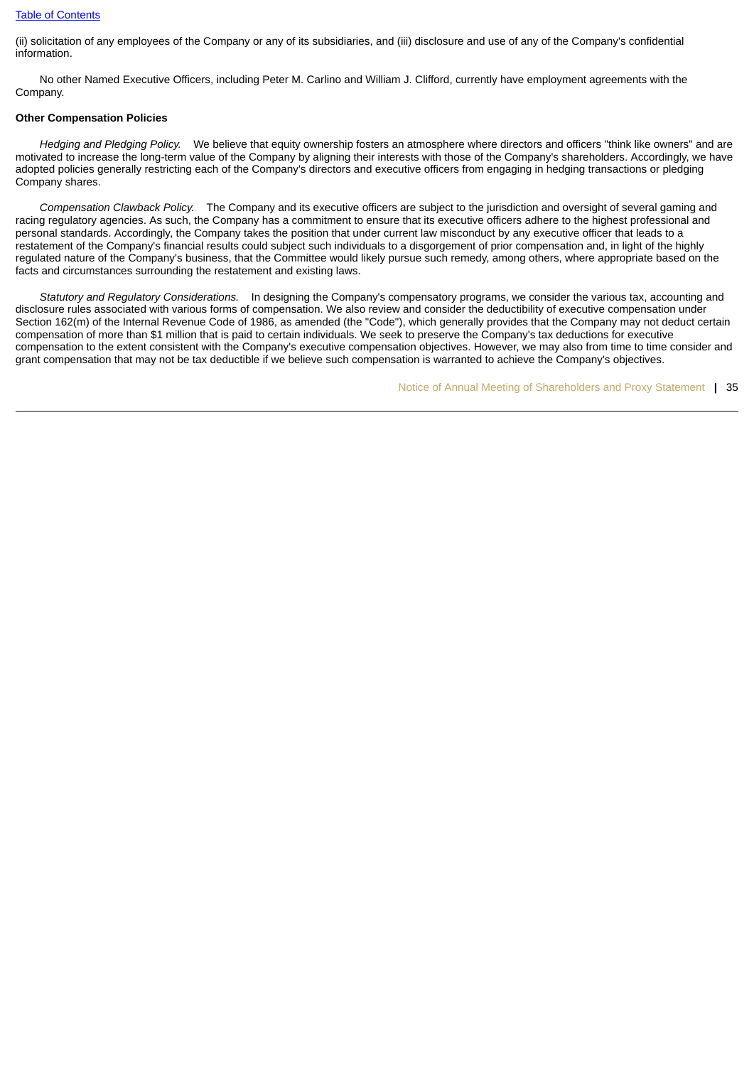(ii) solicitation of any employees of the Company or any of its subsidiaries, and (iii) disclosure and use of any of the Company's confidential information.

 No other Named Executive Officers, including Peter M. Carlino and William J. Clifford, currently have employment agreements with the Company.

## **Other Compensation Policies**

 *Hedging and Pledging Policy.* We believe that equity ownership fosters an atmosphere where directors and officers "think like owners" and are motivated to increase the long-term value of the Company by aligning their interests with those of the Company's shareholders. Accordingly, we have adopted policies generally restricting each of the Company's directors and executive officers from engaging in hedging transactions or pledging Company shares.

 *Compensation Clawback Policy.* The Company and its executive officers are subject to the jurisdiction and oversight of several gaming and racing regulatory agencies. As such, the Company has a commitment to ensure that its executive officers adhere to the highest professional and personal standards. Accordingly, the Company takes the position that under current law misconduct by any executive officer that leads to a restatement of the Company's financial results could subject such individuals to a disgorgement of prior compensation and, in light of the highly regulated nature of the Company's business, that the Committee would likely pursue such remedy, among others, where appropriate based on the facts and circumstances surrounding the restatement and existing laws.

 *Statutory and Regulatory Considerations.* In designing the Company's compensatory programs, we consider the various tax, accounting and disclosure rules associated with various forms of compensation. We also review and consider the deductibility of executive compensation under Section 162(m) of the Internal Revenue Code of 1986, as amended (the "Code"), which generally provides that the Company may not deduct certain compensation of more than \$1 million that is paid to certain individuals. We seek to preserve the Company's tax deductions for executive compensation to the extent consistent with the Company's executive compensation objectives. However, we may also from time to time consider and grant compensation that may not be tax deductible if we believe such compensation is warranted to achieve the Company's objectives.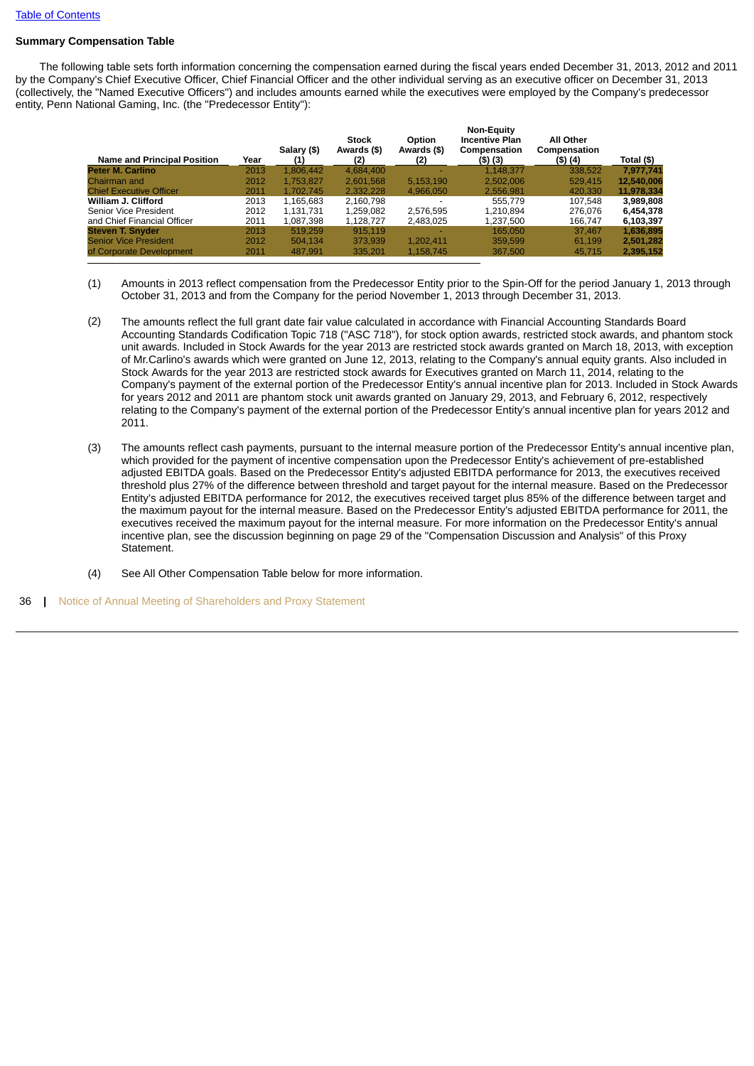# **Summary Compensation Table**

 The following table sets forth information concerning the compensation earned during the fiscal years ended December 31, 2013, 2012 and 2011 by the Company's Chief Executive Officer, Chief Financial Officer and the other individual serving as an executive officer on December 31, 2013 (collectively, the "Named Executive Officers") and includes amounts earned while the executives were employed by the Company's predecessor entity, Penn National Gaming, Inc. (the "Predecessor Entity"):

| Name and Principal Position    | Year | Salary (\$)<br>(1) | <b>Stock</b><br>Awards (\$)<br>(2) | Option<br>Awards (\$)<br>(2) | <b>Non-Equity</b><br><b>Incentive Plan</b><br>Compensation<br>$(S)$ (3) | All Other<br>Compensation<br>$($ \$) $(4)$ | Total (\$) |
|--------------------------------|------|--------------------|------------------------------------|------------------------------|-------------------------------------------------------------------------|--------------------------------------------|------------|
| <b>Peter M. Carlino</b>        | 2013 | 1.806.442          | 4.684.400                          |                              | 1.148.377                                                               | 338.522                                    | 7.977.741  |
| Chairman and                   | 2012 | 1.753.827          | 2.601.568                          | 5.153.190                    | 2.502.006                                                               | 529.415                                    | 12.540.006 |
| <b>Chief Executive Officer</b> | 2011 | 1.702.745          | 2.332.228                          | 4.966.050                    | 2.556.981                                                               | 420.330                                    | 11.978.334 |
| William J. Clifford            | 2013 | 1.165.683          | 2.160.798                          |                              | 555.779                                                                 | 107.548                                    | 3,989,808  |
| Senior Vice President          | 2012 | 1,131,731          | 1,259,082                          | 2,576,595                    | 1,210,894                                                               | 276,076                                    | 6,454,378  |
| and Chief Financial Officer    | 2011 | 1,087,398          | 1,128,727                          | 2,483,025                    | 1,237,500                                                               | 166.747                                    | 6,103,397  |
| <b>Steven T. Snyder</b>        | 2013 | 519.259            | 915.119                            |                              | 165.050                                                                 | 37.467                                     | 1,636,895  |
| <b>Senior Vice President</b>   | 2012 | 504.134            | 373.939                            | 1.202.411                    | 359.599                                                                 | 61,199                                     | 2,501,282  |
| of Corporate Development       | 2011 | 487.991            | 335.201                            | 1.158.745                    | 367.500                                                                 | 45.715                                     | 2.395.152  |

- (1) Amounts in 2013 reflect compensation from the Predecessor Entity prior to the Spin-Off for the period January 1, 2013 through October 31, 2013 and from the Company for the period November 1, 2013 through December 31, 2013.
- (2) The amounts reflect the full grant date fair value calculated in accordance with Financial Accounting Standards Board Accounting Standards Codification Topic 718 ("ASC 718"), for stock option awards, restricted stock awards, and phantom stock unit awards. Included in Stock Awards for the year 2013 are restricted stock awards granted on March 18, 2013, with exception of Mr.Carlino's awards which were granted on June 12, 2013, relating to the Company's annual equity grants. Also included in Stock Awards for the year 2013 are restricted stock awards for Executives granted on March 11, 2014, relating to the Company's payment of the external portion of the Predecessor Entity's annual incentive plan for 2013. Included in Stock Awards for years 2012 and 2011 are phantom stock unit awards granted on January 29, 2013, and February 6, 2012, respectively relating to the Company's payment of the external portion of the Predecessor Entity's annual incentive plan for years 2012 and 2011.
- (3) The amounts reflect cash payments, pursuant to the internal measure portion of the Predecessor Entity's annual incentive plan, which provided for the payment of incentive compensation upon the Predecessor Entity's achievement of pre-established adjusted EBITDA goals. Based on the Predecessor Entity's adjusted EBITDA performance for 2013, the executives received threshold plus 27% of the difference between threshold and target payout for the internal measure. Based on the Predecessor Entity's adjusted EBITDA performance for 2012, the executives received target plus 85% of the difference between target and the maximum payout for the internal measure. Based on the Predecessor Entity's adjusted EBITDA performance for 2011, the executives received the maximum payout for the internal measure. For more information on the Predecessor Entity's annual incentive plan, see the discussion beginning on page 29 of the "Compensation Discussion and Analysis" of this Proxy Statement.
- (4) See All Other Compensation Table below for more information.
- 36 **|** Notice of Annual Meeting of Shareholders and Proxy Statement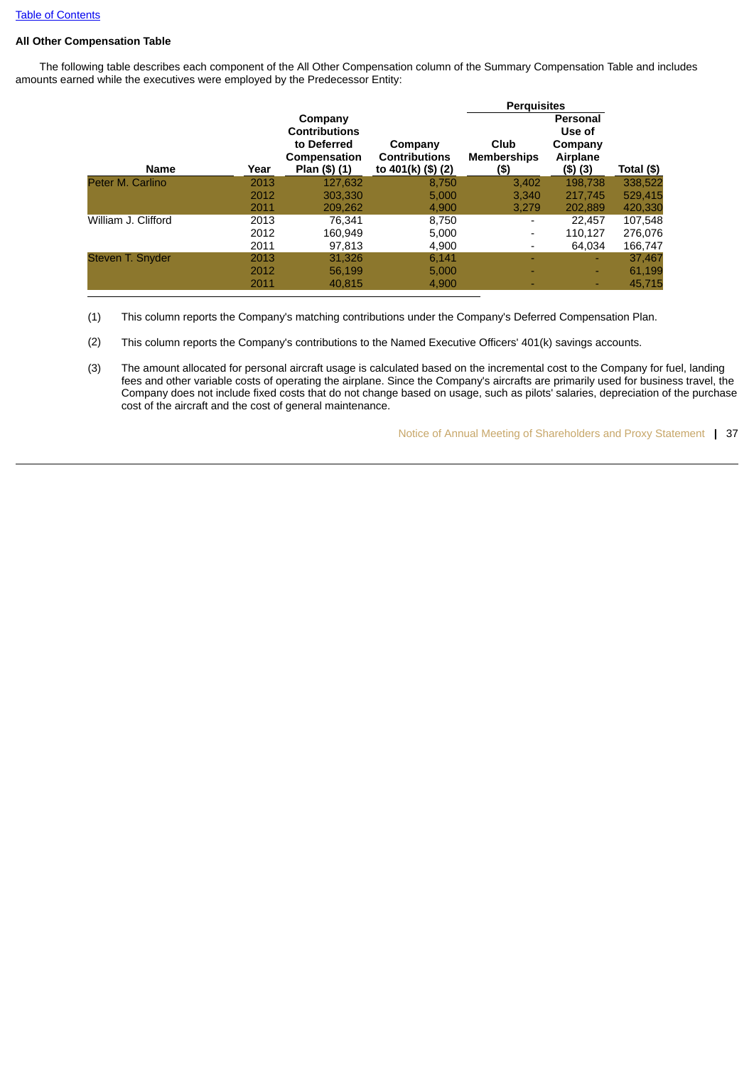# **All Other Compensation Table**

 The following table describes each component of the All Other Compensation column of the Summary Compensation Table and includes amounts earned while the executives were employed by the Predecessor Entity:

|                     |              |                                                                                 |                                                       | <b>Perquisites</b>                 |                                                                   |                    |
|---------------------|--------------|---------------------------------------------------------------------------------|-------------------------------------------------------|------------------------------------|-------------------------------------------------------------------|--------------------|
| <b>Name</b>         | Year         | Company<br><b>Contributions</b><br>to Deferred<br>Compensation<br>Plan (\$) (1) | Company<br><b>Contributions</b><br>to 401(k) (\$) (2) | Club<br><b>Memberships</b><br>(\$) | <b>Personal</b><br>Use of<br>Company<br>Airplane<br>$($ \$) $(3)$ | Total (\$)         |
| Peter M. Carlino    | 2013<br>2012 | 127,632<br>303.330                                                              | 8,750<br>5.000                                        | 3,402<br>3.340                     | 198,738<br>217.745                                                | 338,522<br>529.415 |
|                     | 2011         | 209.262                                                                         | 4,900                                                 | 3.279                              | 202.889                                                           | 420,330            |
| William J. Clifford | 2013         | 76.341                                                                          | 8.750                                                 |                                    | 22.457                                                            | 107,548            |
|                     | 2012         | 160,949                                                                         | 5,000                                                 | $\overline{\phantom{a}}$           | 110,127                                                           | 276,076            |
|                     | 2011         | 97.813                                                                          | 4,900                                                 |                                    | 64.034                                                            | 166,747            |
| Steven T. Snyder    | 2013         | 31,326                                                                          | 6,141                                                 |                                    |                                                                   | 37,467             |
|                     | 2012         | 56,199                                                                          | 5,000                                                 |                                    |                                                                   | 61,199             |
|                     | 2011         | 40,815                                                                          | 4,900                                                 |                                    |                                                                   | 45,715             |

- (1) This column reports the Company's matching contributions under the Company's Deferred Compensation Plan.
- (2) This column reports the Company's contributions to the Named Executive Officers' 401(k) savings accounts.
- (3) The amount allocated for personal aircraft usage is calculated based on the incremental cost to the Company for fuel, landing fees and other variable costs of operating the airplane. Since the Company's aircrafts are primarily used for business travel, the Company does not include fixed costs that do not change based on usage, such as pilots' salaries, depreciation of the purchase cost of the aircraft and the cost of general maintenance.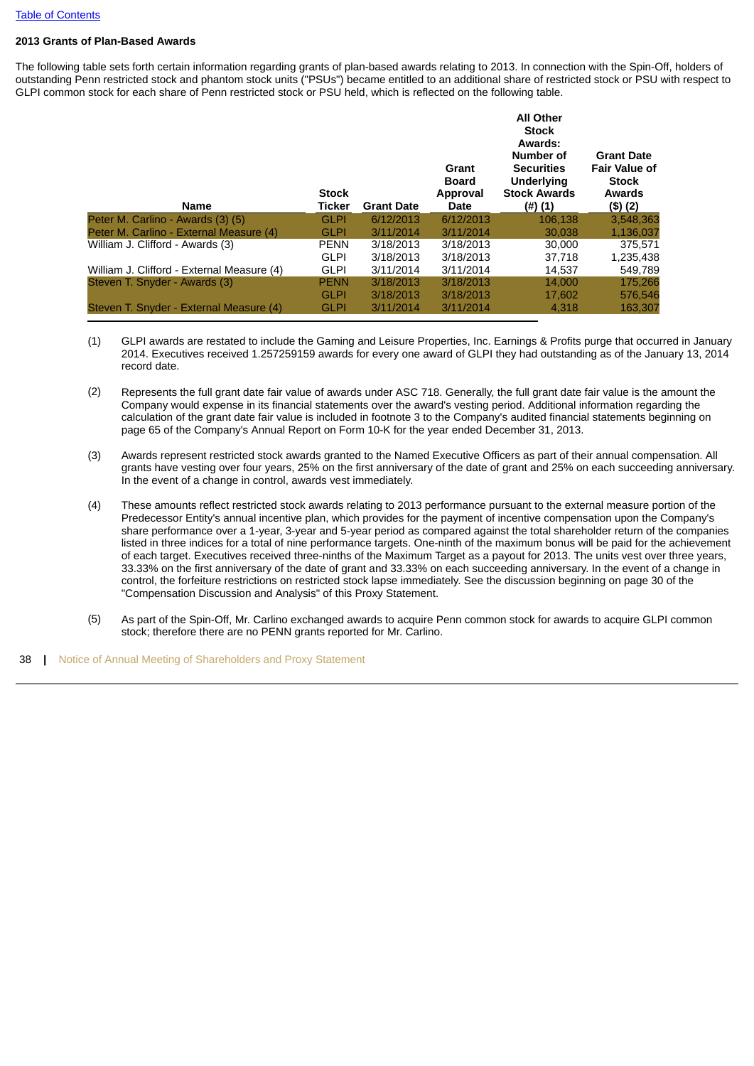# **2013 Grants of Plan-Based Awards**

The following table sets forth certain information regarding grants of plan-based awards relating to 2013. In connection with the Spin-Off, holders of outstanding Penn restricted stock and phantom stock units ("PSUs") became entitled to an additional share of restricted stock or PSU with respect to GLPI common stock for each share of Penn restricted stock or PSU held, which is reflected on the following table.

|                                            | <b>Stock</b>  |                   | Grant<br><b>Board</b><br>Approval | <b>All Other</b><br><b>Stock</b><br><b>Awards:</b><br>Number of<br><b>Securities</b><br><b>Underlying</b><br><b>Stock Awards</b> | <b>Grant Date</b><br><b>Fair Value of</b><br><b>Stock</b><br>Awards |
|--------------------------------------------|---------------|-------------------|-----------------------------------|----------------------------------------------------------------------------------------------------------------------------------|---------------------------------------------------------------------|
| <b>Name</b>                                | <b>Ticker</b> | <b>Grant Date</b> | Date                              | (#) (1)                                                                                                                          | (\$) (2)                                                            |
| Peter M. Carlino - Awards (3) (5)          | <b>GLPI</b>   | 6/12/2013         | 6/12/2013                         | 106.138                                                                                                                          | 3,548,363                                                           |
| Peter M. Carlino - External Measure (4)    | <b>GLPI</b>   | 3/11/2014         | 3/11/2014                         | 30,038                                                                                                                           | 1,136,037                                                           |
| William J. Clifford - Awards (3)           | <b>PENN</b>   | 3/18/2013         | 3/18/2013                         | 30,000                                                                                                                           | 375.571                                                             |
|                                            | <b>GLPI</b>   | 3/18/2013         | 3/18/2013                         | 37,718                                                                                                                           | 1,235,438                                                           |
| William J. Clifford - External Measure (4) | <b>GLPI</b>   | 3/11/2014         | 3/11/2014                         | 14.537                                                                                                                           | 549.789                                                             |
| Steven T. Snyder - Awards (3)              | <b>PENN</b>   | 3/18/2013         | 3/18/2013                         | 14.000                                                                                                                           | 175,266                                                             |
|                                            | <b>GLPI</b>   | 3/18/2013         | 3/18/2013                         | 17.602                                                                                                                           | 576,546                                                             |
| Steven T. Snyder - External Measure (4)    | <b>GLPI</b>   | 3/11/2014         | 3/11/2014                         | 4.318                                                                                                                            | 163.307                                                             |

- (1) GLPI awards are restated to include the Gaming and Leisure Properties, Inc. Earnings & Profits purge that occurred in January 2014. Executives received 1.257259159 awards for every one award of GLPI they had outstanding as of the January 13, 2014 record date.
- (2) Represents the full grant date fair value of awards under ASC 718. Generally, the full grant date fair value is the amount the Company would expense in its financial statements over the award's vesting period. Additional information regarding the calculation of the grant date fair value is included in footnote 3 to the Company's audited financial statements beginning on page 65 of the Company's Annual Report on Form 10-K for the year ended December 31, 2013.
- (3) Awards represent restricted stock awards granted to the Named Executive Officers as part of their annual compensation. All grants have vesting over four years, 25% on the first anniversary of the date of grant and 25% on each succeeding anniversary. In the event of a change in control, awards vest immediately.
- (4) These amounts reflect restricted stock awards relating to 2013 performance pursuant to the external measure portion of the Predecessor Entity's annual incentive plan, which provides for the payment of incentive compensation upon the Company's share performance over a 1-year, 3-year and 5-year period as compared against the total shareholder return of the companies listed in three indices for a total of nine performance targets. One-ninth of the maximum bonus will be paid for the achievement of each target. Executives received three-ninths of the Maximum Target as a payout for 2013. The units vest over three years, 33.33% on the first anniversary of the date of grant and 33.33% on each succeeding anniversary. In the event of a change in control, the forfeiture restrictions on restricted stock lapse immediately. See the discussion beginning on page 30 of the "Compensation Discussion and Analysis" of this Proxy Statement.
- (5) As part of the Spin-Off, Mr. Carlino exchanged awards to acquire Penn common stock for awards to acquire GLPI common stock; therefore there are no PENN grants reported for Mr. Carlino.
- 38 **|** Notice of Annual Meeting of Shareholders and Proxy Statement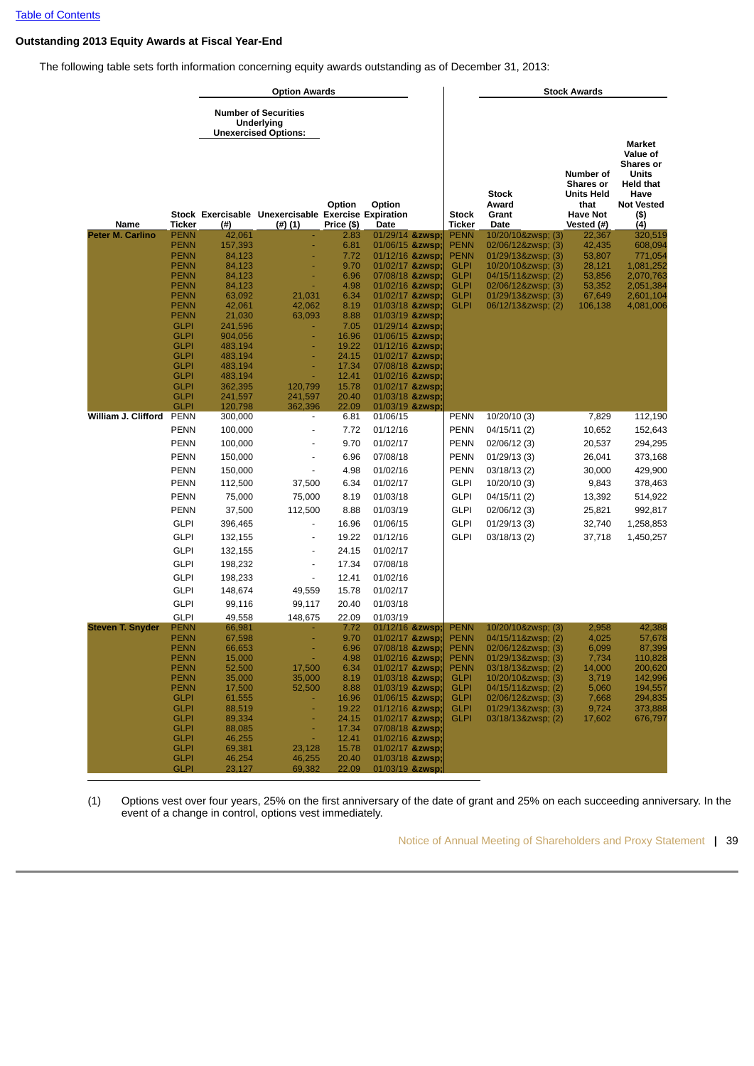# **Outstanding 2013 Equity Awards at Fiscal Year-End**

The following table sets forth information concerning equity awards outstanding as of December 31, 2013:

|                          |                            |                    | <b>Option Awards</b>                                                     |                      |                                   |                            |                                        | <b>Stock Awards</b>                                                                  |                                                                                                                        |
|--------------------------|----------------------------|--------------------|--------------------------------------------------------------------------|----------------------|-----------------------------------|----------------------------|----------------------------------------|--------------------------------------------------------------------------------------|------------------------------------------------------------------------------------------------------------------------|
|                          |                            |                    | <b>Number of Securities</b><br>Underlying<br><b>Unexercised Options:</b> |                      |                                   |                            |                                        |                                                                                      |                                                                                                                        |
| Name                     | Ticker                     | $^{(#)}$           | Stock Exercisable Unexercisable Exercise Expiration<br>$(4)$ (1)         | Option<br>Price (\$) | Option<br>Date                    | Stock<br>Ticker            | <b>Stock</b><br>Award<br>Grant<br>Date | Number of<br><b>Shares or</b><br>Units Held<br>that<br><b>Have Not</b><br>Vested (#) | <b>Market</b><br>Value of<br><b>Shares or</b><br>Units<br><b>Held that</b><br>Have<br><b>Not Vested</b><br>(\$)<br>(4) |
| <b>Peter M. Carlino</b>  | <b>PENN</b><br><b>PENN</b> | 42,061<br>157,393  |                                                                          | 2.83<br>6.81         | 01/29/14 &zwsp<br>01/06/15 &zwsp  | <b>PENN</b><br><b>PENN</b> | 10/20/10&zwsp (3)<br>02/06/12&zwsp (3) | 22,367<br>42,435                                                                     | 320,519<br>608,094                                                                                                     |
|                          | <b>PENN</b>                | 84,123             |                                                                          | 7.72                 | 01/12/16 &zwsp:                   | <b>PENN</b>                | 01/29/13&zwsp (3)                      | 53,807                                                                               | 771,054                                                                                                                |
|                          | <b>PENN</b>                | 84,123             |                                                                          | 9.70                 | 01/02/17 &zwsp                    | <b>GLPI</b>                | 10/20/10&zwsp (3)                      | 28,121                                                                               | 1,081,252                                                                                                              |
|                          | <b>PENN</b>                | 84,123             |                                                                          | 6.96                 | 07/08/18 &zwsp                    | <b>GLPI</b>                | 04/15/11&zwsp (2)                      | 53,856                                                                               | 2,070,763                                                                                                              |
|                          | <b>PENN</b><br><b>PENN</b> | 84,123<br>63,092   | 21,031                                                                   | 4.98<br>6.34         | 01/02/16 &zwsp:<br>01/02/17 &zwsp | <b>GLPI</b><br><b>GLPI</b> | 02/06/12&zwsp (3)<br>01/29/13&zwsp (3) | 53,352<br>67,649                                                                     | 2,051,384<br>2,601,104                                                                                                 |
|                          | <b>PENN</b>                | 42,061             | 42,062                                                                   | 8.19                 | 01/03/18 &zwsp                    | <b>GLPI</b>                | 06/12/13&zwsp (2)                      | 106,138                                                                              | 4,081,006                                                                                                              |
|                          | <b>PENN</b>                | 21,030             | 63,093                                                                   | 8.88                 | 01/03/19 &zwsp                    |                            |                                        |                                                                                      |                                                                                                                        |
|                          | <b>GLPI</b><br><b>GLPI</b> | 241,596<br>904,056 | ÷<br>÷                                                                   | 7.05<br>16.96        | 01/29/14 &zwsp<br>01/06/15 &zwsp: |                            |                                        |                                                                                      |                                                                                                                        |
|                          | <b>GLPI</b>                | 483.194            |                                                                          | 19.22                | 01/12/16 &zwsp                    |                            |                                        |                                                                                      |                                                                                                                        |
|                          | <b>GLPI</b>                | 483,194            | ÷                                                                        | 24.15                | 01/02/17 &zwsp                    |                            |                                        |                                                                                      |                                                                                                                        |
|                          | <b>GLPI</b><br><b>GLPI</b> | 483,194<br>483,194 | ÷<br>÷                                                                   | 17.34<br>12.41       | 07/08/18 &zwsp<br>01/02/16 &zwsp  |                            |                                        |                                                                                      |                                                                                                                        |
|                          | <b>GLPI</b>                | 362,395            | 120,799                                                                  | 15.78                | 01/02/17 &zwsp                    |                            |                                        |                                                                                      |                                                                                                                        |
|                          | <b>GLPI</b>                | 241,597            | 241,597                                                                  | 20.40                | 01/03/18 &zwsp                    |                            |                                        |                                                                                      |                                                                                                                        |
| William J. Clifford PENN | <b>GLPI</b>                | 120,798<br>300,000 | 362,396<br>$\blacksquare$                                                | 22.09<br>6.81        | 01/03/19 &zwsp<br>01/06/15        | <b>PENN</b>                | 10/20/10 (3)                           | 7,829                                                                                | 112,190                                                                                                                |
|                          | PENN                       | 100,000            | $\overline{\phantom{a}}$                                                 | 7.72                 | 01/12/16                          | <b>PENN</b>                | 04/15/11 (2)                           | 10,652                                                                               | 152,643                                                                                                                |
|                          | <b>PENN</b>                | 100,000            | $\overline{\phantom{a}}$                                                 | 9.70                 | 01/02/17                          | <b>PENN</b>                | 02/06/12 (3)                           | 20,537                                                                               | 294,295                                                                                                                |
|                          | PENN                       | 150,000            | $\overline{\phantom{a}}$                                                 | 6.96                 | 07/08/18                          | <b>PENN</b>                | 01/29/13 (3)                           | 26,041                                                                               | 373,168                                                                                                                |
|                          | <b>PENN</b>                | 150,000            | $\overline{\phantom{a}}$                                                 | 4.98                 | 01/02/16                          | <b>PENN</b>                | 03/18/13 (2)                           | 30,000                                                                               | 429,900                                                                                                                |
|                          | <b>PENN</b>                | 112,500            | 37,500                                                                   | 6.34                 | 01/02/17                          | <b>GLPI</b>                | 10/20/10 (3)                           | 9,843                                                                                | 378,463                                                                                                                |
|                          | <b>PENN</b>                | 75,000             | 75,000                                                                   | 8.19                 | 01/03/18                          | <b>GLPI</b>                | 04/15/11 (2)                           | 13,392                                                                               | 514,922                                                                                                                |
|                          | PENN                       | 37,500             | 112,500                                                                  | 8.88                 | 01/03/19                          | <b>GLPI</b>                | 02/06/12 (3)                           | 25,821                                                                               | 992,817                                                                                                                |
|                          | <b>GLPI</b>                | 396,465            | $\blacksquare$                                                           | 16.96                | 01/06/15                          | <b>GLPI</b>                | 01/29/13 (3)                           | 32,740                                                                               | 1,258,853                                                                                                              |
|                          | <b>GLPI</b>                |                    |                                                                          |                      |                                   | <b>GLPI</b>                |                                        |                                                                                      |                                                                                                                        |
|                          |                            | 132,155            | $\blacksquare$                                                           | 19.22                | 01/12/16                          |                            | 03/18/13 (2)                           | 37,718                                                                               | 1,450,257                                                                                                              |
|                          | <b>GLPI</b>                | 132,155            | $\overline{\phantom{a}}$                                                 | 24.15                | 01/02/17                          |                            |                                        |                                                                                      |                                                                                                                        |
|                          | <b>GLPI</b>                | 198,232            | $\overline{\phantom{a}}$                                                 | 17.34                | 07/08/18                          |                            |                                        |                                                                                      |                                                                                                                        |
|                          | <b>GLPI</b>                | 198,233            | $\overline{\phantom{a}}$                                                 | 12.41                | 01/02/16                          |                            |                                        |                                                                                      |                                                                                                                        |
|                          | <b>GLPI</b><br><b>GLPI</b> | 148,674            | 49,559                                                                   | 15.78                | 01/02/17                          |                            |                                        |                                                                                      |                                                                                                                        |
|                          | <b>GLPI</b>                | 99,116<br>49,558   | 99,117<br>148,675                                                        | 20.40<br>22.09       | 01/03/18<br>01/03/19              |                            |                                        |                                                                                      |                                                                                                                        |
| <b>Steven T. Snyder</b>  | <b>PENN</b>                | 66,981             |                                                                          | 7.72                 | 01/12/16 &zwsp                    | <b>PENN</b>                | 10/20/10&zwsp (3)                      | 2,958                                                                                | 42,388                                                                                                                 |
|                          | <b>PENN</b>                | 67,598             |                                                                          | 9.70                 | 01/02/17 &zwsp                    | <b>PENN</b>                | 04/15/11&zwsp (2)                      | 4,025                                                                                | 57,678                                                                                                                 |
|                          | <b>PENN</b>                | 66,653             | <b>College</b>                                                           | 6.96                 | 07/08/18 &zwsp                    | <b>PENN</b>                | 02/06/12&zwsp (3)                      | 6,099                                                                                | 87,399                                                                                                                 |
|                          | <b>PENN</b><br><b>PENN</b> | 15,000<br>52,500   | 17,500                                                                   | 4.98<br>6.34         | 01/02/16 &zwsp<br>01/02/17 &zwsp  | <b>PENN</b><br><b>PENN</b> | 01/29/13&zwsp (3)<br>03/18/13&zwsp (2) | 7,734<br>14,000                                                                      | 110,828<br>200,620                                                                                                     |
|                          | <b>PENN</b>                | 35,000             | 35,000                                                                   | 8.19                 | 01/03/18 &zwsp                    | <b>GLPI</b>                | 10/20/10&zwsp (3)                      | 3,719                                                                                | 142,996                                                                                                                |
|                          | <b>PENN</b>                | 17,500             | 52,500                                                                   | 8.88                 | 01/03/19 &zwsp                    | <b>GLPI</b>                | 04/15/11&zwsp (2)                      | 5,060                                                                                | 194,557                                                                                                                |
|                          | <b>GLPI</b><br><b>GLPI</b> | 61,555<br>88,519   | ÷<br>÷                                                                   | 16.96<br>19.22       | 01/06/15 &zwsp<br>01/12/16 &zwsp  | <b>GLPI</b><br><b>GLPI</b> | 02/06/12&zwsp (3)<br>01/29/13&zwsp (3) | 7,668<br>9,724                                                                       | 294,835<br>373,888                                                                                                     |
|                          | <b>GLPI</b>                | 89,334             | ÷                                                                        | 24.15                | 01/02/17 &zwsp                    | <b>GLPI</b>                | 03/18/13&zwsp (2)                      | 17,602                                                                               | 676,797                                                                                                                |
|                          | <b>GLPI</b>                | 88,085             | ÷                                                                        | 17.34                | 07/08/18 &zwsp                    |                            |                                        |                                                                                      |                                                                                                                        |
|                          | <b>GLPI</b><br><b>GLPI</b> | 46,255<br>69,381   | ×<br>23,128                                                              | 12.41<br>15.78       | 01/02/16 &zwsp<br>01/02/17 &zwsp  |                            |                                        |                                                                                      |                                                                                                                        |
|                          | <b>GLPI</b>                | 46,254             | 46,255                                                                   | 20.40                | 01/03/18 &zwsp                    |                            |                                        |                                                                                      |                                                                                                                        |
|                          | <b>GLPI</b>                | 23,127             | 69,382                                                                   | 22.09                | 01/03/19 &zwsp                    |                            |                                        |                                                                                      |                                                                                                                        |

(1) Options vest over four years, 25% on the first anniversary of the date of grant and 25% on each succeeding anniversary. In the event of a change in control, options vest immediately.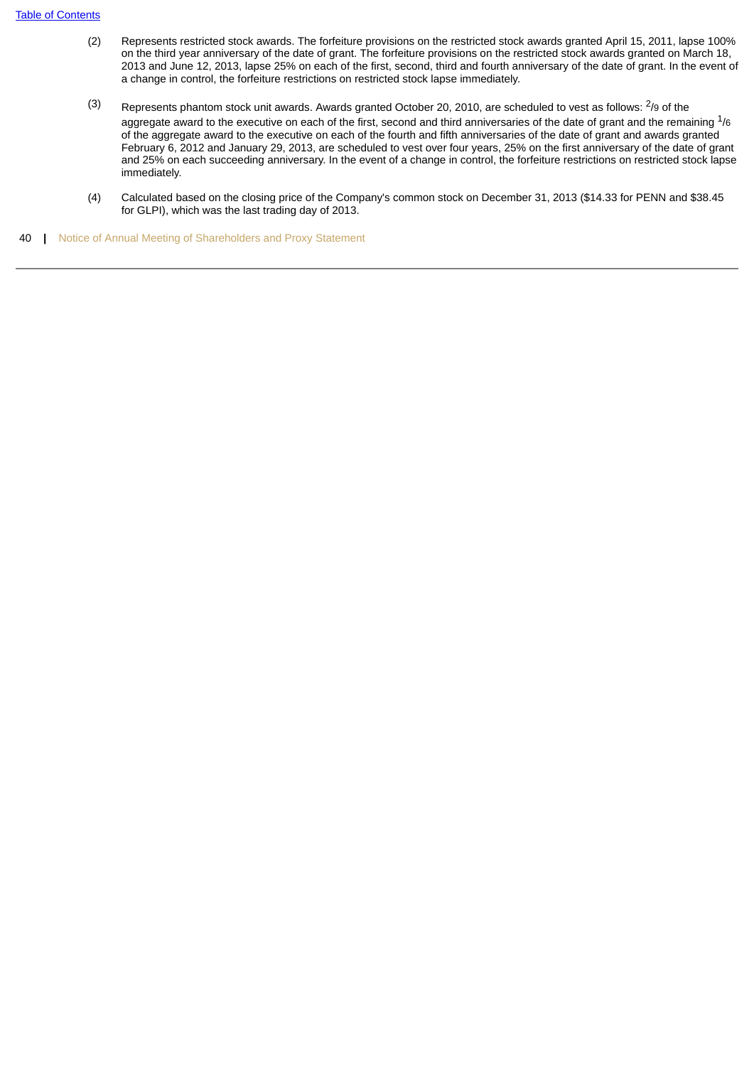- (2) Represents restricted stock awards. The forfeiture provisions on the restricted stock awards granted April 15, 2011, lapse 100% on the third year anniversary of the date of grant. The forfeiture provisions on the restricted stock awards granted on March 18, 2013 and June 12, 2013, lapse 25% on each of the first, second, third and fourth anniversary of the date of grant. In the event of a change in control, the forfeiture restrictions on restricted stock lapse immediately.
- (3) Represents phantom stock unit awards. Awards granted October 20, 2010, are scheduled to vest as follows:  $^2$ /9 of the aggregate award to the executive on each of the first, second and third anniversaries of the date of grant and the remaining  $^{1}$ /6 of the aggregate award to the executive on each of the fourth and fifth anniversaries of the date of grant and awards granted February 6, 2012 and January 29, 2013, are scheduled to vest over four years, 25% on the first anniversary of the date of grant and 25% on each succeeding anniversary. In the event of a change in control, the forfeiture restrictions on restricted stock lapse immediately.
- (4) Calculated based on the closing price of the Company's common stock on December 31, 2013 (\$14.33 for PENN and \$38.45 for GLPI), which was the last trading day of 2013.
- 40 **|** Notice of Annual Meeting of Shareholders and Proxy Statement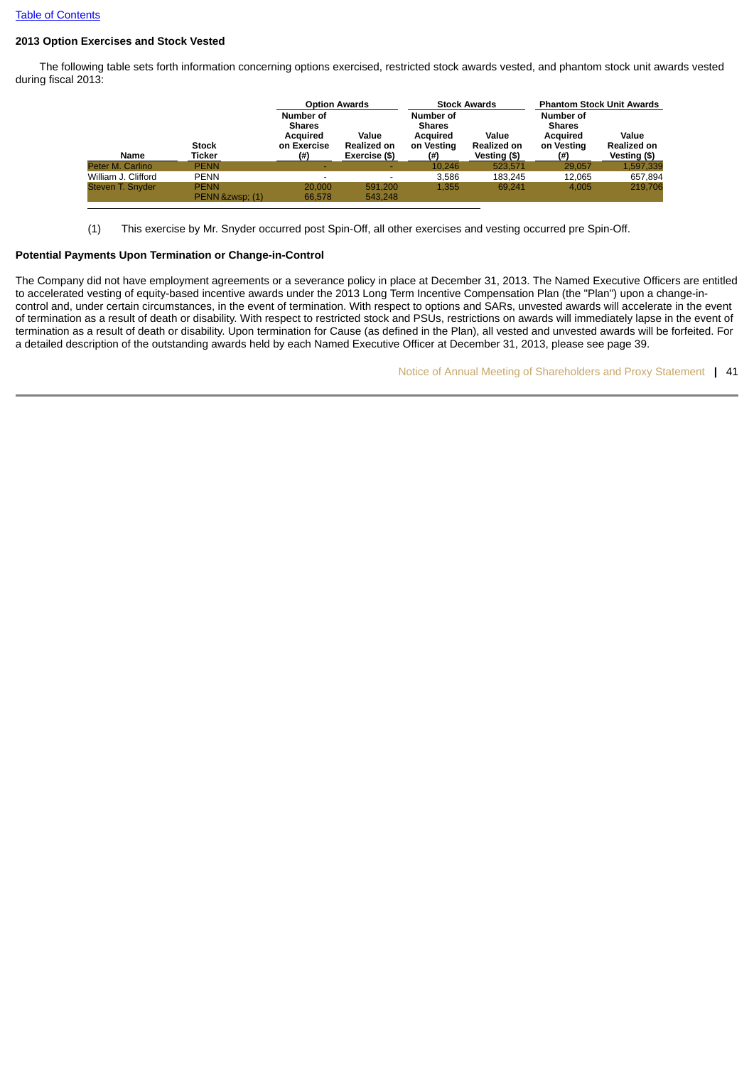# **2013 Option Exercises and Stock Vested**

 The following table sets forth information concerning options exercised, restricted stock awards vested, and phantom stock unit awards vested during fiscal 2013:

|                     |                               | <b>Option Awards</b>                                              |                                       | <b>Stock Awards</b>                                                     |                                      | <b>Phantom Stock Unit Awards</b>                            |                                      |
|---------------------|-------------------------------|-------------------------------------------------------------------|---------------------------------------|-------------------------------------------------------------------------|--------------------------------------|-------------------------------------------------------------|--------------------------------------|
| <b>Name</b>         | <b>Stock</b><br>Ticker        | Number of<br><b>Shares</b><br>Acquired<br>on Exercise<br>$^{(#)}$ | Value<br>Realized on<br>Exercise (\$) | Number of<br><b>Shares</b><br><b>Acquired</b><br>on Vesting<br>$^{(#)}$ | Value<br>Realized on<br>Vesting (\$) | Number of<br><b>Shares</b><br>Acquired<br>on Vesting<br>(#) | Value<br>Realized on<br>Vesting (\$) |
| Peter M. Carlino    | <b>PENN</b>                   |                                                                   |                                       | 10.246                                                                  | 523.571                              | 29.057                                                      | 1,597,339                            |
| William J. Clifford | <b>PENN</b>                   | -                                                                 |                                       | 3.586                                                                   | 183.245                              | 12,065                                                      | 657,894                              |
| Steven T. Snyder    | <b>PENN</b><br>PENN &zwsp (1) | 20,000<br>66.578                                                  | 591.200<br>543.248                    | 1.355                                                                   | 69.241                               | 4.005                                                       | 219,706                              |
|                     |                               |                                                                   |                                       |                                                                         |                                      |                                                             |                                      |

(1) This exercise by Mr. Snyder occurred post Spin-Off, all other exercises and vesting occurred pre Spin-Off.

## **Potential Payments Upon Termination or Change-in-Control**

The Company did not have employment agreements or a severance policy in place at December 31, 2013. The Named Executive Officers are entitled to accelerated vesting of equity-based incentive awards under the 2013 Long Term Incentive Compensation Plan (the "Plan") upon a change-incontrol and, under certain circumstances, in the event of termination. With respect to options and SARs, unvested awards will accelerate in the event of termination as a result of death or disability. With respect to restricted stock and PSUs, restrictions on awards will immediately lapse in the event of termination as a result of death or disability. Upon termination for Cause (as defined in the Plan), all vested and unvested awards will be forfeited. For a detailed description of the outstanding awards held by each Named Executive Officer at December 31, 2013, please see page 39.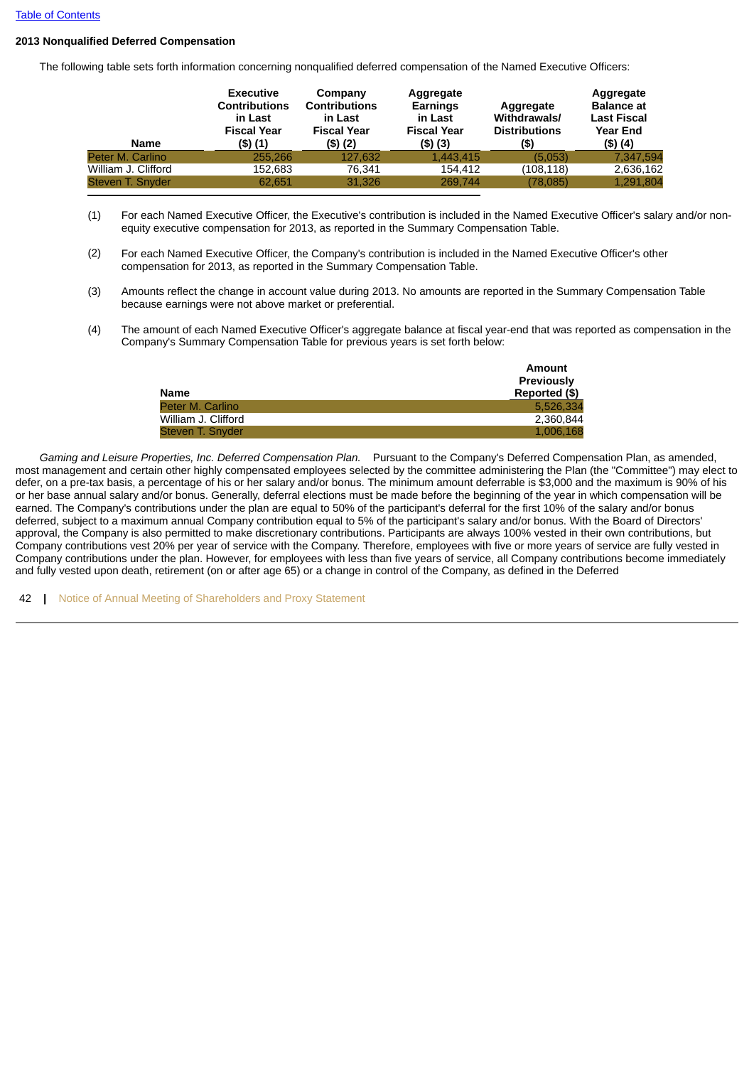# **2013 Nonqualified Deferred Compensation**

The following table sets forth information concerning nonqualified deferred compensation of the Named Executive Officers:

| <b>Name</b>         | <b>Executive</b><br><b>Contributions</b><br>in Last<br><b>Fiscal Year</b><br>(\$) (1) | Company<br><b>Contributions</b><br>in Last<br><b>Fiscal Year</b><br>(\$) (2) | Aggregate<br><b>Earnings</b><br>in Last<br><b>Fiscal Year</b><br>(\$) (3) | Aggregate<br><b>Withdrawals/</b><br><b>Distributions</b><br>$($ \$) | Aggregate<br><b>Balance at</b><br><b>Last Fiscal</b><br><b>Year End</b><br>(\$) (4) |
|---------------------|---------------------------------------------------------------------------------------|------------------------------------------------------------------------------|---------------------------------------------------------------------------|---------------------------------------------------------------------|-------------------------------------------------------------------------------------|
| Peter M. Carlino    | 255,266                                                                               | 127,632                                                                      | 1,443,415                                                                 | (5.053)                                                             | 7,347,594                                                                           |
| William J. Clifford | 152,683                                                                               | 76,341                                                                       | 154,412                                                                   | (108,118)                                                           | 2,636,162                                                                           |
| Steven T. Snyder    | 62.651                                                                                | 31.326                                                                       | 269.744                                                                   | (78,085)                                                            | 1,291,804                                                                           |

- (1) For each Named Executive Officer, the Executive's contribution is included in the Named Executive Officer's salary and/or nonequity executive compensation for 2013, as reported in the Summary Compensation Table.
- (2) For each Named Executive Officer, the Company's contribution is included in the Named Executive Officer's other compensation for 2013, as reported in the Summary Compensation Table.
- (3) Amounts reflect the change in account value during 2013. No amounts are reported in the Summary Compensation Table because earnings were not above market or preferential.
- (4) The amount of each Named Executive Officer's aggregate balance at fiscal year-end that was reported as compensation in the Company's Summary Compensation Table for previous years is set forth below:

|                     | Amount        |
|---------------------|---------------|
|                     | Previously    |
| <b>Name</b>         | Reported (\$) |
| Peter M. Carlino    | 5.526.334     |
| William J. Clifford | 2.360.844     |
| Steven T. Snyder    | 1.006.168     |

 *Gaming and Leisure Properties, Inc. Deferred Compensation Plan.* Pursuant to the Company's Deferred Compensation Plan, as amended, most management and certain other highly compensated employees selected by the committee administering the Plan (the "Committee") may elect to defer, on a pre-tax basis, a percentage of his or her salary and/or bonus. The minimum amount deferrable is \$3,000 and the maximum is 90% of his or her base annual salary and/or bonus. Generally, deferral elections must be made before the beginning of the year in which compensation will be earned. The Company's contributions under the plan are equal to 50% of the participant's deferral for the first 10% of the salary and/or bonus deferred, subject to a maximum annual Company contribution equal to 5% of the participant's salary and/or bonus. With the Board of Directors' approval, the Company is also permitted to make discretionary contributions. Participants are always 100% vested in their own contributions, but Company contributions vest 20% per year of service with the Company. Therefore, employees with five or more years of service are fully vested in Company contributions under the plan. However, for employees with less than five years of service, all Company contributions become immediately and fully vested upon death, retirement (on or after age 65) or a change in control of the Company, as defined in the Deferred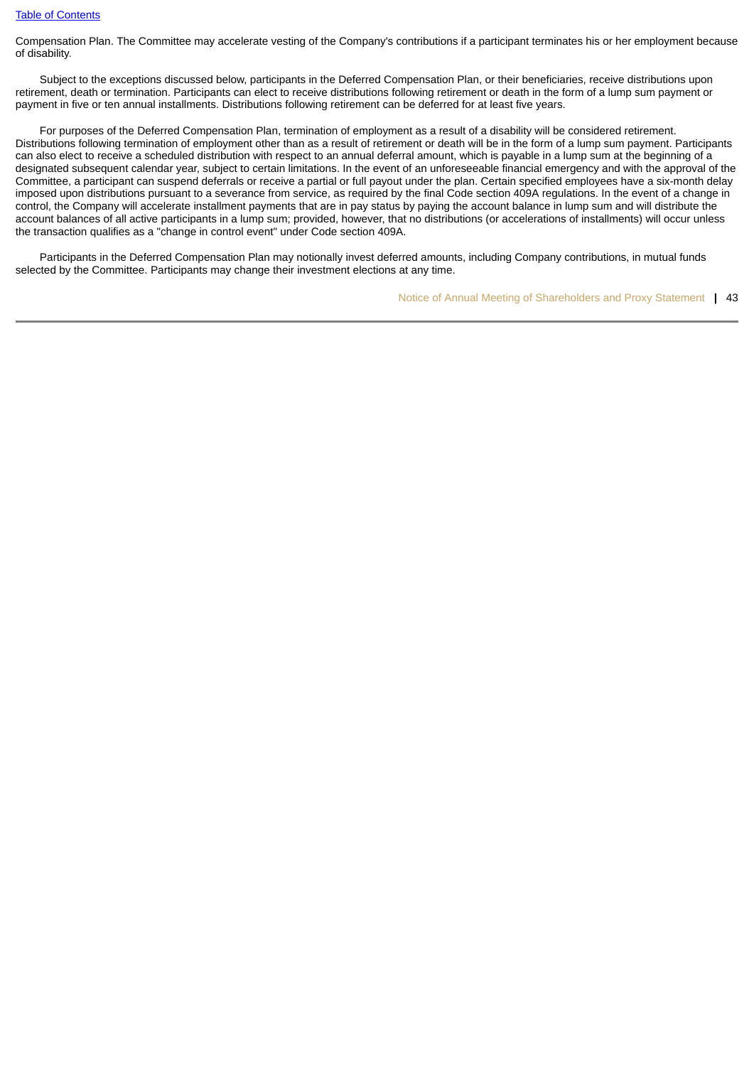Compensation Plan. The Committee may accelerate vesting of the Company's contributions if a participant terminates his or her employment because of disability.

 Subject to the exceptions discussed below, participants in the Deferred Compensation Plan, or their beneficiaries, receive distributions upon retirement, death or termination. Participants can elect to receive distributions following retirement or death in the form of a lump sum payment or payment in five or ten annual installments. Distributions following retirement can be deferred for at least five years.

 For purposes of the Deferred Compensation Plan, termination of employment as a result of a disability will be considered retirement. Distributions following termination of employment other than as a result of retirement or death will be in the form of a lump sum payment. Participants can also elect to receive a scheduled distribution with respect to an annual deferral amount, which is payable in a lump sum at the beginning of a designated subsequent calendar year, subject to certain limitations. In the event of an unforeseeable financial emergency and with the approval of the Committee, a participant can suspend deferrals or receive a partial or full payout under the plan. Certain specified employees have a six-month delay imposed upon distributions pursuant to a severance from service, as required by the final Code section 409A regulations. In the event of a change in control, the Company will accelerate installment payments that are in pay status by paying the account balance in lump sum and will distribute the account balances of all active participants in a lump sum; provided, however, that no distributions (or accelerations of installments) will occur unless the transaction qualifies as a "change in control event" under Code section 409A.

 Participants in the Deferred Compensation Plan may notionally invest deferred amounts, including Company contributions, in mutual funds selected by the Committee. Participants may change their investment elections at any time.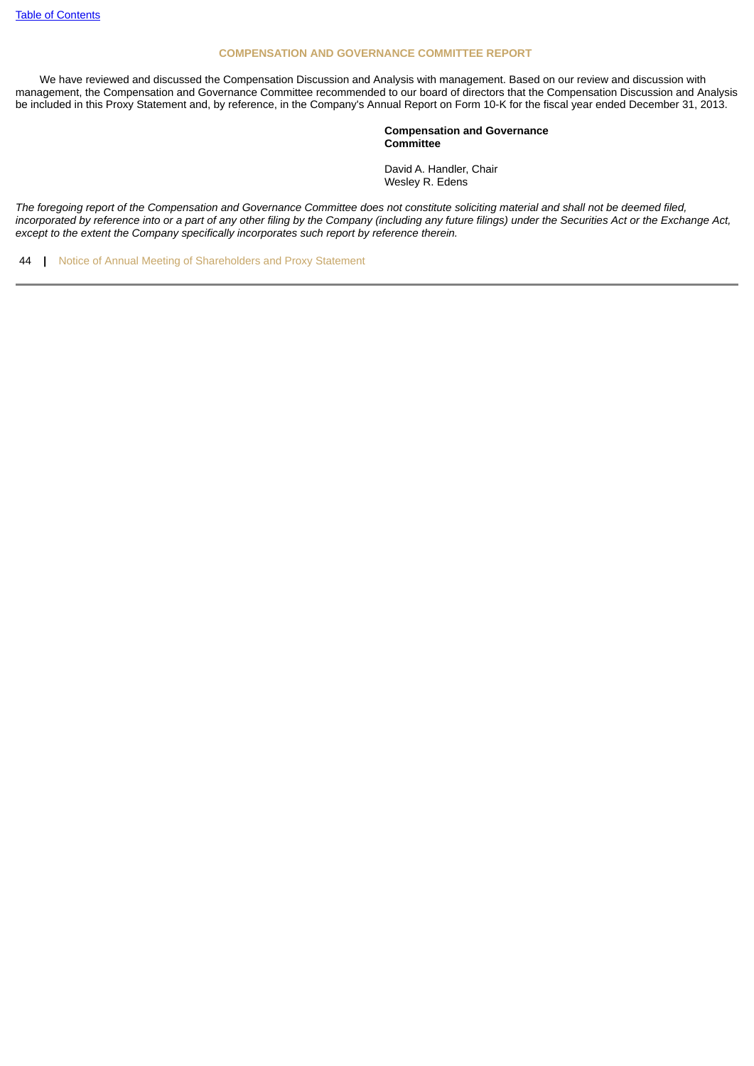# **COMPENSATION AND GOVERNANCE COMMITTEE REPORT**

<span id="page-44-0"></span> We have reviewed and discussed the Compensation Discussion and Analysis with management. Based on our review and discussion with management, the Compensation and Governance Committee recommended to our board of directors that the Compensation Discussion and Analysis be included in this Proxy Statement and, by reference, in the Company's Annual Report on Form 10-K for the fiscal year ended December 31, 2013.

> **Compensation and Governance Committee**

David A. Handler, Chair Wesley R. Edens

*The foregoing report of the Compensation and Governance Committee does not constitute soliciting material and shall not be deemed filed, incorporated by reference into or a part of any other filing by the Company (including any future filings) under the Securities Act or the Exchange Act, except to the extent the Company specifically incorporates such report by reference therein.*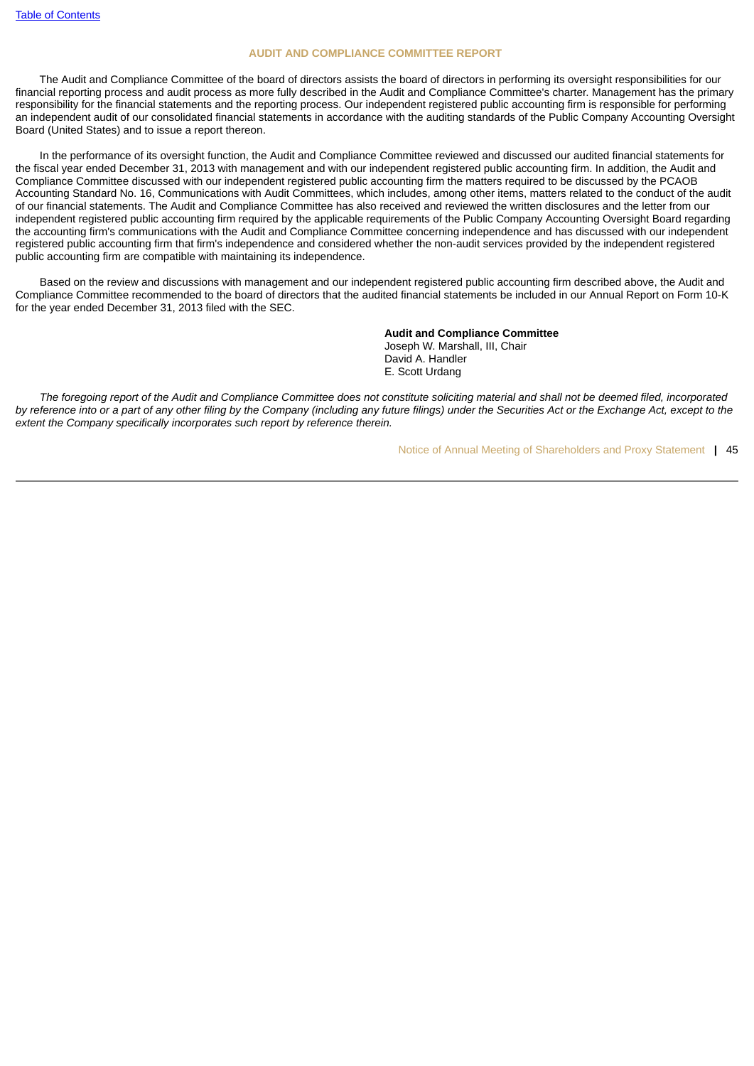## **AUDIT AND COMPLIANCE COMMITTEE REPORT**

<span id="page-45-0"></span> The Audit and Compliance Committee of the board of directors assists the board of directors in performing its oversight responsibilities for our financial reporting process and audit process as more fully described in the Audit and Compliance Committee's charter. Management has the primary responsibility for the financial statements and the reporting process. Our independent registered public accounting firm is responsible for performing an independent audit of our consolidated financial statements in accordance with the auditing standards of the Public Company Accounting Oversight Board (United States) and to issue a report thereon.

 In the performance of its oversight function, the Audit and Compliance Committee reviewed and discussed our audited financial statements for the fiscal year ended December 31, 2013 with management and with our independent registered public accounting firm. In addition, the Audit and Compliance Committee discussed with our independent registered public accounting firm the matters required to be discussed by the PCAOB Accounting Standard No. 16, Communications with Audit Committees, which includes, among other items, matters related to the conduct of the audit of our financial statements. The Audit and Compliance Committee has also received and reviewed the written disclosures and the letter from our independent registered public accounting firm required by the applicable requirements of the Public Company Accounting Oversight Board regarding the accounting firm's communications with the Audit and Compliance Committee concerning independence and has discussed with our independent registered public accounting firm that firm's independence and considered whether the non-audit services provided by the independent registered public accounting firm are compatible with maintaining its independence.

 Based on the review and discussions with management and our independent registered public accounting firm described above, the Audit and Compliance Committee recommended to the board of directors that the audited financial statements be included in our Annual Report on Form 10-K for the year ended December 31, 2013 filed with the SEC.

> **Audit and Compliance Committee** Joseph W. Marshall, III, Chair David A. Handler E. Scott Urdang

 *The foregoing report of the Audit and Compliance Committee does not constitute soliciting material and shall not be deemed filed, incorporated by reference into or a part of any other filing by the Company (including any future filings) under the Securities Act or the Exchange Act, except to the extent the Company specifically incorporates such report by reference therein.*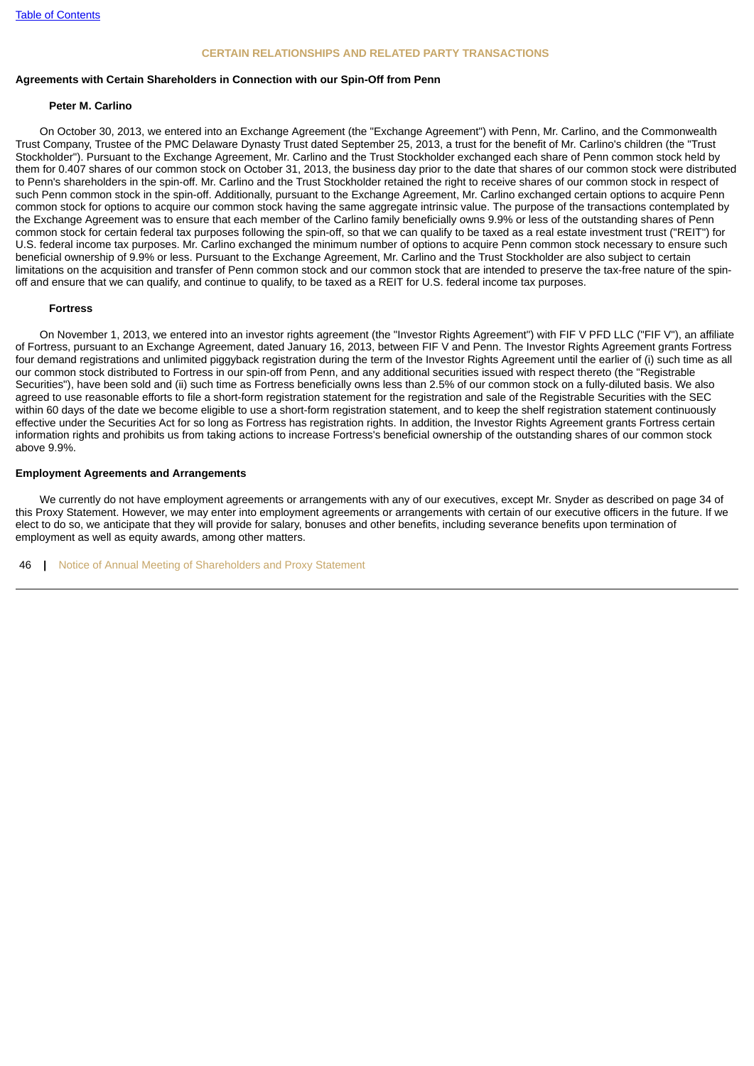#### **CERTAIN RELATIONSHIPS AND RELATED PARTY TRANSACTIONS**

# <span id="page-46-0"></span>**Agreements with Certain Shareholders in Connection with our Spin-Off from Penn**

#### **Peter M. Carlino**

 On October 30, 2013, we entered into an Exchange Agreement (the "Exchange Agreement") with Penn, Mr. Carlino, and the Commonwealth Trust Company, Trustee of the PMC Delaware Dynasty Trust dated September 25, 2013, a trust for the benefit of Mr. Carlino's children (the "Trust Stockholder"). Pursuant to the Exchange Agreement, Mr. Carlino and the Trust Stockholder exchanged each share of Penn common stock held by them for 0.407 shares of our common stock on October 31, 2013, the business day prior to the date that shares of our common stock were distributed to Penn's shareholders in the spin-off. Mr. Carlino and the Trust Stockholder retained the right to receive shares of our common stock in respect of such Penn common stock in the spin-off. Additionally, pursuant to the Exchange Agreement, Mr. Carlino exchanged certain options to acquire Penn common stock for options to acquire our common stock having the same aggregate intrinsic value. The purpose of the transactions contemplated by the Exchange Agreement was to ensure that each member of the Carlino family beneficially owns 9.9% or less of the outstanding shares of Penn common stock for certain federal tax purposes following the spin-off, so that we can qualify to be taxed as a real estate investment trust ("REIT") for U.S. federal income tax purposes. Mr. Carlino exchanged the minimum number of options to acquire Penn common stock necessary to ensure such beneficial ownership of 9.9% or less. Pursuant to the Exchange Agreement, Mr. Carlino and the Trust Stockholder are also subject to certain limitations on the acquisition and transfer of Penn common stock and our common stock that are intended to preserve the tax-free nature of the spinoff and ensure that we can qualify, and continue to qualify, to be taxed as a REIT for U.S. federal income tax purposes.

#### **Fortress**

 On November 1, 2013, we entered into an investor rights agreement (the "Investor Rights Agreement") with FIF V PFD LLC ("FIF V"), an affiliate of Fortress, pursuant to an Exchange Agreement, dated January 16, 2013, between FIF V and Penn. The Investor Rights Agreement grants Fortress four demand registrations and unlimited piggyback registration during the term of the Investor Rights Agreement until the earlier of (i) such time as all our common stock distributed to Fortress in our spin-off from Penn, and any additional securities issued with respect thereto (the "Registrable Securities"), have been sold and (ii) such time as Fortress beneficially owns less than 2.5% of our common stock on a fully-diluted basis. We also agreed to use reasonable efforts to file a short-form registration statement for the registration and sale of the Registrable Securities with the SEC within 60 days of the date we become eligible to use a short-form registration statement, and to keep the shelf registration statement continuously effective under the Securities Act for so long as Fortress has registration rights. In addition, the Investor Rights Agreement grants Fortress certain information rights and prohibits us from taking actions to increase Fortress's beneficial ownership of the outstanding shares of our common stock above 9.9%.

## **Employment Agreements and Arrangements**

 We currently do not have employment agreements or arrangements with any of our executives, except Mr. Snyder as described on page 34 of this Proxy Statement. However, we may enter into employment agreements or arrangements with certain of our executive officers in the future. If we elect to do so, we anticipate that they will provide for salary, bonuses and other benefits, including severance benefits upon termination of employment as well as equity awards, among other matters.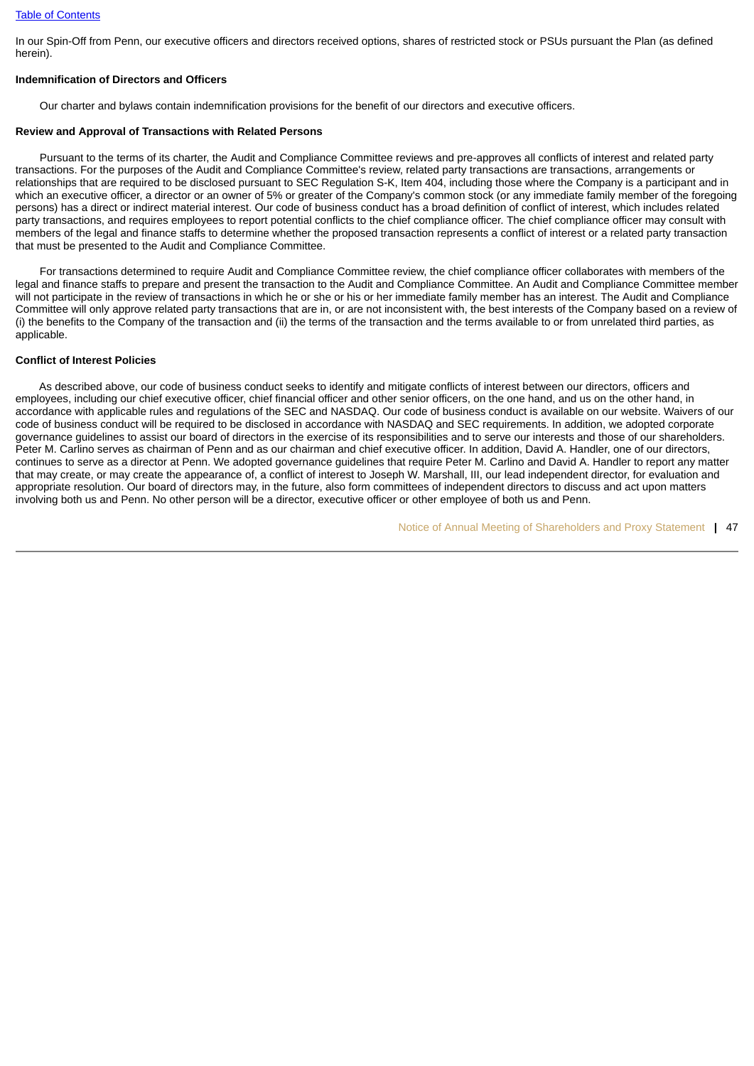In our Spin-Off from Penn, our executive officers and directors received options, shares of restricted stock or PSUs pursuant the Plan (as defined herein).

# **Indemnification of Directors and Officers**

Our charter and bylaws contain indemnification provisions for the benefit of our directors and executive officers.

# **Review and Approval of Transactions with Related Persons**

 Pursuant to the terms of its charter, the Audit and Compliance Committee reviews and pre-approves all conflicts of interest and related party transactions. For the purposes of the Audit and Compliance Committee's review, related party transactions are transactions, arrangements or relationships that are required to be disclosed pursuant to SEC Regulation S-K, Item 404, including those where the Company is a participant and in which an executive officer, a director or an owner of 5% or greater of the Company's common stock (or any immediate family member of the foregoing persons) has a direct or indirect material interest. Our code of business conduct has a broad definition of conflict of interest, which includes related party transactions, and requires employees to report potential conflicts to the chief compliance officer. The chief compliance officer may consult with members of the legal and finance staffs to determine whether the proposed transaction represents a conflict of interest or a related party transaction that must be presented to the Audit and Compliance Committee.

 For transactions determined to require Audit and Compliance Committee review, the chief compliance officer collaborates with members of the legal and finance staffs to prepare and present the transaction to the Audit and Compliance Committee. An Audit and Compliance Committee member will not participate in the review of transactions in which he or she or his or her immediate family member has an interest. The Audit and Compliance Committee will only approve related party transactions that are in, or are not inconsistent with, the best interests of the Company based on a review of (i) the benefits to the Company of the transaction and (ii) the terms of the transaction and the terms available to or from unrelated third parties, as applicable.

# **Conflict of Interest Policies**

 As described above, our code of business conduct seeks to identify and mitigate conflicts of interest between our directors, officers and employees, including our chief executive officer, chief financial officer and other senior officers, on the one hand, and us on the other hand, in accordance with applicable rules and regulations of the SEC and NASDAQ. Our code of business conduct is available on our website. Waivers of our code of business conduct will be required to be disclosed in accordance with NASDAQ and SEC requirements. In addition, we adopted corporate governance guidelines to assist our board of directors in the exercise of its responsibilities and to serve our interests and those of our shareholders. Peter M. Carlino serves as chairman of Penn and as our chairman and chief executive officer. In addition, David A. Handler, one of our directors, continues to serve as a director at Penn. We adopted governance guidelines that require Peter M. Carlino and David A. Handler to report any matter that may create, or may create the appearance of, a conflict of interest to Joseph W. Marshall, III, our lead independent director, for evaluation and appropriate resolution. Our board of directors may, in the future, also form committees of independent directors to discuss and act upon matters involving both us and Penn. No other person will be a director, executive officer or other employee of both us and Penn.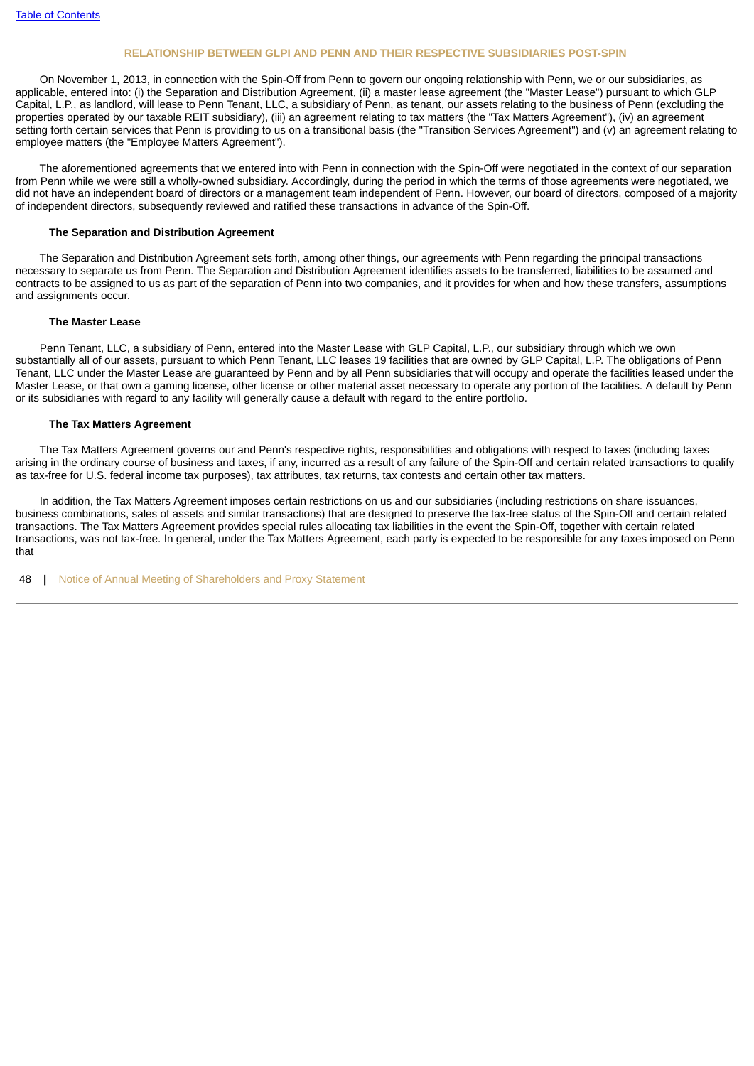## **RELATIONSHIP BETWEEN GLPI AND PENN AND THEIR RESPECTIVE SUBSIDIARIES POST-SPIN**

<span id="page-48-0"></span> On November 1, 2013, in connection with the Spin-Off from Penn to govern our ongoing relationship with Penn, we or our subsidiaries, as applicable, entered into: (i) the Separation and Distribution Agreement, (ii) a master lease agreement (the "Master Lease") pursuant to which GLP Capital, L.P., as landlord, will lease to Penn Tenant, LLC, a subsidiary of Penn, as tenant, our assets relating to the business of Penn (excluding the properties operated by our taxable REIT subsidiary), (iii) an agreement relating to tax matters (the "Tax Matters Agreement"), (iv) an agreement setting forth certain services that Penn is providing to us on a transitional basis (the "Transition Services Agreement") and (v) an agreement relating to employee matters (the "Employee Matters Agreement").

 The aforementioned agreements that we entered into with Penn in connection with the Spin-Off were negotiated in the context of our separation from Penn while we were still a wholly-owned subsidiary. Accordingly, during the period in which the terms of those agreements were negotiated, we did not have an independent board of directors or a management team independent of Penn. However, our board of directors, composed of a majority of independent directors, subsequently reviewed and ratified these transactions in advance of the Spin-Off.

#### **The Separation and Distribution Agreement**

 The Separation and Distribution Agreement sets forth, among other things, our agreements with Penn regarding the principal transactions necessary to separate us from Penn. The Separation and Distribution Agreement identifies assets to be transferred, liabilities to be assumed and contracts to be assigned to us as part of the separation of Penn into two companies, and it provides for when and how these transfers, assumptions and assignments occur.

#### **The Master Lease**

 Penn Tenant, LLC, a subsidiary of Penn, entered into the Master Lease with GLP Capital, L.P., our subsidiary through which we own substantially all of our assets, pursuant to which Penn Tenant, LLC leases 19 facilities that are owned by GLP Capital, L.P. The obligations of Penn Tenant, LLC under the Master Lease are guaranteed by Penn and by all Penn subsidiaries that will occupy and operate the facilities leased under the Master Lease, or that own a gaming license, other license or other material asset necessary to operate any portion of the facilities. A default by Penn or its subsidiaries with regard to any facility will generally cause a default with regard to the entire portfolio.

#### **The Tax Matters Agreement**

 The Tax Matters Agreement governs our and Penn's respective rights, responsibilities and obligations with respect to taxes (including taxes arising in the ordinary course of business and taxes, if any, incurred as a result of any failure of the Spin-Off and certain related transactions to qualify as tax-free for U.S. federal income tax purposes), tax attributes, tax returns, tax contests and certain other tax matters.

 In addition, the Tax Matters Agreement imposes certain restrictions on us and our subsidiaries (including restrictions on share issuances, business combinations, sales of assets and similar transactions) that are designed to preserve the tax-free status of the Spin-Off and certain related transactions. The Tax Matters Agreement provides special rules allocating tax liabilities in the event the Spin-Off, together with certain related transactions, was not tax-free. In general, under the Tax Matters Agreement, each party is expected to be responsible for any taxes imposed on Penn that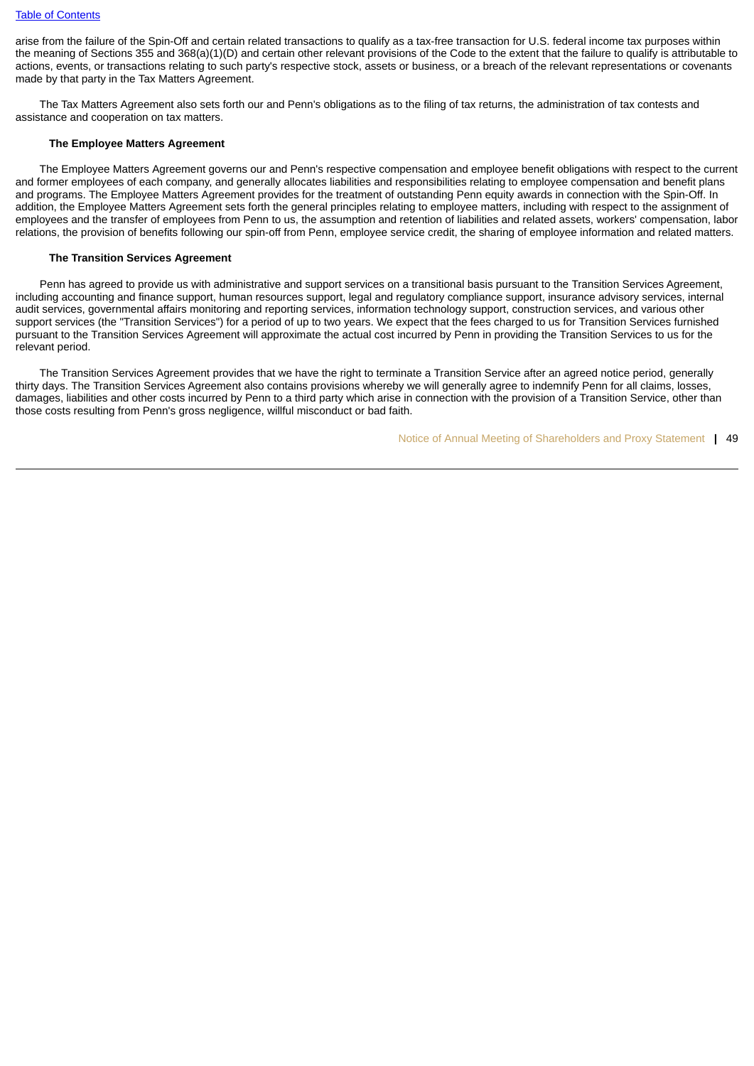arise from the failure of the Spin-Off and certain related transactions to qualify as a tax-free transaction for U.S. federal income tax purposes within the meaning of Sections 355 and 368(a)(1)(D) and certain other relevant provisions of the Code to the extent that the failure to qualify is attributable to actions, events, or transactions relating to such party's respective stock, assets or business, or a breach of the relevant representations or covenants made by that party in the Tax Matters Agreement.

 The Tax Matters Agreement also sets forth our and Penn's obligations as to the filing of tax returns, the administration of tax contests and assistance and cooperation on tax matters.

# **The Employee Matters Agreement**

 The Employee Matters Agreement governs our and Penn's respective compensation and employee benefit obligations with respect to the current and former employees of each company, and generally allocates liabilities and responsibilities relating to employee compensation and benefit plans and programs. The Employee Matters Agreement provides for the treatment of outstanding Penn equity awards in connection with the Spin-Off. In addition, the Employee Matters Agreement sets forth the general principles relating to employee matters, including with respect to the assignment of employees and the transfer of employees from Penn to us, the assumption and retention of liabilities and related assets, workers' compensation, labor relations, the provision of benefits following our spin-off from Penn, employee service credit, the sharing of employee information and related matters.

# **The Transition Services Agreement**

 Penn has agreed to provide us with administrative and support services on a transitional basis pursuant to the Transition Services Agreement, including accounting and finance support, human resources support, legal and regulatory compliance support, insurance advisory services, internal audit services, governmental affairs monitoring and reporting services, information technology support, construction services, and various other support services (the "Transition Services") for a period of up to two years. We expect that the fees charged to us for Transition Services furnished pursuant to the Transition Services Agreement will approximate the actual cost incurred by Penn in providing the Transition Services to us for the relevant period.

 The Transition Services Agreement provides that we have the right to terminate a Transition Service after an agreed notice period, generally thirty days. The Transition Services Agreement also contains provisions whereby we will generally agree to indemnify Penn for all claims, losses, damages, liabilities and other costs incurred by Penn to a third party which arise in connection with the provision of a Transition Service, other than those costs resulting from Penn's gross negligence, willful misconduct or bad faith.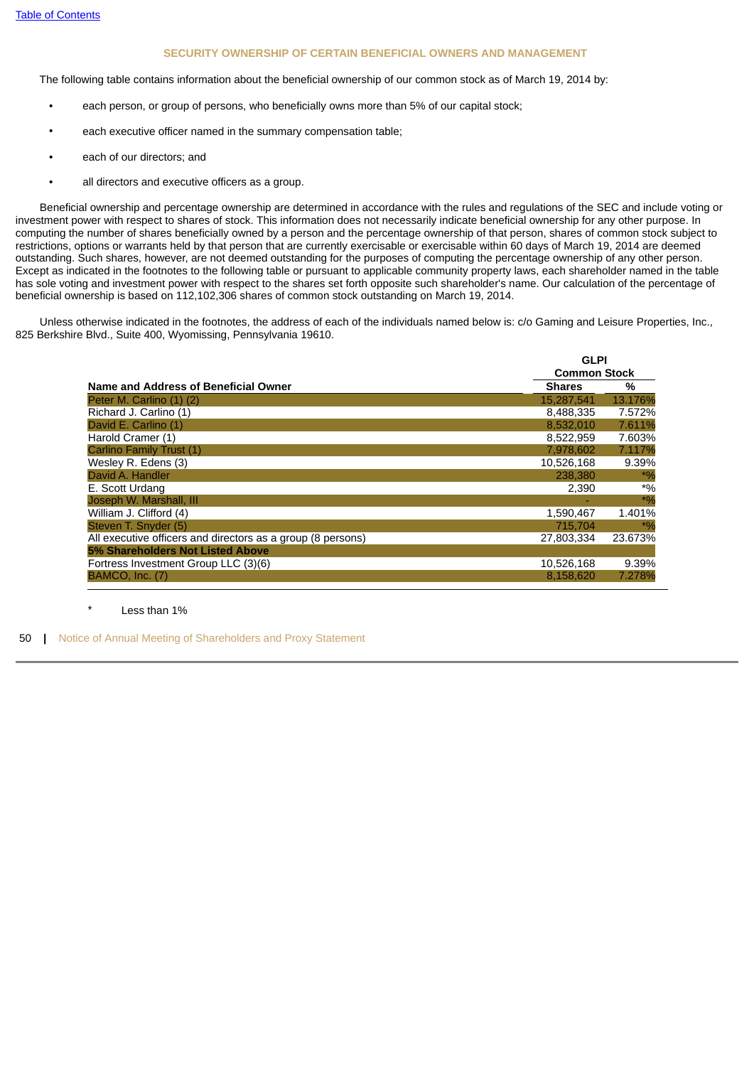# **SECURITY OWNERSHIP OF CERTAIN BENEFICIAL OWNERS AND MANAGEMENT**

<span id="page-50-0"></span>The following table contains information about the beneficial ownership of our common stock as of March 19, 2014 by:

- each person, or group of persons, who beneficially owns more than 5% of our capital stock;
- each executive officer named in the summary compensation table;
- each of our directors; and
- all directors and executive officers as a group.

 Beneficial ownership and percentage ownership are determined in accordance with the rules and regulations of the SEC and include voting or investment power with respect to shares of stock. This information does not necessarily indicate beneficial ownership for any other purpose. In computing the number of shares beneficially owned by a person and the percentage ownership of that person, shares of common stock subject to restrictions, options or warrants held by that person that are currently exercisable or exercisable within 60 days of March 19, 2014 are deemed outstanding. Such shares, however, are not deemed outstanding for the purposes of computing the percentage ownership of any other person. Except as indicated in the footnotes to the following table or pursuant to applicable community property laws, each shareholder named in the table has sole voting and investment power with respect to the shares set forth opposite such shareholder's name. Our calculation of the percentage of beneficial ownership is based on 112,102,306 shares of common stock outstanding on March 19, 2014.

 Unless otherwise indicated in the footnotes, the address of each of the individuals named below is: c/o Gaming and Leisure Properties, Inc., 825 Berkshire Blvd., Suite 400, Wyomissing, Pennsylvania 19610.

**GLPI**

|                                                             | ulfi                |         |
|-------------------------------------------------------------|---------------------|---------|
|                                                             | <b>Common Stock</b> |         |
| <b>Name and Address of Beneficial Owner</b>                 | <b>Shares</b>       | %       |
| Peter M. Carlino (1) (2)                                    | 15,287,541          | 13.176% |
| Richard J. Carlino (1)                                      | 8,488,335           | 7.572%  |
| David E. Carlino (1)                                        | 8.532.010           | 7.611%  |
| Harold Cramer (1)                                           | 8,522,959           | 7.603%  |
| Carlino Family Trust (1)                                    | 7.978.602           | 7.117%  |
| Wesley R. Edens (3)                                         | 10.526.168          | 9.39%   |
| David A. Handler                                            | 238,380             | $*$ %   |
| E. Scott Urdang                                             | 2,390               | $*0/0$  |
| Joseph W. Marshall, III                                     |                     | $*0/0$  |
| William J. Clifford (4)                                     | 1,590,467           | 1.401%  |
| Steven T. Snyder (5)                                        | 715.704             | $*0/0$  |
| All executive officers and directors as a group (8 persons) | 27,803,334          | 23.673% |
| <b>5% Shareholders Not Listed Above</b>                     |                     |         |
| Fortress Investment Group LLC (3)(6)                        | 10,526,168          | 9.39%   |
| BAMCO, Inc. (7)                                             | 8.158.620           | 7.278%  |

## Less than 1%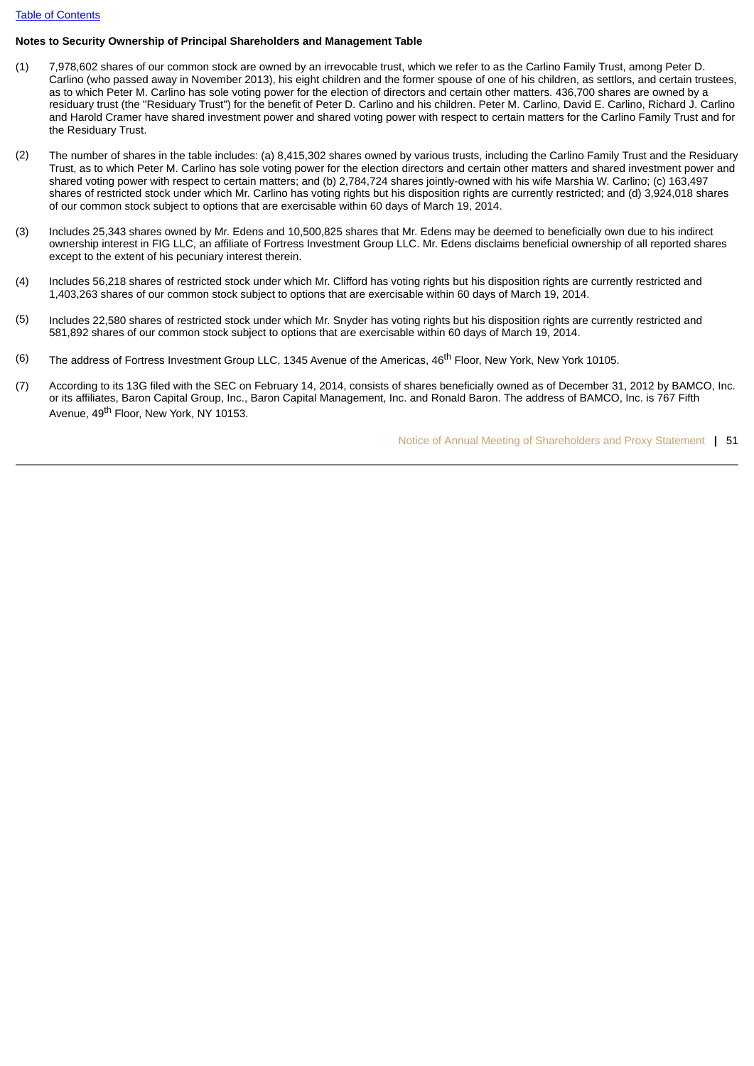# **Notes to Security Ownership of Principal Shareholders and Management Table**

- (1) 7,978,602 shares of our common stock are owned by an irrevocable trust, which we refer to as the Carlino Family Trust, among Peter D. Carlino (who passed away in November 2013), his eight children and the former spouse of one of his children, as settlors, and certain trustees, as to which Peter M. Carlino has sole voting power for the election of directors and certain other matters. 436,700 shares are owned by a residuary trust (the "Residuary Trust") for the benefit of Peter D. Carlino and his children. Peter M. Carlino, David E. Carlino, Richard J. Carlino and Harold Cramer have shared investment power and shared voting power with respect to certain matters for the Carlino Family Trust and for the Residuary Trust.
- (2) The number of shares in the table includes: (a) 8,415,302 shares owned by various trusts, including the Carlino Family Trust and the Residuary Trust, as to which Peter M. Carlino has sole voting power for the election directors and certain other matters and shared investment power and shared voting power with respect to certain matters; and (b) 2,784,724 shares jointly-owned with his wife Marshia W. Carlino; (c) 163,497 shares of restricted stock under which Mr. Carlino has voting rights but his disposition rights are currently restricted; and (d) 3,924,018 shares of our common stock subject to options that are exercisable within 60 days of March 19, 2014.
- (3) Includes 25,343 shares owned by Mr. Edens and 10,500,825 shares that Mr. Edens may be deemed to beneficially own due to his indirect ownership interest in FIG LLC, an affiliate of Fortress Investment Group LLC. Mr. Edens disclaims beneficial ownership of all reported shares except to the extent of his pecuniary interest therein.
- (4) Includes 56,218 shares of restricted stock under which Mr. Clifford has voting rights but his disposition rights are currently restricted and 1,403,263 shares of our common stock subject to options that are exercisable within 60 days of March 19, 2014.
- (5) Includes 22,580 shares of restricted stock under which Mr. Snyder has voting rights but his disposition rights are currently restricted and 581,892 shares of our common stock subject to options that are exercisable within 60 days of March 19, 2014.
- $(6)$  The address of Fortress Investment Group LLC, 1345 Avenue of the Americas, 46<sup>th</sup> Floor, New York, New York 10105.
- (7) According to its 13G filed with the SEC on February 14, 2014, consists of shares beneficially owned as of December 31, 2012 by BAMCO, Inc. or its affiliates, Baron Capital Group, Inc., Baron Capital Management, Inc. and Ronald Baron. The address of BAMCO, Inc. is 767 Fifth Avenue, 49<sup>th</sup> Floor, New York, NY 10153.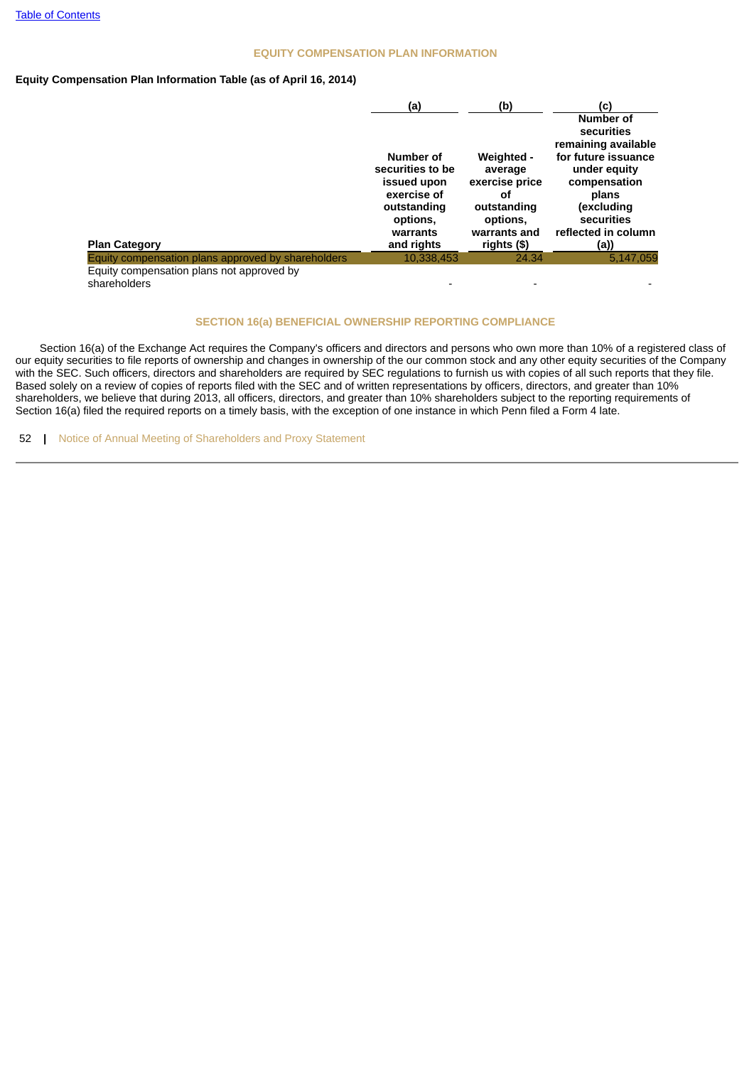# **EQUITY COMPENSATION PLAN INFORMATION**

# <span id="page-52-0"></span>**Equity Compensation Plan Information Table (as of April 16, 2014)**

|                                                                                                                  |                                                                                                         | Number of                                                                                                                                                    |
|------------------------------------------------------------------------------------------------------------------|---------------------------------------------------------------------------------------------------------|--------------------------------------------------------------------------------------------------------------------------------------------------------------|
| Number of<br>securities to be<br>issued upon<br>exercise of<br>outstanding<br>options.<br>warrants<br>and rights | Weighted -<br>average<br>exercise price<br>οf<br>outstanding<br>options,<br>warrants and<br>rights (\$) | securities<br>remaining available<br>for future issuance<br>under equity<br>compensation<br>plans<br>(excluding<br>securities<br>reflected in column<br>(a)) |
| 10.338.453                                                                                                       | 24.34                                                                                                   | 5,147,059                                                                                                                                                    |
|                                                                                                                  |                                                                                                         |                                                                                                                                                              |
|                                                                                                                  |                                                                                                         |                                                                                                                                                              |

#### **SECTION 16(a) BENEFICIAL OWNERSHIP REPORTING COMPLIANCE**

<span id="page-52-1"></span> Section 16(a) of the Exchange Act requires the Company's officers and directors and persons who own more than 10% of a registered class of our equity securities to file reports of ownership and changes in ownership of the our common stock and any other equity securities of the Company with the SEC. Such officers, directors and shareholders are required by SEC regulations to furnish us with copies of all such reports that they file. Based solely on a review of copies of reports filed with the SEC and of written representations by officers, directors, and greater than 10% shareholders, we believe that during 2013, all officers, directors, and greater than 10% shareholders subject to the reporting requirements of Section 16(a) filed the required reports on a timely basis, with the exception of one instance in which Penn filed a Form 4 late.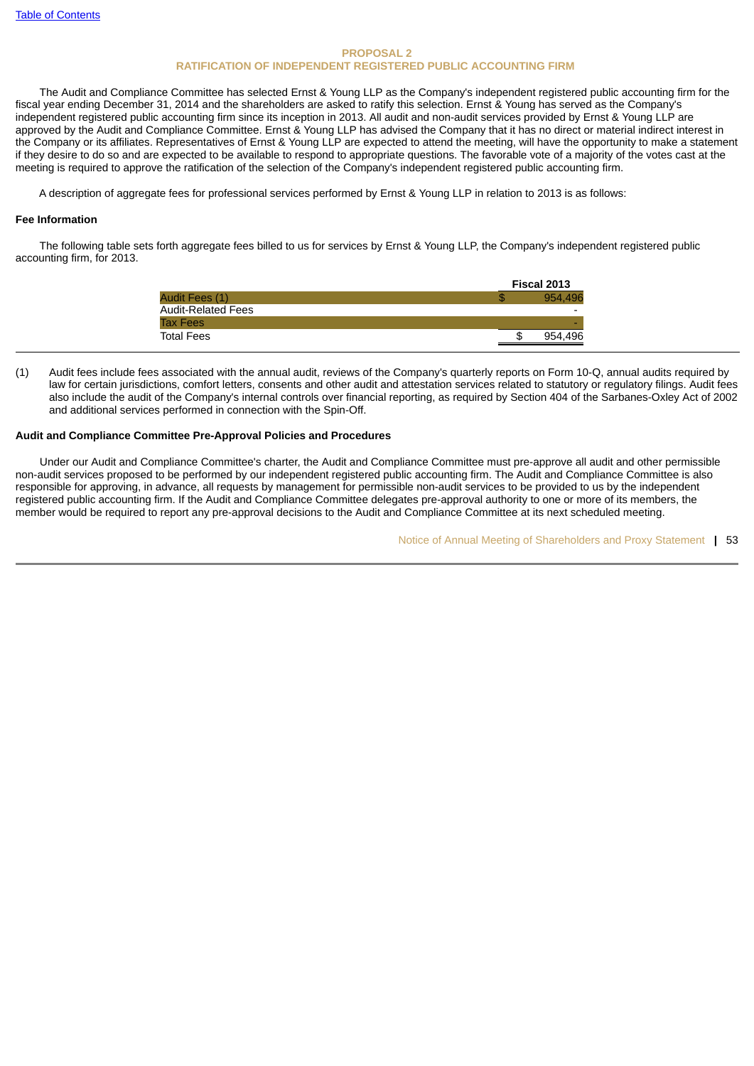# **PROPOSAL 2 RATIFICATION OF INDEPENDENT REGISTERED PUBLIC ACCOUNTING FIRM**

<span id="page-53-0"></span> The Audit and Compliance Committee has selected Ernst & Young LLP as the Company's independent registered public accounting firm for the fiscal year ending December 31, 2014 and the shareholders are asked to ratify this selection. Ernst & Young has served as the Company's independent registered public accounting firm since its inception in 2013. All audit and non-audit services provided by Ernst & Young LLP are approved by the Audit and Compliance Committee. Ernst & Young LLP has advised the Company that it has no direct or material indirect interest in the Company or its affiliates. Representatives of Ernst & Young LLP are expected to attend the meeting, will have the opportunity to make a statement if they desire to do so and are expected to be available to respond to appropriate questions. The favorable vote of a majority of the votes cast at the meeting is required to approve the ratification of the selection of the Company's independent registered public accounting firm.

A description of aggregate fees for professional services performed by Ernst & Young LLP in relation to 2013 is as follows:

#### **Fee Information**

The following table sets forth aggregate fees billed to us for services by Ernst & Young LLP, the Company's independent registered public accounting firm, for 2013.

|                           | Fiscal 2013 |                          |
|---------------------------|-------------|--------------------------|
| Audit Fees (1)            |             | 954.496                  |
| <b>Audit-Related Fees</b> |             | $\overline{\phantom{0}}$ |
| <b>Tax Fees</b>           |             | -                        |
| <b>Total Fees</b>         |             | 954,496                  |
|                           |             |                          |

(1) Audit fees include fees associated with the annual audit, reviews of the Company's quarterly reports on Form 10-Q, annual audits required by law for certain jurisdictions, comfort letters, consents and other audit and attestation services related to statutory or regulatory filings. Audit fees also include the audit of the Company's internal controls over financial reporting, as required by Section 404 of the Sarbanes-Oxley Act of 2002 and additional services performed in connection with the Spin-Off.

#### **Audit and Compliance Committee Pre-Approval Policies and Procedures**

 Under our Audit and Compliance Committee's charter, the Audit and Compliance Committee must pre-approve all audit and other permissible non-audit services proposed to be performed by our independent registered public accounting firm. The Audit and Compliance Committee is also responsible for approving, in advance, all requests by management for permissible non-audit services to be provided to us by the independent registered public accounting firm. If the Audit and Compliance Committee delegates pre-approval authority to one or more of its members, the member would be required to report any pre-approval decisions to the Audit and Compliance Committee at its next scheduled meeting.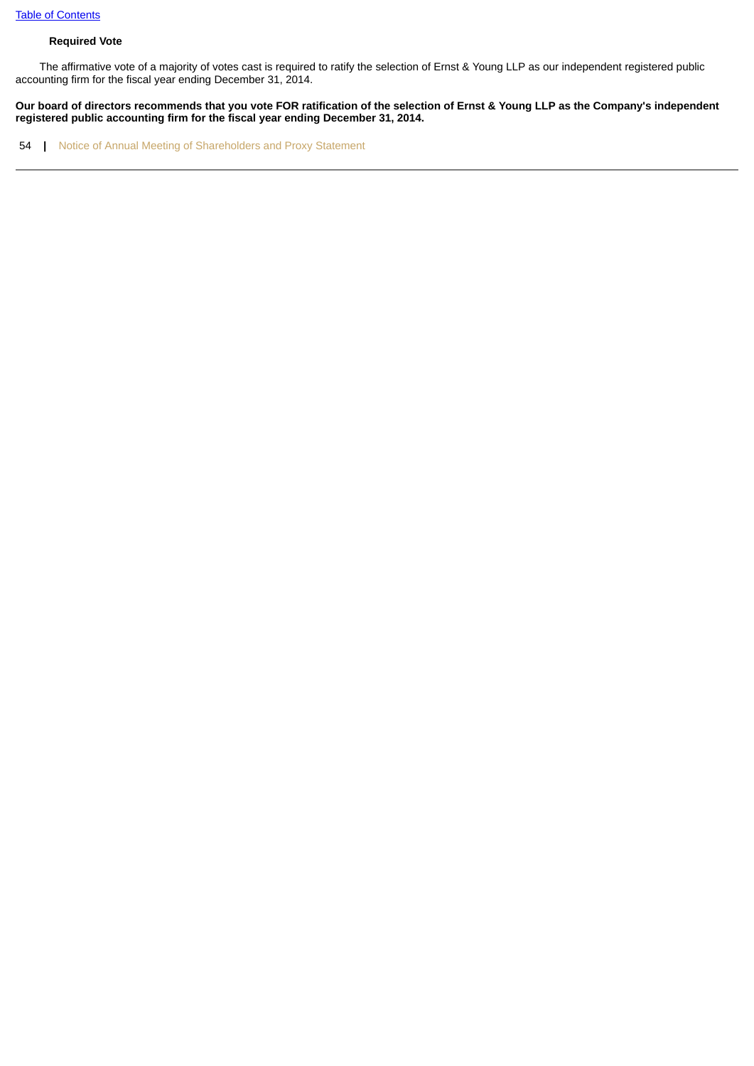# **Required Vote**

 The affirmative vote of a majority of votes cast is required to ratify the selection of Ernst & Young LLP as our independent registered public accounting firm for the fiscal year ending December 31, 2014.

**Our board of directors recommends that you vote FOR ratification of the selection of Ernst & Young LLP as the Company's independent registered public accounting firm for the fiscal year ending December 31, 2014.**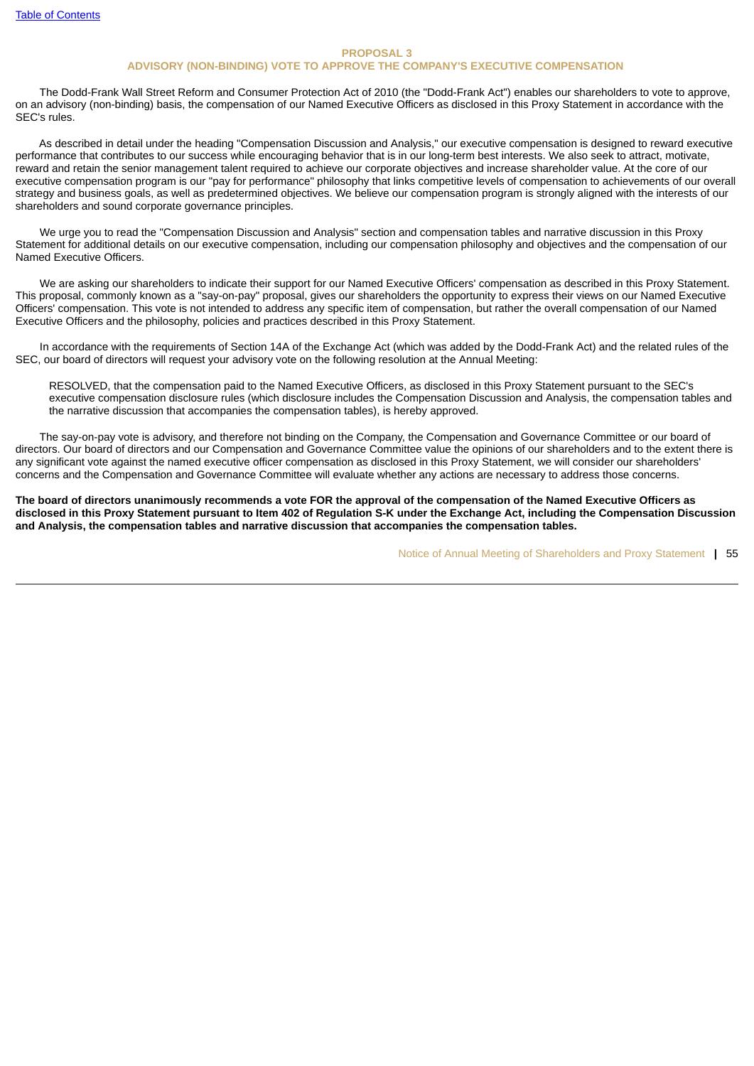#### **PROPOSAL 3**

# **ADVISORY (NON-BINDING) VOTE TO APPROVE THE COMPANY'S EXECUTIVE COMPENSATION**

<span id="page-55-0"></span> The Dodd-Frank Wall Street Reform and Consumer Protection Act of 2010 (the "Dodd-Frank Act") enables our shareholders to vote to approve, on an advisory (non-binding) basis, the compensation of our Named Executive Officers as disclosed in this Proxy Statement in accordance with the SEC's rules.

 As described in detail under the heading "Compensation Discussion and Analysis," our executive compensation is designed to reward executive performance that contributes to our success while encouraging behavior that is in our long-term best interests. We also seek to attract, motivate, reward and retain the senior management talent required to achieve our corporate objectives and increase shareholder value. At the core of our executive compensation program is our "pay for performance" philosophy that links competitive levels of compensation to achievements of our overall strategy and business goals, as well as predetermined objectives. We believe our compensation program is strongly aligned with the interests of our shareholders and sound corporate governance principles.

 We urge you to read the "Compensation Discussion and Analysis" section and compensation tables and narrative discussion in this Proxy Statement for additional details on our executive compensation, including our compensation philosophy and objectives and the compensation of our Named Executive Officers.

 We are asking our shareholders to indicate their support for our Named Executive Officers' compensation as described in this Proxy Statement. This proposal, commonly known as a "say-on-pay" proposal, gives our shareholders the opportunity to express their views on our Named Executive Officers' compensation. This vote is not intended to address any specific item of compensation, but rather the overall compensation of our Named Executive Officers and the philosophy, policies and practices described in this Proxy Statement.

 In accordance with the requirements of Section 14A of the Exchange Act (which was added by the Dodd-Frank Act) and the related rules of the SEC, our board of directors will request your advisory vote on the following resolution at the Annual Meeting:

RESOLVED, that the compensation paid to the Named Executive Officers, as disclosed in this Proxy Statement pursuant to the SEC's executive compensation disclosure rules (which disclosure includes the Compensation Discussion and Analysis, the compensation tables and the narrative discussion that accompanies the compensation tables), is hereby approved.

 The say-on-pay vote is advisory, and therefore not binding on the Company, the Compensation and Governance Committee or our board of directors. Our board of directors and our Compensation and Governance Committee value the opinions of our shareholders and to the extent there is any significant vote against the named executive officer compensation as disclosed in this Proxy Statement, we will consider our shareholders' concerns and the Compensation and Governance Committee will evaluate whether any actions are necessary to address those concerns.

**The board of directors unanimously recommends a vote FOR the approval of the compensation of the Named Executive Officers as disclosed in this Proxy Statement pursuant to Item 402 of Regulation S-K under the Exchange Act, including the Compensation Discussion and Analysis, the compensation tables and narrative discussion that accompanies the compensation tables.**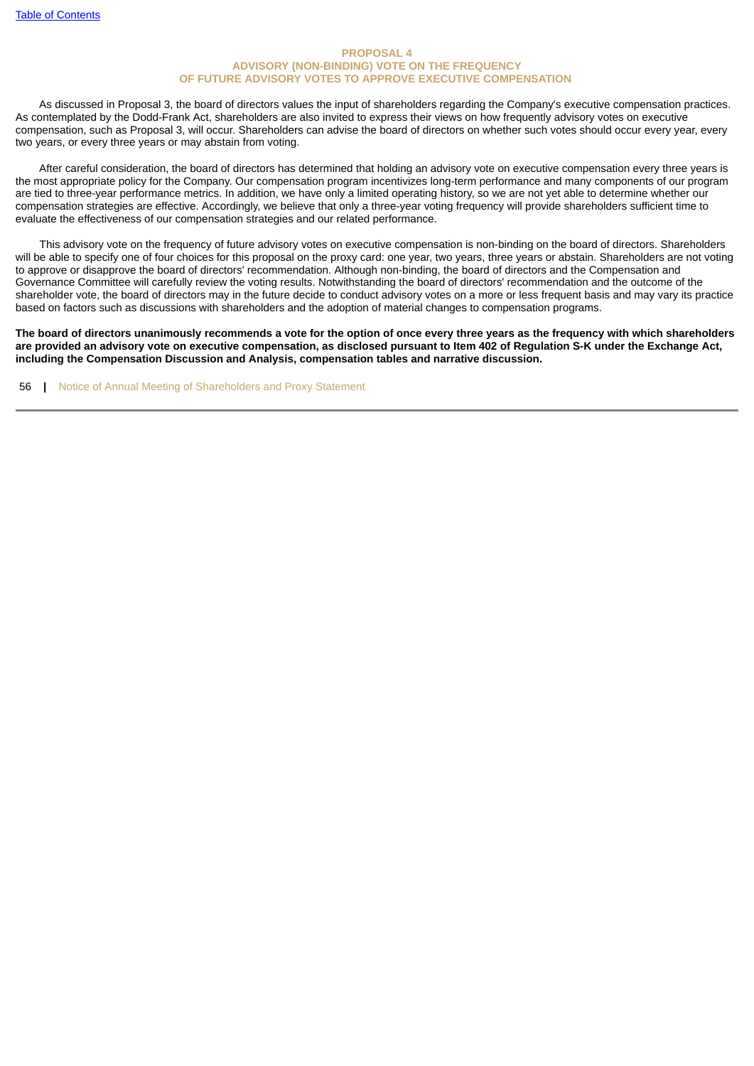# **PROPOSAL 4 ADVISORY (NON-BINDING) VOTE ON THE FREQUENCY OF FUTURE ADVISORY VOTES TO APPROVE EXECUTIVE COMPENSATION**

<span id="page-56-0"></span> As discussed in Proposal 3, the board of directors values the input of shareholders regarding the Company's executive compensation practices. As contemplated by the Dodd-Frank Act, shareholders are also invited to express their views on how frequently advisory votes on executive compensation, such as Proposal 3, will occur. Shareholders can advise the board of directors on whether such votes should occur every year, every two years, or every three years or may abstain from voting.

 After careful consideration, the board of directors has determined that holding an advisory vote on executive compensation every three years is the most appropriate policy for the Company. Our compensation program incentivizes long-term performance and many components of our program are tied to three-year performance metrics. In addition, we have only a limited operating history, so we are not yet able to determine whether our compensation strategies are effective. Accordingly, we believe that only a three-year voting frequency will provide shareholders sufficient time to evaluate the effectiveness of our compensation strategies and our related performance.

 This advisory vote on the frequency of future advisory votes on executive compensation is non-binding on the board of directors. Shareholders will be able to specify one of four choices for this proposal on the proxy card: one year, two years, three years or abstain. Shareholders are not voting to approve or disapprove the board of directors' recommendation. Although non-binding, the board of directors and the Compensation and Governance Committee will carefully review the voting results. Notwithstanding the board of directors' recommendation and the outcome of the shareholder vote, the board of directors may in the future decide to conduct advisory votes on a more or less frequent basis and may vary its practice based on factors such as discussions with shareholders and the adoption of material changes to compensation programs.

**The board of directors unanimously recommends a vote for the option of once every three years as the frequency with which shareholders are provided an advisory vote on executive compensation, as disclosed pursuant to Item 402 of Regulation S-K under the Exchange Act, including the Compensation Discussion and Analysis, compensation tables and narrative discussion.**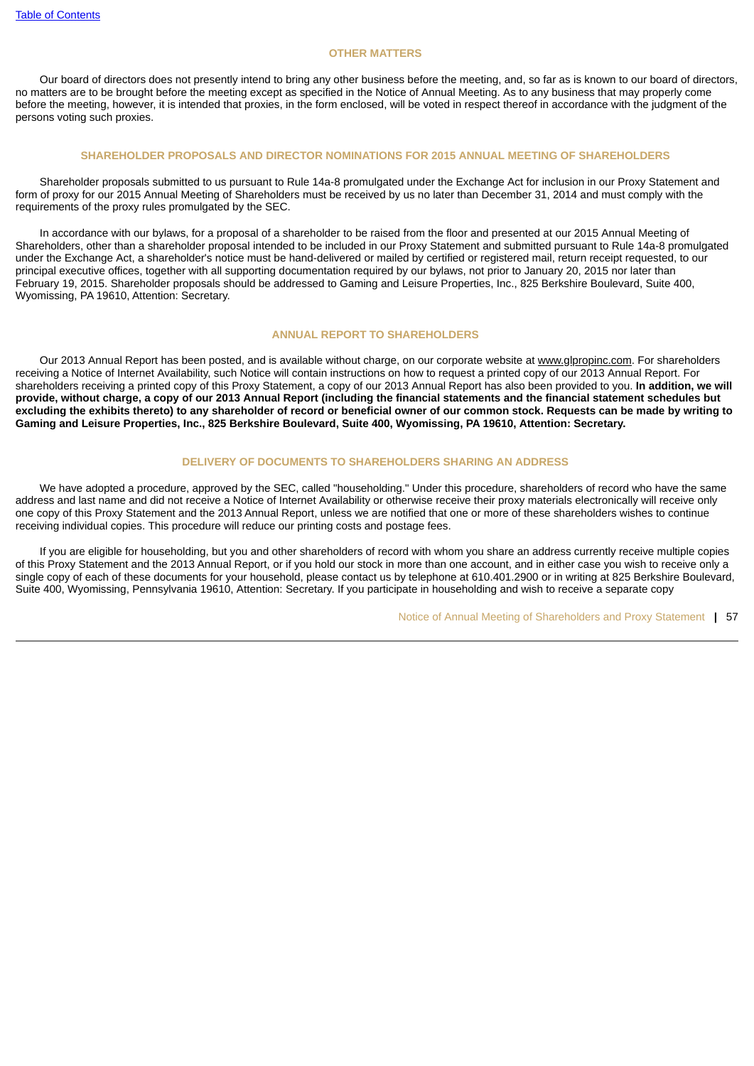#### **OTHER MATTERS**

<span id="page-57-0"></span> Our board of directors does not presently intend to bring any other business before the meeting, and, so far as is known to our board of directors, no matters are to be brought before the meeting except as specified in the Notice of Annual Meeting. As to any business that may properly come before the meeting, however, it is intended that proxies, in the form enclosed, will be voted in respect thereof in accordance with the judgment of the persons voting such proxies.

#### **SHAREHOLDER PROPOSALS AND DIRECTOR NOMINATIONS FOR 2015 ANNUAL MEETING OF SHAREHOLDERS**

<span id="page-57-1"></span> Shareholder proposals submitted to us pursuant to Rule 14a-8 promulgated under the Exchange Act for inclusion in our Proxy Statement and form of proxy for our 2015 Annual Meeting of Shareholders must be received by us no later than December 31, 2014 and must comply with the requirements of the proxy rules promulgated by the SEC.

 In accordance with our bylaws, for a proposal of a shareholder to be raised from the floor and presented at our 2015 Annual Meeting of Shareholders, other than a shareholder proposal intended to be included in our Proxy Statement and submitted pursuant to Rule 14a-8 promulgated under the Exchange Act, a shareholder's notice must be hand-delivered or mailed by certified or registered mail, return receipt requested, to our principal executive offices, together with all supporting documentation required by our bylaws, not prior to January 20, 2015 nor later than February 19, 2015. Shareholder proposals should be addressed to Gaming and Leisure Properties, Inc., 825 Berkshire Boulevard, Suite 400, Wyomissing, PA 19610, Attention: Secretary.

#### **ANNUAL REPORT TO SHAREHOLDERS**

<span id="page-57-2"></span>Our 2013 Annual Report has been posted, and is available without charge, on our corporate website at www.glpropinc.com. For shareholders receiving a Notice of Internet Availability, such Notice will contain instructions on how to request a printed copy of our 2013 Annual Report. For shareholders receiving a printed copy of this Proxy Statement, a copy of our 2013 Annual Report has also been provided to you. **In addition, we will provide, without charge, a copy of our 2013 Annual Report (including the financial statements and the financial statement schedules but excluding the exhibits thereto) to any shareholder of record or beneficial owner of our common stock. Requests can be made by writing to Gaming and Leisure Properties, Inc., 825 Berkshire Boulevard, Suite 400, Wyomissing, PA 19610, Attention: Secretary.**

## **DELIVERY OF DOCUMENTS TO SHAREHOLDERS SHARING AN ADDRESS**

<span id="page-57-3"></span> We have adopted a procedure, approved by the SEC, called "householding." Under this procedure, shareholders of record who have the same address and last name and did not receive a Notice of Internet Availability or otherwise receive their proxy materials electronically will receive only one copy of this Proxy Statement and the 2013 Annual Report, unless we are notified that one or more of these shareholders wishes to continue receiving individual copies. This procedure will reduce our printing costs and postage fees.

 If you are eligible for householding, but you and other shareholders of record with whom you share an address currently receive multiple copies of this Proxy Statement and the 2013 Annual Report, or if you hold our stock in more than one account, and in either case you wish to receive only a single copy of each of these documents for your household, please contact us by telephone at 610.401.2900 or in writing at 825 Berkshire Boulevard, Suite 400, Wyomissing, Pennsylvania 19610, Attention: Secretary. If you participate in householding and wish to receive a separate copy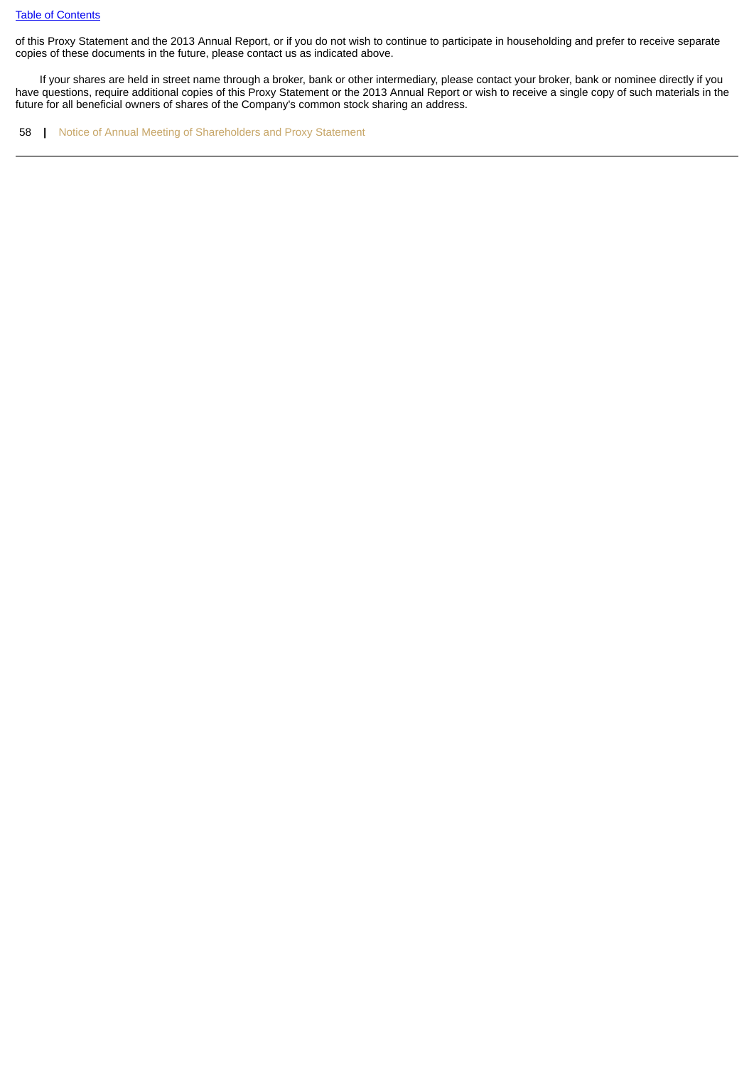of this Proxy Statement and the 2013 Annual Report, or if you do not wish to continue to participate in householding and prefer to receive separate copies of these documents in the future, please contact us as indicated above.

 If your shares are held in street name through a broker, bank or other intermediary, please contact your broker, bank or nominee directly if you have questions, require additional copies of this Proxy Statement or the 2013 Annual Report or wish to receive a single copy of such materials in the future for all beneficial owners of shares of the Company's common stock sharing an address.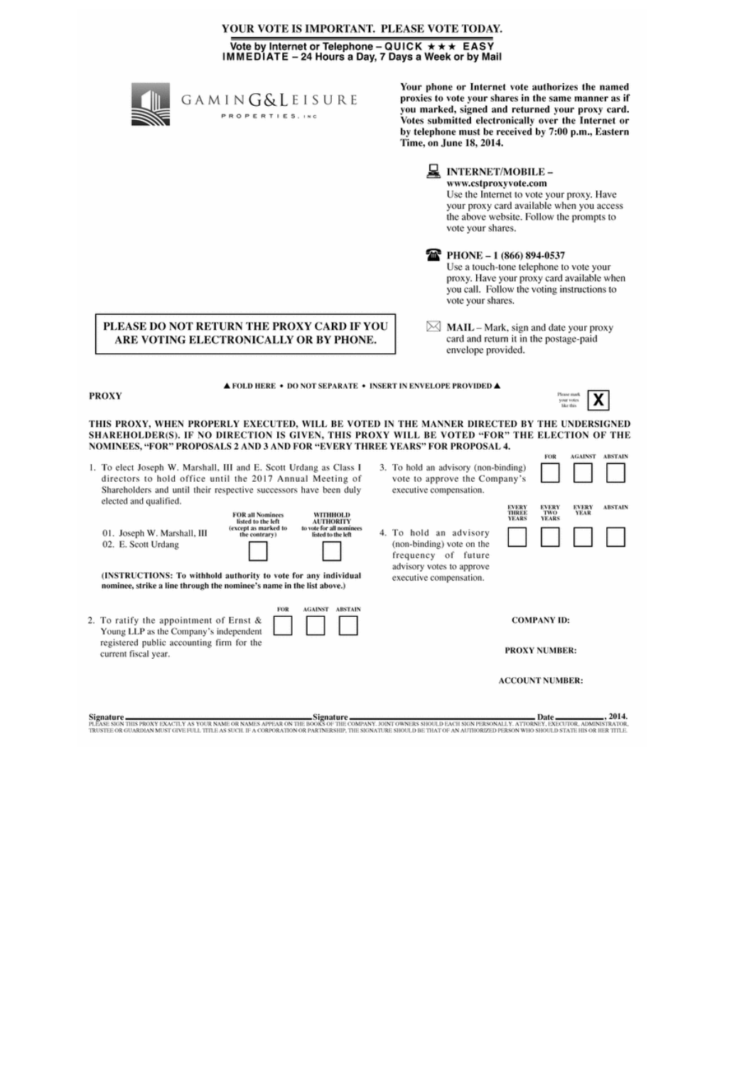| YOUR VOTE IS IMPORTANT. PLEASE VOTE TODAY.                                                                                                                                                                                                                                   |                                                                                                         |                                                                                                                   |                                                                                                                                                                                                                                                                            |
|------------------------------------------------------------------------------------------------------------------------------------------------------------------------------------------------------------------------------------------------------------------------------|---------------------------------------------------------------------------------------------------------|-------------------------------------------------------------------------------------------------------------------|----------------------------------------------------------------------------------------------------------------------------------------------------------------------------------------------------------------------------------------------------------------------------|
| Vote by Internet or Telephone - QUICK * * * EASY<br>IMMEDIATE - 24 Hours a Day, 7 Days a Week or by Mail                                                                                                                                                                     |                                                                                                         |                                                                                                                   |                                                                                                                                                                                                                                                                            |
| <b>GAMING&amp;LEISURE</b><br>PROPERTIES. INC.                                                                                                                                                                                                                                |                                                                                                         | Time, on June 18, 2014.                                                                                           | Your phone or Internet vote authorizes the named<br>proxies to vote your shares in the same manner as if<br>you marked, signed and returned your proxy card.<br>Votes submitted electronically over the Internet or<br>by telephone must be received by 7:00 p.m., Eastern |
|                                                                                                                                                                                                                                                                              |                                                                                                         | <b>INTERNET/MOBILE -</b><br>www.cstproxyvote.com<br>vote your shares.                                             | Use the Internet to vote your proxy. Have<br>your proxy card available when you access<br>the above website. Follow the prompts to                                                                                                                                         |
|                                                                                                                                                                                                                                                                              |                                                                                                         | $20^{\circ}$ PHONE - 1 (866) 894-0537<br>Use a touch-tone telephone to vote your<br>vote your shares.             | proxy. Have your proxy card available when<br>you call. Follow the voting instructions to                                                                                                                                                                                  |
| PLEASE DO NOT RETURN THE PROXY CARD IF YOU<br>ARE VOTING ELECTRONICALLY OR BY PHONE.                                                                                                                                                                                         |                                                                                                         | $\boxtimes$ MAIL – Mark, sign and date your proxy<br>card and return it in the postage-paid<br>envelope provided. |                                                                                                                                                                                                                                                                            |
| ▲ FOLD HERE • DO NOT SEPARATE • INSERT IN ENVELOPE PROVIDED ▲<br><b>PROXY</b>                                                                                                                                                                                                |                                                                                                         |                                                                                                                   | Please mark<br>your votes<br>like this                                                                                                                                                                                                                                     |
| THIS PROXY, WHEN PROPERLY EXECUTED, WILL BE VOTED IN THE MANNER DIRECTED BY THE UNDERSIGNED<br>SHAREHOLDER(S). IF NO DIRECTION IS GIVEN, THIS PROXY WILL BE VOTED "FOR" THE ELECTION OF THE<br>NOMINEES, "FOR" PROPOSALS 2 AND 3 AND FOR "EVERY THREE YEARS" FOR PROPOSAL 4. |                                                                                                         |                                                                                                                   |                                                                                                                                                                                                                                                                            |
| 1. To elect Joseph W. Marshall, III and E. Scott Urdang as Class I<br>directors to hold office until the 2017 Annual Meeting of<br>Shareholders and until their respective successors have been duly<br>elected and qualified.                                               | executive compensation.                                                                                 | 3. To hold an advisory (non-binding)<br>vote to approve the Company's                                             | <b>AGAINST ABSTAIN</b><br>FOR                                                                                                                                                                                                                                              |
| <b>FOR all Nominees</b><br><b>WITHHOLD</b><br><b>AUTHORITY</b><br>listed to the left<br>(except as marked to<br>to vote for all nominees<br>01. Joseph W. Marshall, III<br>the contrary).<br>listed to the left<br>02. E. Scott Urdang                                       | 4. To hold an advisory<br>(non-binding) vote on the<br>frequency of future<br>advisory votes to approve | <b>EVERY</b><br>THREE<br>YEARS                                                                                    | <b>EVERY</b><br><b>EVERY</b><br><b>ABSTAIN</b><br>TWO<br>YEAR<br>YEARS                                                                                                                                                                                                     |
| (INSTRUCTIONS: To withhold authority to vote for any individual<br>nominee, strike a line through the nominee's name in the list above.)                                                                                                                                     | executive compensation.                                                                                 |                                                                                                                   |                                                                                                                                                                                                                                                                            |
| FOR<br><b>AGAINST ABSTAIN</b><br>2. To ratify the appointment of Ernst &<br>Young LLP as the Company's independent<br>registered public accounting firm for the<br>current fiscal year.                                                                                      |                                                                                                         |                                                                                                                   | <b>COMPANY ID:</b><br><b>PROXY NUMBER:</b>                                                                                                                                                                                                                                 |
|                                                                                                                                                                                                                                                                              |                                                                                                         |                                                                                                                   | <b>ACCOUNT NUMBER:</b>                                                                                                                                                                                                                                                     |
|                                                                                                                                                                                                                                                                              |                                                                                                         |                                                                                                                   |                                                                                                                                                                                                                                                                            |

| Signature.                                                                                                                                                                                                                                                                                                                                          | -Signature | $-.2014.$ |
|-----------------------------------------------------------------------------------------------------------------------------------------------------------------------------------------------------------------------------------------------------------------------------------------------------------------------------------------------------|------------|-----------|
| PLEASE SIGN THIS PROXY EXACTLY AS YOUR NAME OR NAMES APPEAR ON THE BOOKS OF THE COMPANY. JOINT OWNERS SHOULD EACH SIGN PERSONALLY. ATTORNEY, EXECUTOR. ADMINISTRATOR.<br>TRUSTEE OR GUARDIAN MUST GIVE FULL TITLE AS SUCH. IF A CORPORATION OR PARTNERSHIP. THE SIGNATURE SHOULD BE THAT OF AN AUTHORIZED PERSON WHO SHOULD STATE HIS OR HER TITLE. |            |           |